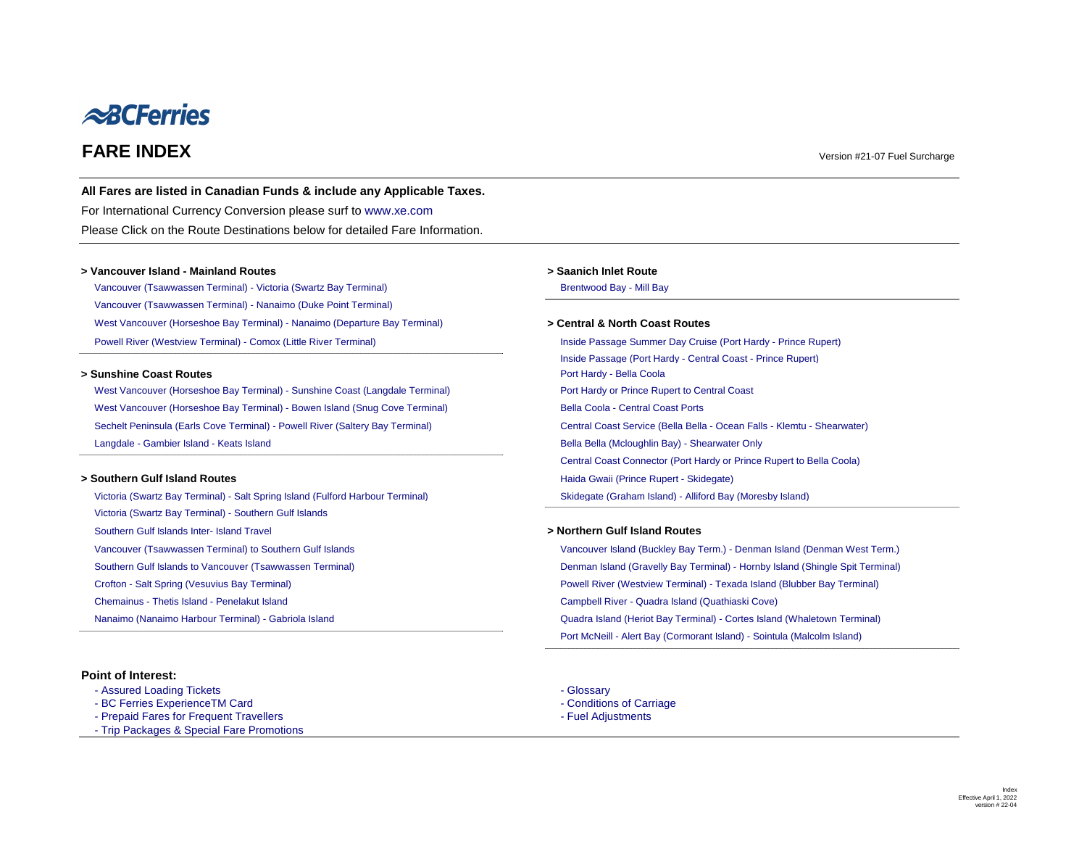<span id="page-0-4"></span><span id="page-0-3"></span><span id="page-0-2"></span><span id="page-0-1"></span><span id="page-0-0"></span>

# <span id="page-0-6"></span>**FARE INDEX** Version #21-07 Fuel Surcharge

### **All Fares are listed in Canadian Funds & include any Applicable Taxes.**

[For International Currency Conversion please surf to www.xe.com](http://www.xe.com/) Please Click on the Route Destinations below for detailed Fare Information.

### **> Vancouver Island - Mainland Routes > Saanich Inlet Route**

[Vancouver \(Tsawwassen Terminal\) - Victoria \(Swartz Bay Terminal\)](#page-1-0) [Brentwood Bay - Mill Bay](#page-13-0) - Mill Bay [Vancouver \(Tsawwassen Terminal\) - Nanaimo \(Duke Point Terminal\)](#page-3-0) [West Vancouver \(Horseshoe Bay Terminal\) - Nanaimo \(Departure Bay Terminal\)](#page-2-0) **> Central & North Coast Routes** [Powell River \(Westview Terminal\) - Comox \(Little River Terminal\)](#page-15-0) [Inside Passage Summer Day Cruise \(Port Hardy - Prince Rupert\)](#page-25-0)

### **> Sunshine Coast Routes [Port Hardy - Bella Coola](#page-27-0)**

[West Vancouver \(Horseshoe Bay Terminal\) - Sunshine Coast \(Langdale Terminal\)](#page-4-0) [Port Hardy or Prince Rupert to Central Coast](#page-28-0) [West Vancouver \(Horseshoe Bay Terminal\) - Bowen Island \(Snug Cove Terminal\)](#page-10-0) [Bella Coola - Central Coast Ports](#page-29-0) [Sechelt Peninsula \(Earls Cove Terminal\) - Powell River \(Saltery Bay Terminal\)](#page-9-0) [Central Coast Service \(Bella Bella - Ocean Falls - Klemtu - Shearwater\)](#page-30-0) [Langdale - Gambier Island - Keats Island](#page-14-0) **Bella Bella Bella Bella (Mcloughlin Bay)** - Shearwater Only

[Inside Passage \(Port Hardy - Central Coast - Prince Rupert\)](#page-25-0) [Central Coast Connector \(Port Hardy or Prince Rupert to Bella Coola\)](#page-32-0) **> Southern Gulf Island Routes All and Prince Rupert - Skidegate** [Haida Gwaii \(Prince Rupert - Skidegate\)](#page-26-0)

[Victoria \(Swartz Bay Terminal\) - Salt Spring Island \(Fulford Harbour Terminal\)](#page-5-0) [Skidegate \(Graham Island\) - Alliford Bay \(Moresby Island\)](#page-24-0) [Victoria \(Swartz Bay Terminal\) - Southern Gulf Islands](#page-6-0) [Southern Gulf Islands Inter- Island Travel](#page-7-0) *Northern Gulf Island Routes* **> Northern Gulf Island Routes** [Vancouver \(Tsawwassen Terminal\) to Southern Gulf Islands](#page-12-0) [Vancouver Island \(Buckley Bay Term.\) - Denman Island \(Denman West Term.\)](#page-19-0) [Crofton - Salt Spring \(Vesuvius Bay Terminal\)](#page-8-0) **[Powell River \(Westview Terminal\) - Texada Island \(Blubber Bay Terminal\)](#page-16-0)** [Chemainus - Thetis Island - Penelakut Island](#page-18-0) [Campbell River - Quadra Island \(Quathiaski Cove\)](#page-21-0) [Nanaimo \(Nanaimo Harbour Terminal\) - Gabriola Island](#page-17-0) [Quadra Island \(Heriot Bay Terminal\) - Cortes Island \(Whaletown Terminal\)](#page-22-0)

[Southern Gulf Islands to Vancouver \(Tsawwassen Terminal\)](#page-11-0) **Denman Island (Gravelly Bay Terminal)** - Hornby Island (Shingle Spit Terminal) [Port McNeill - Alert Bay \(Cormorant Island\) - Sointula \(Malcolm Island\)](#page-23-0)

- 
- 
- [Assured Loading Tickets](https://www.bcferries.com/routes-fares/ferry-fares/assured-loading-card)  [Glossary](#page-33-0) Glossary Glossary Glossary
- [BC Ferries ExperienceTM Card](https://www.bcferries.com/routes-fares/ferry-fares/experience-card)  $\blacksquare$
- [Prepaid Fares for Frequent Travellers](https://www.bcferries.com/routes-fares/ferry-fares/experience-card)  [Fuel Adjustments](https://www.bcferrycommission.ca/wp-content/uploads/2011/04/FC-Order-15-03A.pdf) Fuel Adjustments
- <span id="page-0-5"></span>[- Trip Packages & Special Fare Promotions](https://www.bcferriesvacations.com/promotions)

## **Point of Interest:**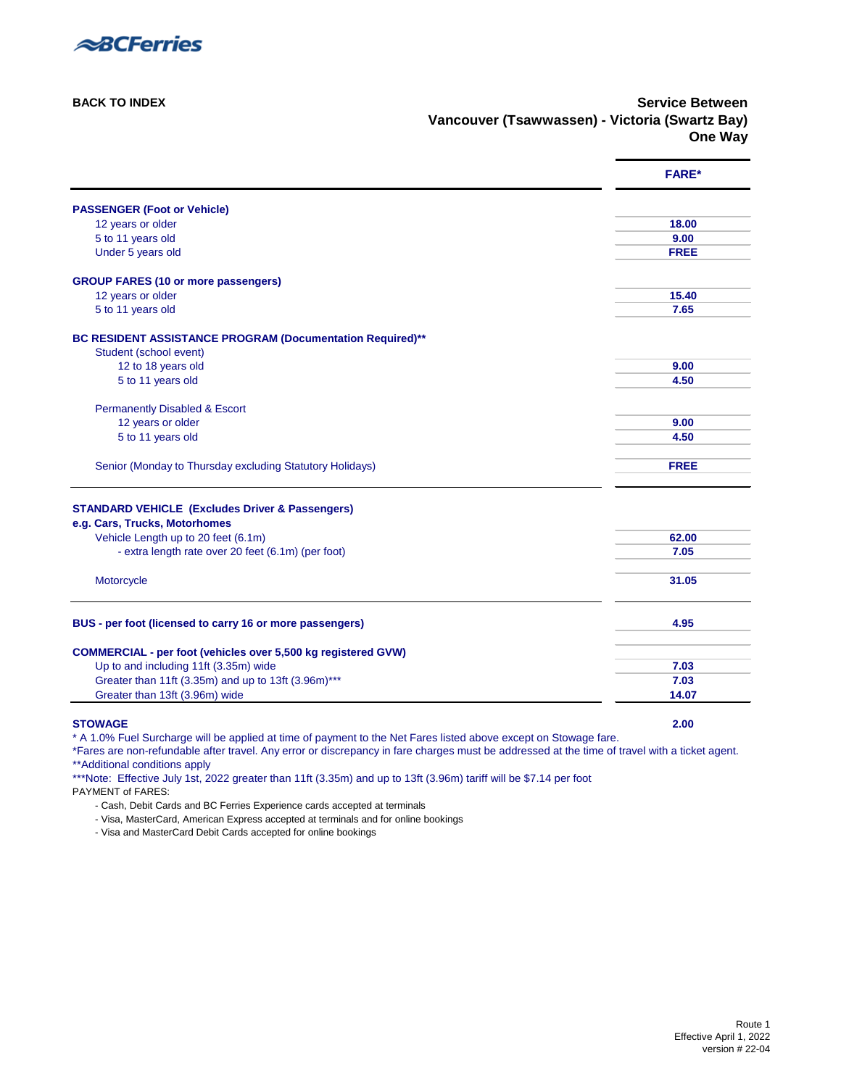

**[BACK TO INDEX](#page-0-0)** Service Between **Vancouver (Tsawwassen) - Victoria (Swartz Bay) One Way**

<span id="page-1-0"></span>

|                                                                                     | <b>FARE*</b> |
|-------------------------------------------------------------------------------------|--------------|
| <b>PASSENGER (Foot or Vehicle)</b>                                                  |              |
| 12 years or older                                                                   | 18.00        |
| 5 to 11 years old                                                                   | 9.00         |
| Under 5 years old                                                                   | <b>FREE</b>  |
| <b>GROUP FARES (10 or more passengers)</b>                                          |              |
| 12 years or older                                                                   | 15.40        |
| 5 to 11 years old                                                                   | 7.65         |
|                                                                                     |              |
| BC RESIDENT ASSISTANCE PROGRAM (Documentation Required)**<br>Student (school event) |              |
| 12 to 18 years old                                                                  | 9.00         |
| 5 to 11 years old                                                                   | 4.50         |
|                                                                                     |              |
| <b>Permanently Disabled &amp; Escort</b>                                            |              |
| 12 years or older                                                                   | 9.00         |
| 5 to 11 years old                                                                   | 4.50         |
|                                                                                     |              |
| Senior (Monday to Thursday excluding Statutory Holidays)                            | <b>FREE</b>  |
|                                                                                     |              |
| <b>STANDARD VEHICLE (Excludes Driver &amp; Passengers)</b>                          |              |
| e.g. Cars, Trucks, Motorhomes                                                       |              |
| Vehicle Length up to 20 feet (6.1m)                                                 | 62.00        |
| - extra length rate over 20 feet (6.1m) (per foot)                                  | 7.05         |
|                                                                                     |              |
| Motorcycle                                                                          | 31.05        |
| BUS - per foot (licensed to carry 16 or more passengers)                            | 4.95         |
|                                                                                     |              |
| <b>COMMERCIAL - per foot (vehicles over 5,500 kg registered GVW)</b>                |              |
| Up to and including 11ft (3.35m) wide                                               | 7.03         |
| Greater than 11ft (3.35m) and up to 13ft (3.96m)***                                 | 7.03         |
| Greater than 13ft (3.96m) wide                                                      | 14.07        |
|                                                                                     |              |

**STOWAGE 2.00**

\* A 1.0% Fuel Surcharge will be applied at time of payment to the Net Fares listed above except on Stowage fare.

\*Fares are non-refundable after travel. Any error or discrepancy in fare charges must be addressed at the time of travel with a ticket agent. [\\*\\*Additional conditions apply](#page-33-2)

\*\*\*Note: Effective July 1st, 2022 greater than 11ft (3.35m) and up to 13ft (3.96m) tariff will be \$7.14 per foot

PAYMENT of FARES:

- Cash, Debit Cards and BC Ferries Experience cards accepted at terminals

- Visa, MasterCard, American Express accepted at terminals and for online bookings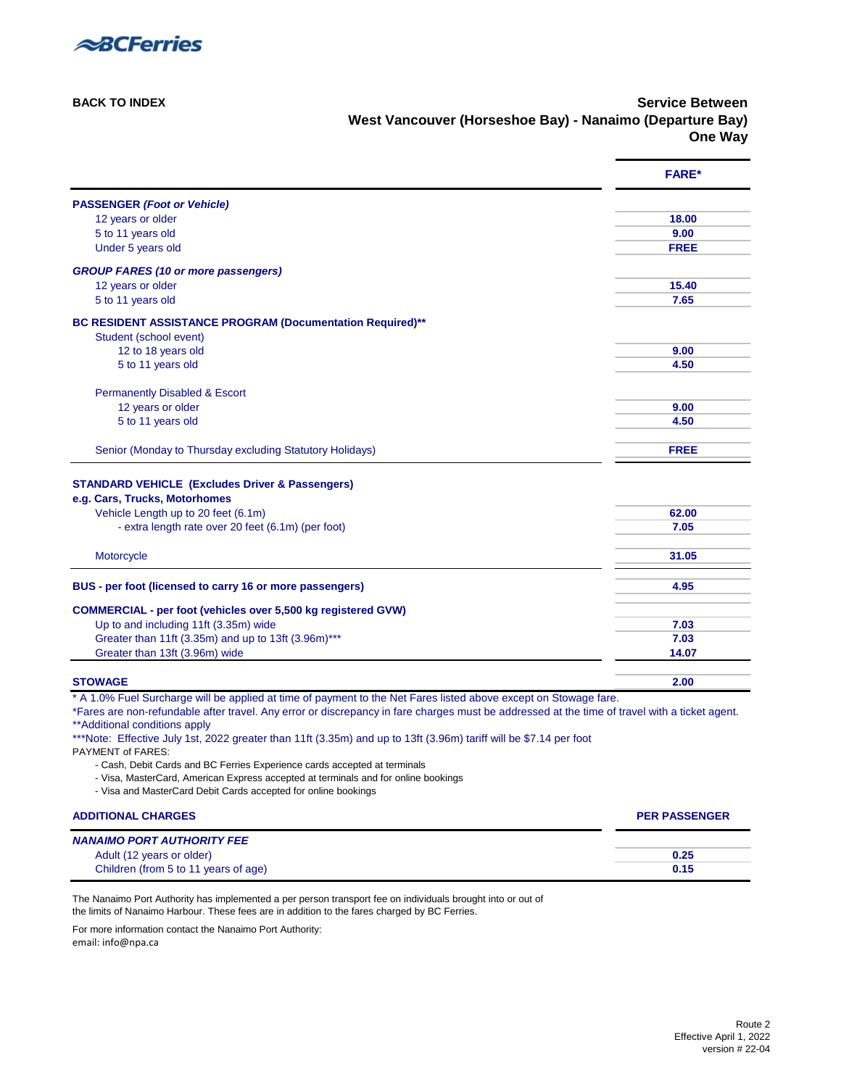

**[BACK TO INDEX](#page-0-0)** Service Between **West Vancouver (Horseshoe Bay) - Nanaimo (Departure Bay) One Way**

<span id="page-2-0"></span>

|                                                                                                                                                     | <b>FARE*</b> |
|-----------------------------------------------------------------------------------------------------------------------------------------------------|--------------|
| <b>PASSENGER (Foot or Vehicle)</b>                                                                                                                  |              |
| 12 years or older                                                                                                                                   | 18.00        |
| 5 to 11 years old                                                                                                                                   | 9.00         |
| Under 5 years old                                                                                                                                   | <b>FREE</b>  |
| <b>GROUP FARES (10 or more passengers)</b>                                                                                                          |              |
| 12 years or older                                                                                                                                   | 15.40        |
| 5 to 11 years old                                                                                                                                   | 7.65         |
| BC RESIDENT ASSISTANCE PROGRAM (Documentation Required)**<br>Student (school event)                                                                 |              |
| 12 to 18 years old                                                                                                                                  | 9.00         |
| 5 to 11 years old                                                                                                                                   | 4.50         |
| <b>Permanently Disabled &amp; Escort</b>                                                                                                            |              |
| 12 years or older                                                                                                                                   | 9.00         |
| 5 to 11 years old                                                                                                                                   | 4.50         |
| Senior (Monday to Thursday excluding Statutory Holidays)                                                                                            | <b>FREE</b>  |
| <b>STANDARD VEHICLE (Excludes Driver &amp; Passengers)</b><br>e.g. Cars, Trucks, Motorhomes                                                         | 62.00        |
| Vehicle Length up to 20 feet (6.1m)                                                                                                                 |              |
| - extra length rate over 20 feet (6.1m) (per foot)                                                                                                  | 7.05         |
| Motorcycle                                                                                                                                          | 31.05        |
| BUS - per foot (licensed to carry 16 or more passengers)                                                                                            | 4.95         |
| <b>COMMERCIAL - per foot (vehicles over 5,500 kg registered GVW)</b>                                                                                |              |
| Up to and including 11ft (3.35m) wide                                                                                                               | 7.03         |
| Greater than 11ft (3.35m) and up to 13ft (3.96m)***                                                                                                 | 7.03         |
| Greater than 13ft (3.96m) wide                                                                                                                      | 14.07        |
| <b>STOWAGE</b>                                                                                                                                      | 2.00         |
| * A 1.0% Fuel Surcharge will be applied at time of payment to the Net Fares listed above except on Stowage fare.                                    |              |
| *Fares are non-refundable after travel. Any error or discrepancy in fare charges must be addressed at the time of travel with a ticket agent.       |              |
| ** Additional conditions apply<br>***Note: Effective July 1st, 2022 greater than 11ft (3.35m) and up to 13ft (3.96m) tariff will be \$7.14 per foot |              |
| PAYMENT of FARES:                                                                                                                                   |              |
| - Cash, Debit Cards and BC Ferries Experience cards accepted at terminals                                                                           |              |
| - Visa, MasterCard, American Express accepted at terminals and for online bookings                                                                  |              |
| - Visa and MasterCard Debit Cards accepted for online bookings                                                                                      |              |

| <b>ADDITIONAL CHARGES</b>            | <b>PER PASSENGER</b> |
|--------------------------------------|----------------------|
| <b>NANAIMO PORT AUTHORITY FEE</b>    |                      |
| Adult (12 years or older)            | 0.25                 |
| Children (from 5 to 11 years of age) | 0.15                 |

The Nanaimo Port Authority has implemented a per person transport fee on individuals brought into or out of the limits of Nanaimo Harbour. These fees are in addition to the fares charged by BC Ferries.

For more information contact the Nanaimo Port Authority:

email: info@npa.ca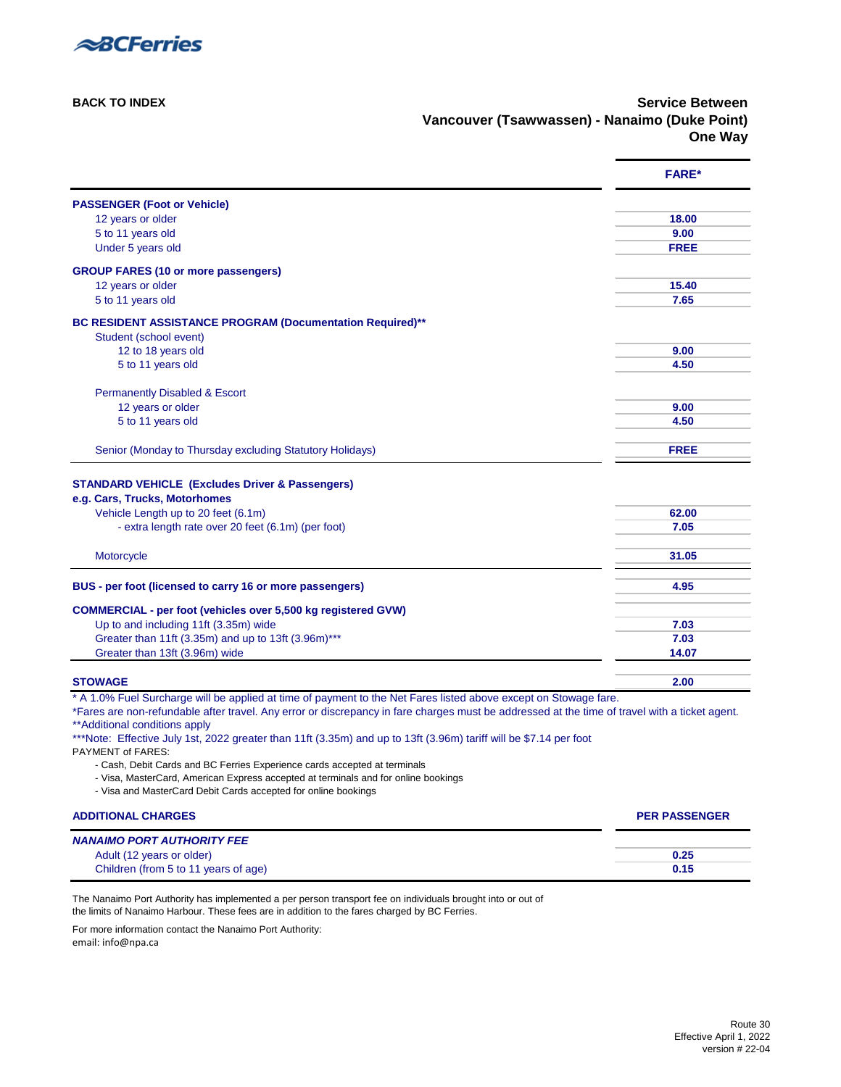

**[BACK TO INDEX](#page-0-0) Service Between Vancouver (Tsawwassen) - Nanaimo (Duke Point) One Way**

<span id="page-3-0"></span>

|                                                                                                                                               | <b>FARE*</b> |
|-----------------------------------------------------------------------------------------------------------------------------------------------|--------------|
| <b>PASSENGER (Foot or Vehicle)</b>                                                                                                            |              |
| 12 years or older                                                                                                                             | 18.00        |
| 5 to 11 years old                                                                                                                             | 9.00         |
| Under 5 years old                                                                                                                             | <b>FREE</b>  |
| <b>GROUP FARES (10 or more passengers)</b>                                                                                                    |              |
| 12 years or older                                                                                                                             | 15.40        |
| 5 to 11 years old                                                                                                                             | 7.65         |
| <b>BC RESIDENT ASSISTANCE PROGRAM (Documentation Required)**</b>                                                                              |              |
| Student (school event)                                                                                                                        |              |
| 12 to 18 years old                                                                                                                            | 9.00         |
| 5 to 11 years old                                                                                                                             | 4.50         |
| <b>Permanently Disabled &amp; Escort</b>                                                                                                      |              |
| 12 years or older                                                                                                                             | 9.00         |
| 5 to 11 years old                                                                                                                             | 4.50         |
| Senior (Monday to Thursday excluding Statutory Holidays)                                                                                      | <b>FREE</b>  |
| <b>STANDARD VEHICLE (Excludes Driver &amp; Passengers)</b>                                                                                    |              |
| e.g. Cars, Trucks, Motorhomes                                                                                                                 |              |
| Vehicle Length up to 20 feet (6.1m)                                                                                                           | 62.00        |
| - extra length rate over 20 feet (6.1m) (per foot)                                                                                            | 7.05         |
|                                                                                                                                               |              |
| Motorcycle                                                                                                                                    | 31.05        |
|                                                                                                                                               |              |
| BUS - per foot (licensed to carry 16 or more passengers)                                                                                      | 4.95         |
| <b>COMMERCIAL - per foot (vehicles over 5,500 kg registered GVW)</b>                                                                          |              |
| Up to and including 11ft (3.35m) wide                                                                                                         | 7.03         |
| Greater than 11ft (3.35m) and up to 13ft (3.96m)***                                                                                           | 7.03         |
| Greater than 13ft (3.96m) wide                                                                                                                | 14.07        |
| <b>STOWAGE</b>                                                                                                                                | 2.00         |
| * A 1.0% Fuel Surcharge will be applied at time of payment to the Net Fares listed above except on Stowage fare.                              |              |
| *Fares are non-refundable after travel. Any error or discrepancy in fare charges must be addressed at the time of travel with a ticket agent. |              |
| ** Additional conditions apply                                                                                                                |              |
| ***Note: Effective July 1st, 2022 greater than 11ft (3.35m) and up to 13ft (3.96m) tariff will be \$7.14 per foot                             |              |
| PAYMENT of FARES:                                                                                                                             |              |
| - Cash, Debit Cards and BC Ferries Experience cards accepted at terminals                                                                     |              |
| - Visa, MasterCard, American Express accepted at terminals and for online bookings                                                            |              |

- Visa and MasterCard Debit Cards accepted for online bookings

| <b>ADDITIONAL CHARGES</b>            | <b>PER PASSENGER</b> |
|--------------------------------------|----------------------|
| <b>NANAIMO PORT AUTHORITY FEE</b>    |                      |
| Adult (12 years or older)            | 0.25                 |
| Children (from 5 to 11 years of age) | 0.15                 |

The Nanaimo Port Authority has implemented a per person transport fee on individuals brought into or out of the limits of Nanaimo Harbour. These fees are in addition to the fares charged by BC Ferries.

For more information contact the Nanaimo Port Authority:

email: info@npa.ca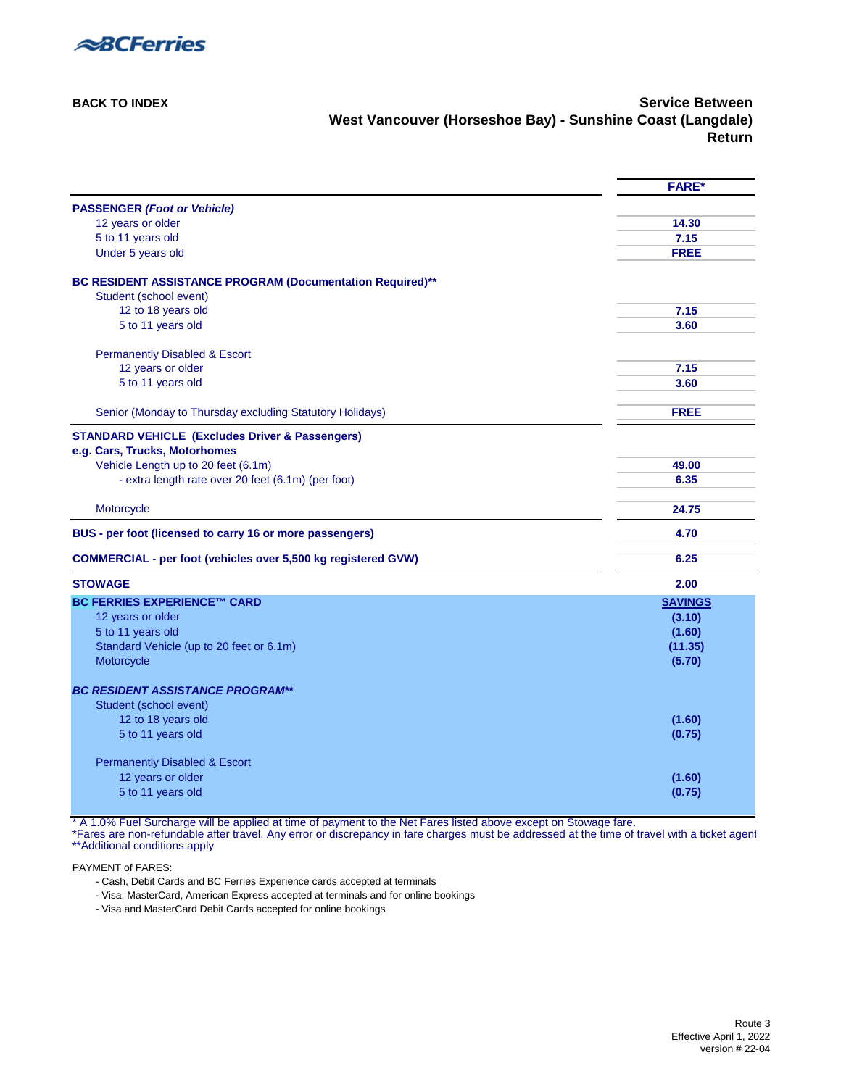

**[BACK TO INDEX](#page-0-1) Service Between West Vancouver (Horseshoe Bay) - Sunshine Coast (Langdale) Return**

<span id="page-4-0"></span>

|                                                                      | <b>FARE*</b>   |
|----------------------------------------------------------------------|----------------|
| <b>PASSENGER (Foot or Vehicle)</b>                                   |                |
| 12 years or older                                                    | 14.30          |
| 5 to 11 years old                                                    | 7.15           |
| Under 5 years old                                                    | <b>FREE</b>    |
| BC RESIDENT ASSISTANCE PROGRAM (Documentation Required)**            |                |
| Student (school event)                                               |                |
| 12 to 18 years old                                                   | 7.15           |
| 5 to 11 years old                                                    | 3.60           |
| <b>Permanently Disabled &amp; Escort</b>                             |                |
| 12 years or older                                                    | 7.15           |
| 5 to 11 years old                                                    | 3.60           |
| Senior (Monday to Thursday excluding Statutory Holidays)             | <b>FREE</b>    |
| <b>STANDARD VEHICLE (Excludes Driver &amp; Passengers)</b>           |                |
| e.g. Cars, Trucks, Motorhomes                                        |                |
| Vehicle Length up to 20 feet (6.1m)                                  | 49.00          |
| - extra length rate over 20 feet (6.1m) (per foot)                   | 6.35           |
| Motorcycle                                                           | 24.75          |
| BUS - per foot (licensed to carry 16 or more passengers)             | 4.70           |
| <b>COMMERCIAL - per foot (vehicles over 5,500 kg registered GVW)</b> | 6.25           |
| <b>STOWAGE</b>                                                       | 2.00           |
| <b>BC FERRIES EXPERIENCE™ CARD</b>                                   | <b>SAVINGS</b> |
| 12 years or older                                                    | (3.10)         |
| 5 to 11 years old                                                    | (1.60)         |
| Standard Vehicle (up to 20 feet or 6.1m)                             | (11.35)        |
| Motorcycle                                                           | (5.70)         |
| <b>BC RESIDENT ASSISTANCE PROGRAM**</b>                              |                |
| Student (school event)                                               |                |
| 12 to 18 years old                                                   | (1.60)         |
| 5 to 11 years old                                                    | (0.75)         |
| <b>Permanently Disabled &amp; Escort</b>                             |                |
| 12 years or older                                                    | (1.60)         |
| 5 to 11 years old                                                    | (0.75)         |

\* A 1.0% Fuel Surcharge will be applied at time of payment to the Net Fares listed above except on Stowage fare.

\*Fares are non-refundable after travel. Any error or discrepancy in fare charges must be addressed at the time of travel with a ticket agent [\\*\\*Additional conditions apply](#page-33-3) 

PAYMENT of FARES:

- Cash, Debit Cards and BC Ferries Experience cards accepted at terminals

- Visa, MasterCard, American Express accepted at terminals and for online bookings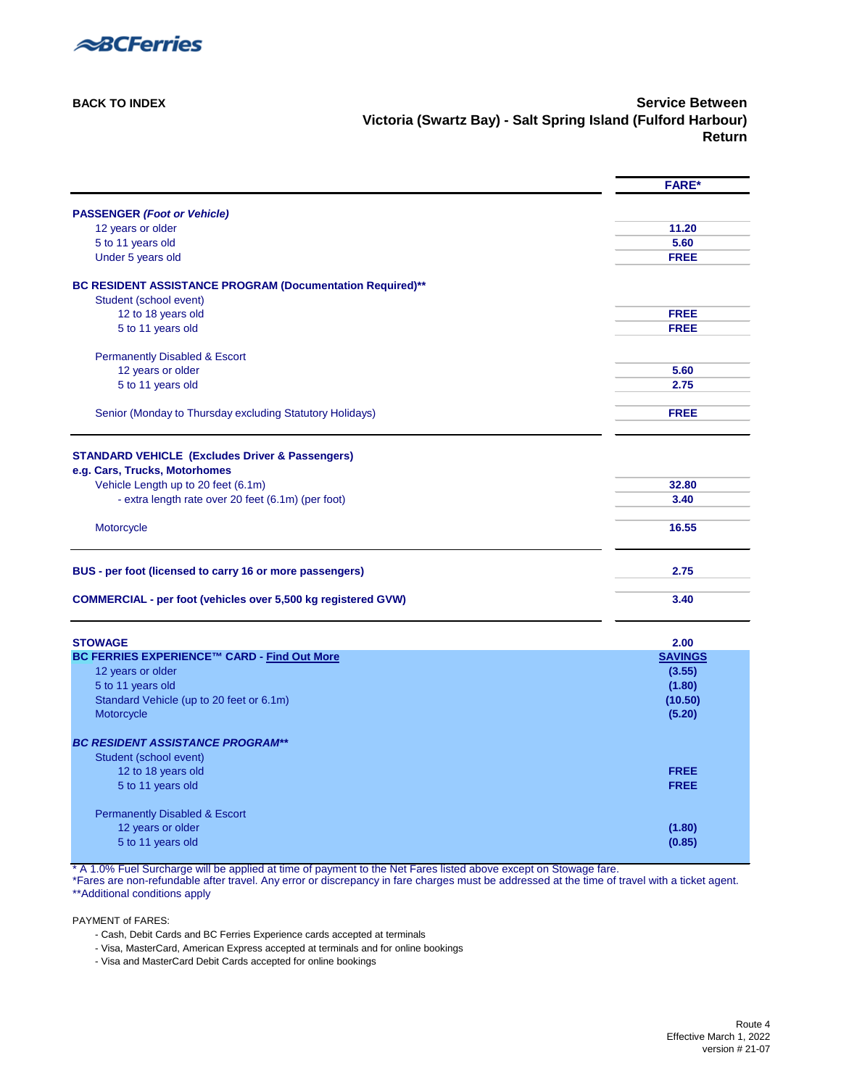

**[BACK TO INDEX](#page-0-0)** Service Between **Victoria (Swartz Bay) - Salt Spring Island (Fulford Harbour) Return**

<span id="page-5-0"></span>

|                                                                                     | <b>FARE*</b>   |
|-------------------------------------------------------------------------------------|----------------|
| <b>PASSENGER (Foot or Vehicle)</b>                                                  |                |
| 12 years or older                                                                   | 11.20          |
| 5 to 11 years old                                                                   | 5.60           |
| Under 5 years old                                                                   | <b>FREE</b>    |
| BC RESIDENT ASSISTANCE PROGRAM (Documentation Required)**<br>Student (school event) |                |
| 12 to 18 years old                                                                  | <b>FREE</b>    |
| 5 to 11 years old                                                                   | <b>FREE</b>    |
| <b>Permanently Disabled &amp; Escort</b>                                            |                |
| 12 years or older                                                                   | 5.60           |
| 5 to 11 years old                                                                   | 2.75           |
| Senior (Monday to Thursday excluding Statutory Holidays)                            | <b>FREE</b>    |
|                                                                                     |                |
| <b>STANDARD VEHICLE (Excludes Driver &amp; Passengers)</b>                          |                |
| e.g. Cars, Trucks, Motorhomes<br>Vehicle Length up to 20 feet (6.1m)                | 32.80          |
| - extra length rate over 20 feet (6.1m) (per foot)                                  | 3.40           |
|                                                                                     |                |
| Motorcycle                                                                          | 16.55          |
| BUS - per foot (licensed to carry 16 or more passengers)                            | 2.75           |
| <b>COMMERCIAL - per foot (vehicles over 5,500 kg registered GVW)</b>                | 3.40           |
| <b>STOWAGE</b>                                                                      | 2.00           |
| BC FERRIES EXPERIENCE™ CARD - Find Out More                                         | <b>SAVINGS</b> |
| 12 years or older                                                                   | (3.55)         |
| 5 to 11 years old                                                                   | (1.80)         |
| Standard Vehicle (up to 20 feet or 6.1m)                                            | (10.50)        |
| Motorcycle                                                                          | (5.20)         |
| <b>BC RESIDENT ASSISTANCE PROGRAM**</b>                                             |                |
| Student (school event)                                                              |                |
| 12 to 18 years old                                                                  | <b>FREE</b>    |
| 5 to 11 years old                                                                   | <b>FREE</b>    |
| <b>Permanently Disabled &amp; Escort</b>                                            |                |
| 12 years or older                                                                   | (1.80)         |
| 5 to 11 years old                                                                   | (0.85)         |

\* A 1.0% Fuel Surcharge will be applied at time of payment to the Net Fares listed above except on Stowage fare.

\*Fares are non-refundable after travel. Any error or discrepancy in fare charges must be addressed at the time of travel with a ticket agent. [\\*\\*Additional conditions apply](#page-33-2) 

- Cash, Debit Cards and BC Ferries Experience cards accepted at terminals
- Visa, MasterCard, American Express accepted at terminals and for online bookings
- Visa and MasterCard Debit Cards accepted for online bookings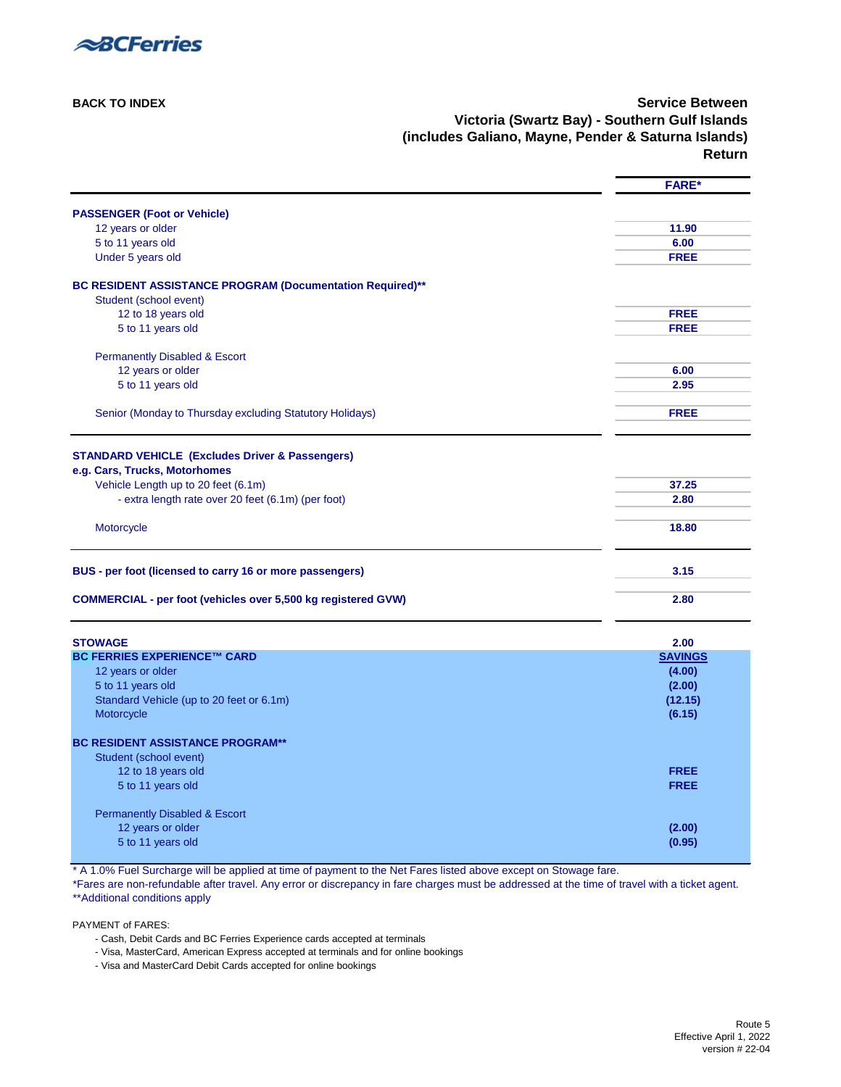

**[BACK TO INDEX](#page-0-0) Service Between Victoria (Swartz Bay) - Southern Gulf Islands (includes Galiano, Mayne, Pender & Saturna Islands) Return**

<span id="page-6-0"></span>

|                                                                                           | <b>FARE*</b>   |
|-------------------------------------------------------------------------------------------|----------------|
| <b>PASSENGER (Foot or Vehicle)</b>                                                        |                |
| 12 years or older                                                                         | 11.90          |
| 5 to 11 years old                                                                         | 6.00           |
| Under 5 years old                                                                         | <b>FREE</b>    |
| BC RESIDENT ASSISTANCE PROGRAM (Documentation Required)**                                 |                |
| Student (school event)<br>12 to 18 years old                                              | <b>FREE</b>    |
| 5 to 11 years old                                                                         | <b>FREE</b>    |
|                                                                                           |                |
| <b>Permanently Disabled &amp; Escort</b>                                                  |                |
| 12 years or older                                                                         | 6.00           |
| 5 to 11 years old                                                                         | 2.95           |
|                                                                                           |                |
| Senior (Monday to Thursday excluding Statutory Holidays)                                  | <b>FREE</b>    |
|                                                                                           |                |
| <b>STANDARD VEHICLE (Excludes Driver &amp; Passengers)</b>                                |                |
| e.g. Cars, Trucks, Motorhomes                                                             |                |
| Vehicle Length up to 20 feet (6.1m)<br>- extra length rate over 20 feet (6.1m) (per foot) | 37.25<br>2.80  |
|                                                                                           |                |
| Motorcycle                                                                                | 18.80          |
| BUS - per foot (licensed to carry 16 or more passengers)                                  | 3.15           |
| <b>COMMERCIAL - per foot (vehicles over 5,500 kg registered GVW)</b>                      | 2.80           |
| <b>STOWAGE</b>                                                                            | 2.00           |
| <b>BC FERRIES EXPERIENCE™ CARD</b>                                                        | <b>SAVINGS</b> |
| 12 years or older                                                                         | (4.00)         |
| 5 to 11 years old                                                                         | (2.00)         |
| Standard Vehicle (up to 20 feet or 6.1m)                                                  | (12.15)        |
| Motorcycle                                                                                | (6.15)         |
| <b>BC RESIDENT ASSISTANCE PROGRAM**</b>                                                   |                |
| Student (school event)                                                                    |                |
| 12 to 18 years old                                                                        | <b>FREE</b>    |
| 5 to 11 years old                                                                         | <b>FREE</b>    |
| <b>Permanently Disabled &amp; Escort</b>                                                  |                |
| 12 years or older                                                                         | (2.00)         |
| 5 to 11 years old                                                                         | (0.95)         |

\* A 1.0% Fuel Surcharge will be applied at time of payment to the Net Fares listed above except on Stowage fare.

\*Fares are non-refundable after travel. Any error or discrepancy in fare charges must be addressed at the time of travel with a ticket agent. [\\*\\*Additional conditions apply](#page-33-2) 

- Cash, Debit Cards and BC Ferries Experience cards accepted at terminals
- Visa, MasterCard, American Express accepted at terminals and for online bookings
- Visa and MasterCard Debit Cards accepted for online bookings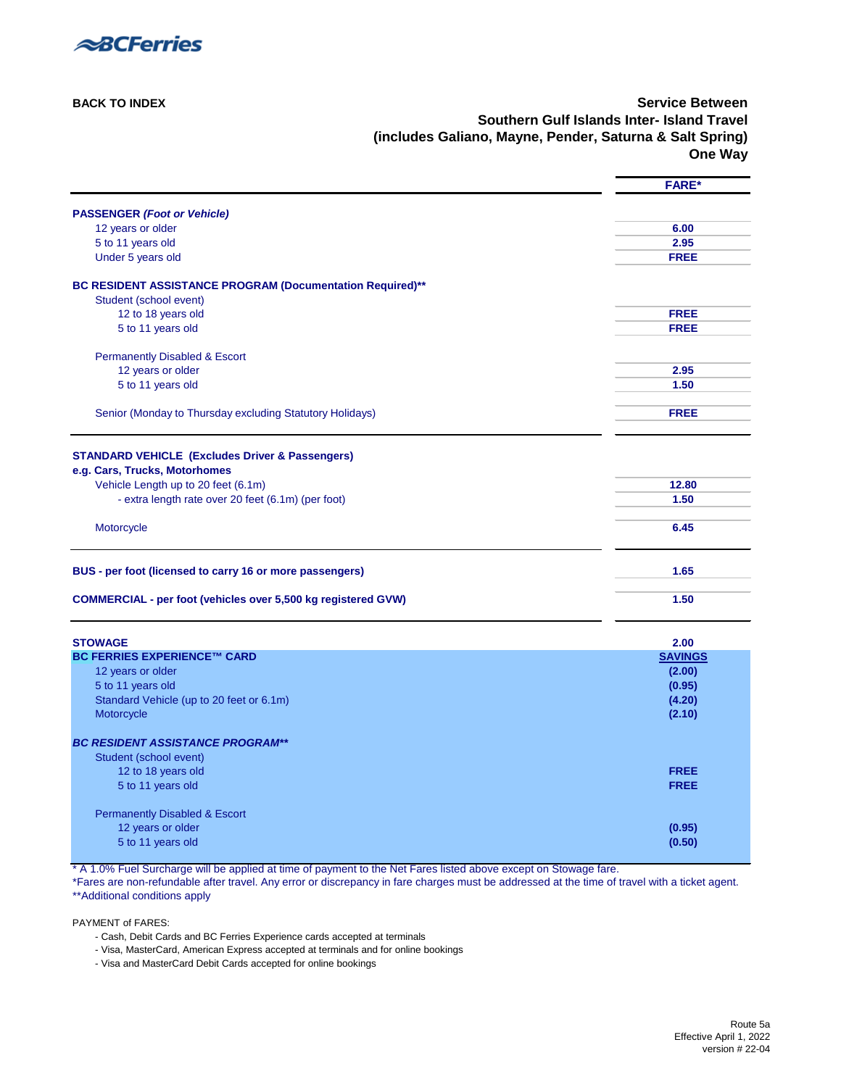

**[BACK TO INDEX](#page-0-0) Service Between Southern Gulf Islands Inter- Island Travel (includes Galiano, Mayne, Pender, Saturna & Salt Spring) One Way**

<span id="page-7-0"></span>

|                                                                      | <b>FARE*</b>   |
|----------------------------------------------------------------------|----------------|
| <b>PASSENGER (Foot or Vehicle)</b>                                   |                |
| 12 years or older                                                    | 6.00           |
| 5 to 11 years old                                                    | 2.95           |
| Under 5 years old                                                    | <b>FREE</b>    |
| BC RESIDENT ASSISTANCE PROGRAM (Documentation Required)**            |                |
| Student (school event)                                               |                |
| 12 to 18 years old                                                   | <b>FREE</b>    |
| 5 to 11 years old                                                    | <b>FREE</b>    |
| <b>Permanently Disabled &amp; Escort</b>                             |                |
| 12 years or older                                                    | 2.95           |
| 5 to 11 years old                                                    | 1.50           |
| Senior (Monday to Thursday excluding Statutory Holidays)             | <b>FREE</b>    |
|                                                                      |                |
| <b>STANDARD VEHICLE (Excludes Driver &amp; Passengers)</b>           |                |
| e.g. Cars, Trucks, Motorhomes<br>Vehicle Length up to 20 feet (6.1m) | 12.80          |
| - extra length rate over 20 feet (6.1m) (per foot)                   | 1.50           |
|                                                                      |                |
| Motorcycle                                                           | 6.45           |
| BUS - per foot (licensed to carry 16 or more passengers)             | 1.65           |
| <b>COMMERCIAL - per foot (vehicles over 5,500 kg registered GVW)</b> | 1.50           |
| <b>STOWAGE</b>                                                       | 2.00           |
| <b>BC FERRIES EXPERIENCE™ CARD</b>                                   | <b>SAVINGS</b> |
| 12 years or older                                                    | (2.00)         |
| 5 to 11 years old                                                    | (0.95)         |
| Standard Vehicle (up to 20 feet or 6.1m)                             | (4.20)         |
| Motorcycle                                                           | (2.10)         |
| <b>BC RESIDENT ASSISTANCE PROGRAM**</b>                              |                |
| Student (school event)                                               |                |
| 12 to 18 years old                                                   | <b>FREE</b>    |
| 5 to 11 years old                                                    | <b>FREE</b>    |
| <b>Permanently Disabled &amp; Escort</b>                             |                |
| 12 years or older                                                    | (0.95)         |
| 5 to 11 years old                                                    | (0.50)         |

\* A 1.0% Fuel Surcharge will be applied at time of payment to the Net Fares listed above except on Stowage fare.

\*Fares are non-refundable after travel. Any error or discrepancy in fare charges must be addressed at the time of travel with a ticket agent. [\\*\\*Additional conditions apply](#page-33-2) 

- Cash, Debit Cards and BC Ferries Experience cards accepted at terminals
- Visa, MasterCard, American Express accepted at terminals and for online bookings
- Visa and MasterCard Debit Cards accepted for online bookings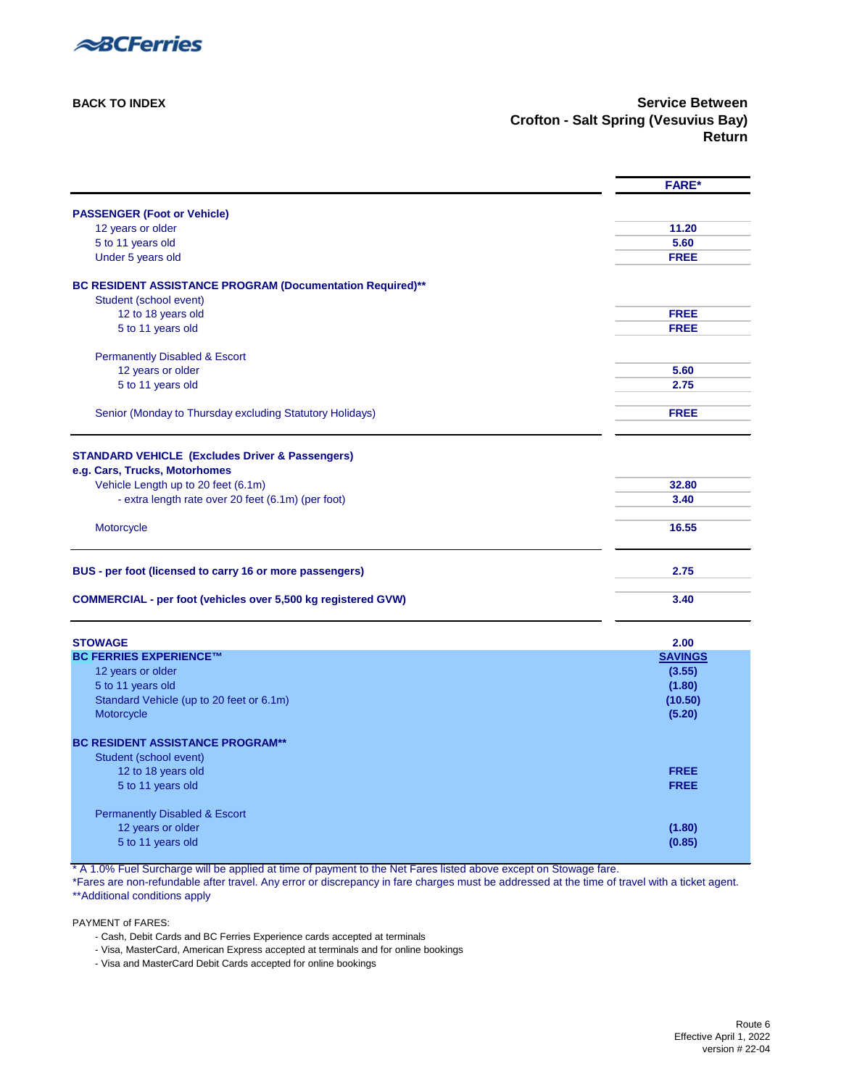

<span id="page-8-0"></span>

|                                                                                     | <b>FARE*</b>   |
|-------------------------------------------------------------------------------------|----------------|
| <b>PASSENGER (Foot or Vehicle)</b>                                                  |                |
| 12 years or older                                                                   | 11.20          |
| 5 to 11 years old                                                                   | 5.60           |
| Under 5 years old                                                                   | <b>FREE</b>    |
| BC RESIDENT ASSISTANCE PROGRAM (Documentation Required)**<br>Student (school event) |                |
| 12 to 18 years old                                                                  | <b>FREE</b>    |
| 5 to 11 years old                                                                   | <b>FREE</b>    |
| <b>Permanently Disabled &amp; Escort</b>                                            |                |
| 12 years or older                                                                   | 5.60           |
| 5 to 11 years old                                                                   | 2.75           |
| Senior (Monday to Thursday excluding Statutory Holidays)                            | <b>FREE</b>    |
| <b>STANDARD VEHICLE (Excludes Driver &amp; Passengers)</b>                          |                |
| e.g. Cars, Trucks, Motorhomes                                                       |                |
| Vehicle Length up to 20 feet (6.1m)                                                 | 32.80          |
| - extra length rate over 20 feet (6.1m) (per foot)                                  | 3.40           |
| Motorcycle                                                                          | 16.55          |
| BUS - per foot (licensed to carry 16 or more passengers)                            | 2.75           |
| <b>COMMERCIAL - per foot (vehicles over 5,500 kg registered GVW)</b>                | 3.40           |
| <b>STOWAGE</b>                                                                      | 2.00           |
| <b>BC FERRIES EXPERIENCE™</b>                                                       | <b>SAVINGS</b> |
| 12 years or older                                                                   | (3.55)         |
| 5 to 11 years old                                                                   | (1.80)         |
| Standard Vehicle (up to 20 feet or 6.1m)                                            | (10.50)        |
| Motorcycle                                                                          | (5.20)         |
| <b>BC RESIDENT ASSISTANCE PROGRAM**</b>                                             |                |
| Student (school event)                                                              |                |
| 12 to 18 years old                                                                  | <b>FREE</b>    |
| 5 to 11 years old                                                                   | <b>FREE</b>    |
| <b>Permanently Disabled &amp; Escort</b>                                            |                |
| 12 years or older                                                                   | (1.80)         |
| 5 to 11 years old                                                                   | (0.85)         |
|                                                                                     |                |

\* A 1.0% Fuel Surcharge will be applied at time of payment to the Net Fares listed above except on Stowage fare.

\*Fares are non-refundable after travel. Any error or discrepancy in fare charges must be addressed at the time of travel with a ticket agent. [\\*\\*Additional conditions apply](#page-33-2)

- Cash, Debit Cards and BC Ferries Experience cards accepted at terminals
- Visa, MasterCard, American Express accepted at terminals and for online bookings
- Visa and MasterCard Debit Cards accepted for online bookings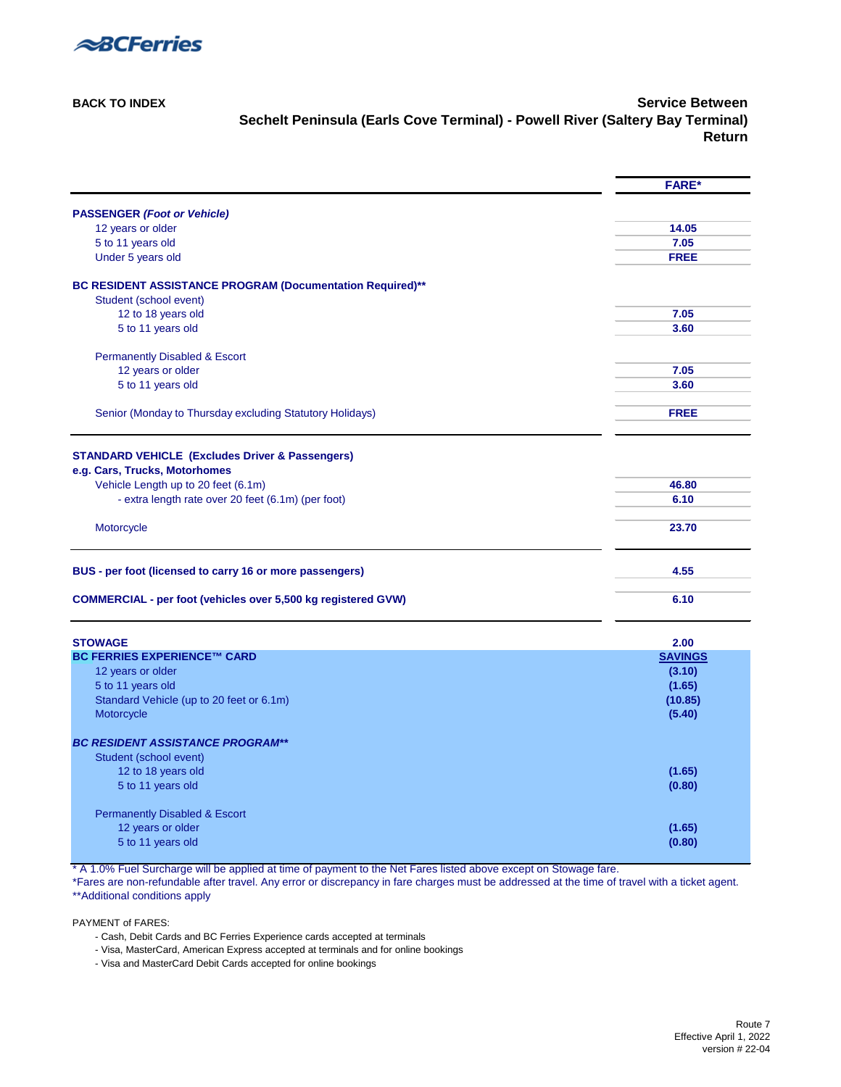

**[BACK TO INDEX](#page-0-0) Service Between Sechelt Peninsula (Earls Cove Terminal) - Powell River (Saltery Bay Terminal) Return**

<span id="page-9-0"></span>

|                                                                      | <b>FARE*</b>   |
|----------------------------------------------------------------------|----------------|
| <b>PASSENGER (Foot or Vehicle)</b>                                   |                |
| 12 years or older                                                    | 14.05          |
| 5 to 11 years old                                                    | 7.05           |
| Under 5 years old                                                    | <b>FREE</b>    |
| BC RESIDENT ASSISTANCE PROGRAM (Documentation Required)**            |                |
| Student (school event)                                               |                |
| 12 to 18 years old                                                   | 7.05           |
| 5 to 11 years old                                                    | 3.60           |
| <b>Permanently Disabled &amp; Escort</b>                             |                |
| 12 years or older                                                    | 7.05           |
| 5 to 11 years old                                                    | 3.60           |
| Senior (Monday to Thursday excluding Statutory Holidays)             | <b>FREE</b>    |
| <b>STANDARD VEHICLE (Excludes Driver &amp; Passengers)</b>           |                |
| e.g. Cars, Trucks, Motorhomes                                        |                |
| Vehicle Length up to 20 feet (6.1m)                                  | 46.80          |
| - extra length rate over 20 feet (6.1m) (per foot)                   | 6.10           |
| Motorcycle                                                           | 23.70          |
| BUS - per foot (licensed to carry 16 or more passengers)             | 4.55           |
| <b>COMMERCIAL - per foot (vehicles over 5,500 kg registered GVW)</b> | 6.10           |
| <b>STOWAGE</b>                                                       | 2.00           |
| <b>BC FERRIES EXPERIENCE™ CARD</b>                                   | <b>SAVINGS</b> |
| 12 years or older                                                    | (3.10)         |
| 5 to 11 years old                                                    | (1.65)         |
| Standard Vehicle (up to 20 feet or 6.1m)                             | (10.85)        |
| Motorcycle                                                           | (5.40)         |
| <b>BC RESIDENT ASSISTANCE PROGRAM**</b>                              |                |
| Student (school event)                                               |                |
| 12 to 18 years old                                                   | (1.65)         |
| 5 to 11 years old                                                    | (0.80)         |
| <b>Permanently Disabled &amp; Escort</b>                             |                |
| 12 years or older                                                    | (1.65)         |
| 5 to 11 years old                                                    | (0.80)         |

\* A 1.0% Fuel Surcharge will be applied at time of payment to the Net Fares listed above except on Stowage fare.

\*Fares are non-refundable after travel. Any error or discrepancy in fare charges must be addressed at the time of travel with a ticket agent. [\\*\\*Additional conditions apply](#page-33-2)

- Cash, Debit Cards and BC Ferries Experience cards accepted at terminals
- Visa, MasterCard, American Express accepted at terminals and for online bookings
- Visa and MasterCard Debit Cards accepted for online bookings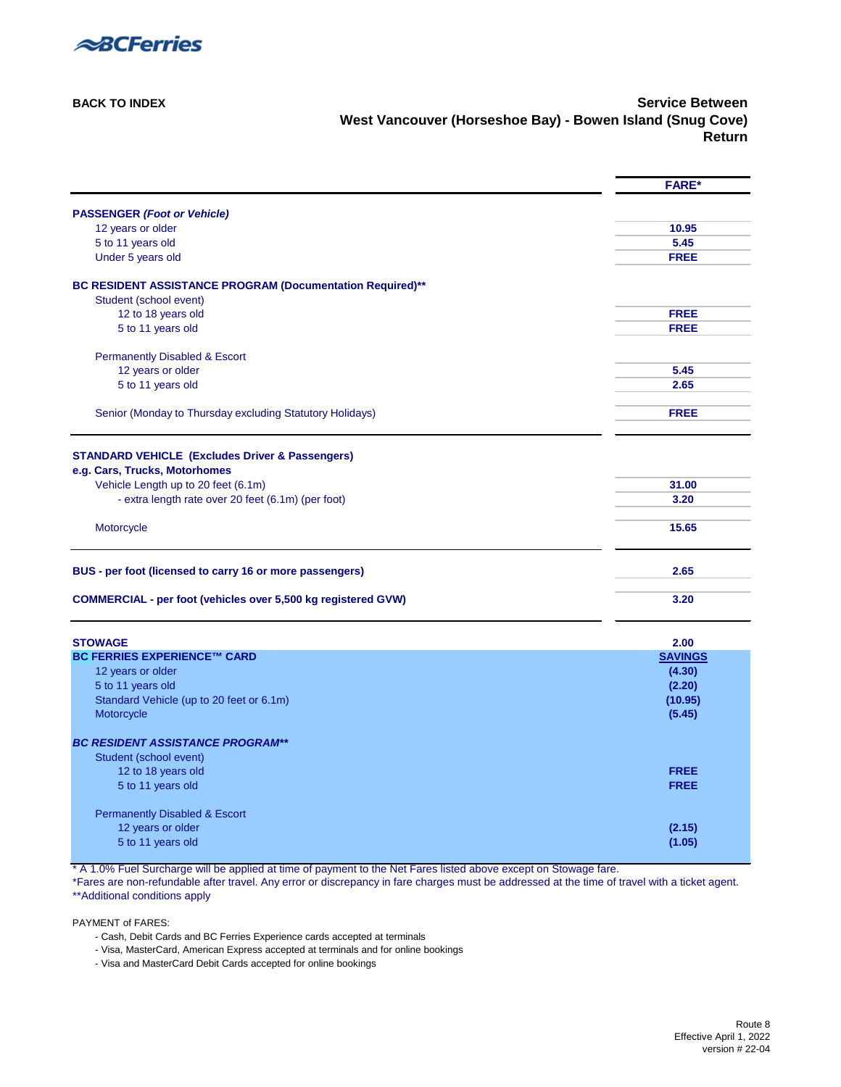

**[BACK TO INDEX](#page-0-0)** Service Between **West Vancouver (Horseshoe Bay) - Bowen Island (Snug Cove) Return**

<span id="page-10-0"></span>

|                                                                      | <b>FARE*</b>   |
|----------------------------------------------------------------------|----------------|
| <b>PASSENGER (Foot or Vehicle)</b>                                   |                |
| 12 years or older                                                    | 10.95          |
| 5 to 11 years old                                                    | 5.45           |
| Under 5 years old                                                    | <b>FREE</b>    |
| BC RESIDENT ASSISTANCE PROGRAM (Documentation Required)**            |                |
| Student (school event)                                               |                |
| 12 to 18 years old                                                   | <b>FREE</b>    |
| 5 to 11 years old                                                    | <b>FREE</b>    |
| <b>Permanently Disabled &amp; Escort</b>                             |                |
| 12 years or older                                                    | 5.45           |
| 5 to 11 years old                                                    | 2.65           |
| Senior (Monday to Thursday excluding Statutory Holidays)             | <b>FREE</b>    |
|                                                                      |                |
| <b>STANDARD VEHICLE (Excludes Driver &amp; Passengers)</b>           |                |
| e.g. Cars, Trucks, Motorhomes                                        |                |
| Vehicle Length up to 20 feet (6.1m)                                  | 31.00          |
| - extra length rate over 20 feet (6.1m) (per foot)                   | 3.20           |
| Motorcycle                                                           | 15.65          |
| BUS - per foot (licensed to carry 16 or more passengers)             | 2.65           |
| <b>COMMERCIAL - per foot (vehicles over 5,500 kg registered GVW)</b> | 3.20           |
| <b>STOWAGE</b>                                                       | 2.00           |
| <b>BC FERRIES EXPERIENCE™ CARD</b>                                   | <b>SAVINGS</b> |
| 12 years or older                                                    | (4.30)         |
| 5 to 11 years old                                                    | (2.20)         |
| Standard Vehicle (up to 20 feet or 6.1m)                             | (10.95)        |
| Motorcycle                                                           | (5.45)         |
| <b>BC RESIDENT ASSISTANCE PROGRAM**</b>                              |                |
| Student (school event)                                               |                |
| 12 to 18 years old                                                   | <b>FREE</b>    |
| 5 to 11 years old                                                    | <b>FREE</b>    |
| <b>Permanently Disabled &amp; Escort</b>                             |                |
| 12 years or older                                                    | (2.15)         |
| 5 to 11 years old                                                    | (1.05)         |
|                                                                      |                |

\* A 1.0% Fuel Surcharge will be applied at time of payment to the Net Fares listed above except on Stowage fare.

\*Fares are non-refundable after travel. Any error or discrepancy in fare charges must be addressed at the time of travel with a ticket agent. [\\*\\*Additional conditions apply](#page-33-2) 

PAYMENT of FARES:

- Cash, Debit Cards and BC Ferries Experience cards accepted at terminals

- Visa, MasterCard, American Express accepted at terminals and for online bookings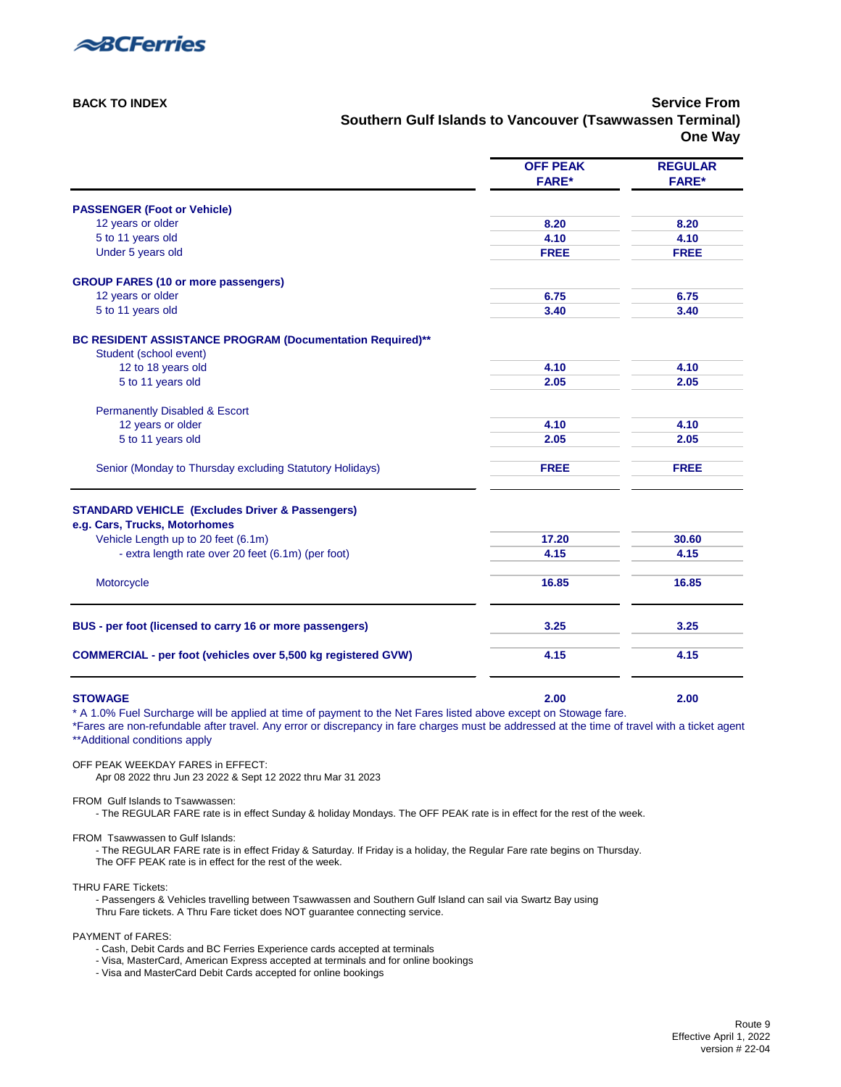

**[BACK TO INDEX](#page-0-2) Service From Southern Gulf Islands to Vancouver (Tsawwassen Terminal) One Way**

<span id="page-11-0"></span>

|                                                                                                                                                                                | <b>FARE*</b> | <b>FARE*</b> |
|--------------------------------------------------------------------------------------------------------------------------------------------------------------------------------|--------------|--------------|
|                                                                                                                                                                                |              |              |
| <b>PASSENGER (Foot or Vehicle)</b>                                                                                                                                             |              |              |
| 12 years or older                                                                                                                                                              | 8.20         | 8.20         |
| 5 to 11 years old                                                                                                                                                              | 4.10         | 4.10         |
| Under 5 years old                                                                                                                                                              | <b>FREE</b>  | <b>FREE</b>  |
| <b>GROUP FARES (10 or more passengers)</b>                                                                                                                                     |              |              |
| 12 years or older                                                                                                                                                              | 6.75         | 6.75         |
| 5 to 11 years old                                                                                                                                                              | 3.40         | 3.40         |
| BC RESIDENT ASSISTANCE PROGRAM (Documentation Required)**                                                                                                                      |              |              |
| Student (school event)                                                                                                                                                         |              |              |
| 12 to 18 years old                                                                                                                                                             | 4.10         | 4.10         |
| 5 to 11 years old                                                                                                                                                              | 2.05         | 2.05         |
| <b>Permanently Disabled &amp; Escort</b>                                                                                                                                       |              |              |
| 12 years or older                                                                                                                                                              | 4.10         | 4.10         |
| 5 to 11 years old                                                                                                                                                              | 2.05         | 2.05         |
| Senior (Monday to Thursday excluding Statutory Holidays)                                                                                                                       | <b>FREE</b>  | <b>FREE</b>  |
|                                                                                                                                                                                |              |              |
| <b>STANDARD VEHICLE (Excludes Driver &amp; Passengers)</b><br>e.g. Cars, Trucks, Motorhomes                                                                                    |              |              |
| Vehicle Length up to 20 feet (6.1m)                                                                                                                                            | 17.20        | 30.60        |
| - extra length rate over 20 feet (6.1m) (per foot)                                                                                                                             | 4.15         | 4.15         |
|                                                                                                                                                                                |              |              |
| Motorcycle                                                                                                                                                                     | 16.85        | 16.85        |
| BUS - per foot (licensed to carry 16 or more passengers)                                                                                                                       | 3.25         | 3.25         |
|                                                                                                                                                                                |              |              |
| <b>COMMERCIAL - per foot (vehicles over 5,500 kg registered GVW)</b>                                                                                                           | 4.15         | 4.15         |
|                                                                                                                                                                                |              |              |
| <b>STOWAGE</b><br>* A 1.0% Fuel Surcharge will be applied at time of payment to the Net Fares listed above except on Stowage fare.                                             | 2.00         | 2.00         |
| *Fares are non-refundable after travel. Any error or discrepancy in fare charges must be addressed at the time of travel with a ticket agent<br>** Additional conditions apply |              |              |

OFF PEAK WEEKDAY FARES in EFFECT: Apr 08 2022 thru Jun 23 2022 & Sept 12 2022 thru Mar 31 2023

FROM Gulf Islands to Tsawwassen:

- The REGULAR FARE rate is in effect Sunday & holiday Mondays. The OFF PEAK rate is in effect for the rest of the week.

FROM Tsawwassen to Gulf Islands:

- The REGULAR FARE rate is in effect Friday & Saturday. If Friday is a holiday, the Regular Fare rate begins on Thursday. The OFF PEAK rate is in effect for the rest of the week.

THRU FARE Tickets:

- Passengers & Vehicles travelling between Tsawwassen and Southern Gulf Island can sail via Swartz Bay using [Thru Fare tickets. A Thru Fare ticket does NOT guarantee connecting service.](https://www.bcferries.com/routes-fares/ferry-fares/thru-fare) 

PAYMENT of FARES:

- Cash, Debit Cards and BC Ferries Experience cards accepted at terminals

- Visa, MasterCard, American Express accepted at terminals and for online bookings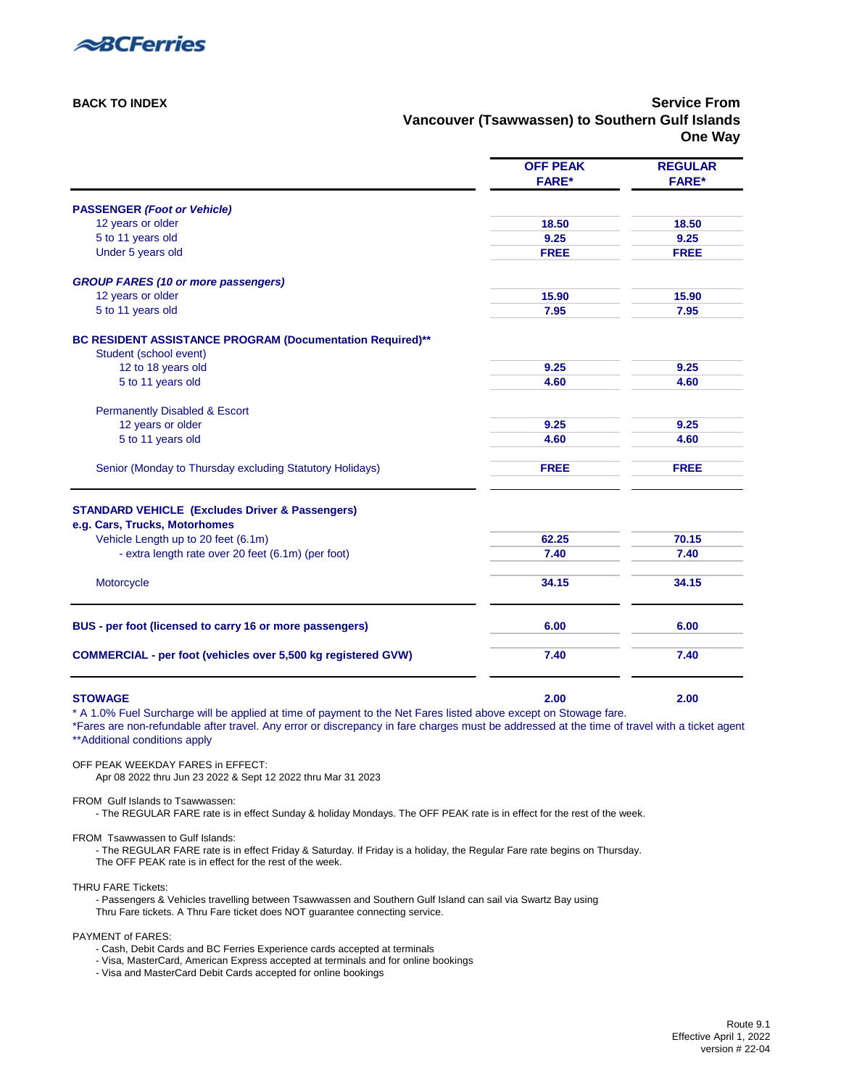

**[BACK TO INDEX](#page-0-2) Service From Vancouver (Tsawwassen) to Southern Gulf Islands One Way**

<span id="page-12-0"></span>

|                                                                                                                                                                                                                                                                                                    | <b>OFF PEAK</b> | <b>REGULAR</b> |
|----------------------------------------------------------------------------------------------------------------------------------------------------------------------------------------------------------------------------------------------------------------------------------------------------|-----------------|----------------|
|                                                                                                                                                                                                                                                                                                    | <b>FARE*</b>    | <b>FARE*</b>   |
| <b>PASSENGER (Foot or Vehicle)</b>                                                                                                                                                                                                                                                                 |                 |                |
| 12 years or older                                                                                                                                                                                                                                                                                  | 18.50           | 18.50          |
| 5 to 11 years old                                                                                                                                                                                                                                                                                  | 9.25            | 9.25           |
| Under 5 years old                                                                                                                                                                                                                                                                                  | <b>FREE</b>     | <b>FREE</b>    |
| <b>GROUP FARES (10 or more passengers)</b>                                                                                                                                                                                                                                                         |                 |                |
| 12 years or older                                                                                                                                                                                                                                                                                  | 15.90           | 15.90          |
| 5 to 11 years old                                                                                                                                                                                                                                                                                  | 7.95            | 7.95           |
| BC RESIDENT ASSISTANCE PROGRAM (Documentation Required)**<br>Student (school event)                                                                                                                                                                                                                |                 |                |
| 12 to 18 years old                                                                                                                                                                                                                                                                                 | 9.25            | 9.25           |
| 5 to 11 years old                                                                                                                                                                                                                                                                                  | 4.60            | 4.60           |
| <b>Permanently Disabled &amp; Escort</b>                                                                                                                                                                                                                                                           |                 |                |
| 12 years or older                                                                                                                                                                                                                                                                                  | 9.25            | 9.25           |
| 5 to 11 years old                                                                                                                                                                                                                                                                                  | 4.60            | 4.60           |
| Senior (Monday to Thursday excluding Statutory Holidays)                                                                                                                                                                                                                                           | <b>FREE</b>     | <b>FREE</b>    |
| <b>STANDARD VEHICLE (Excludes Driver &amp; Passengers)</b>                                                                                                                                                                                                                                         |                 |                |
| e.g. Cars, Trucks, Motorhomes                                                                                                                                                                                                                                                                      |                 |                |
| Vehicle Length up to 20 feet (6.1m)                                                                                                                                                                                                                                                                | 62.25           | 70.15          |
| - extra length rate over 20 feet (6.1m) (per foot)                                                                                                                                                                                                                                                 | 7.40            | 7.40           |
|                                                                                                                                                                                                                                                                                                    |                 |                |
| Motorcycle                                                                                                                                                                                                                                                                                         | 34.15           | 34.15          |
| BUS - per foot (licensed to carry 16 or more passengers)                                                                                                                                                                                                                                           | 6.00            | 6.00           |
|                                                                                                                                                                                                                                                                                                    |                 |                |
| <b>COMMERCIAL - per foot (vehicles over 5,500 kg registered GVW)</b>                                                                                                                                                                                                                               | 7.40            | 7.40           |
|                                                                                                                                                                                                                                                                                                    |                 |                |
| <b>STOWAGE</b>                                                                                                                                                                                                                                                                                     | 2.00            | 2.00           |
| * A 1.0% Fuel Surcharge will be applied at time of payment to the Net Fares listed above except on Stowage fare.<br>*Fares are non-refundable after travel. Any error or discrepancy in fare charges must be addressed at the time of travel with a ticket agent<br>** Additional conditions apply |                 |                |
| OFF PEAK WEEKDAY FARES in EFFECT:                                                                                                                                                                                                                                                                  |                 |                |

Apr 08 2022 thru Jun 23 2022 & Sept 12 2022 thru Mar 31 2023

FROM Gulf Islands to Tsawwassen:

- The REGULAR FARE rate is in effect Sunday & holiday Mondays. The OFF PEAK rate is in effect for the rest of the week.

FROM Tsawwassen to Gulf Islands:

- The REGULAR FARE rate is in effect Friday & Saturday. If Friday is a holiday, the Regular Fare rate begins on Thursday. The OFF PEAK rate is in effect for the rest of the week.

THRU FARE Tickets:

- Passengers & Vehicles travelling between Tsawwassen and Southern Gulf Island can sail via Swartz Bay using [Thru Fare tickets. A Thru Fare ticket does NOT guarantee connecting service.](https://www.bcferries.com/routes-fares/ferry-fares/thru-fare) 

PAYMENT of FARES:

- Cash, Debit Cards and BC Ferries Experience cards accepted at terminals

- Visa, MasterCard, American Express accepted at terminals and for online bookings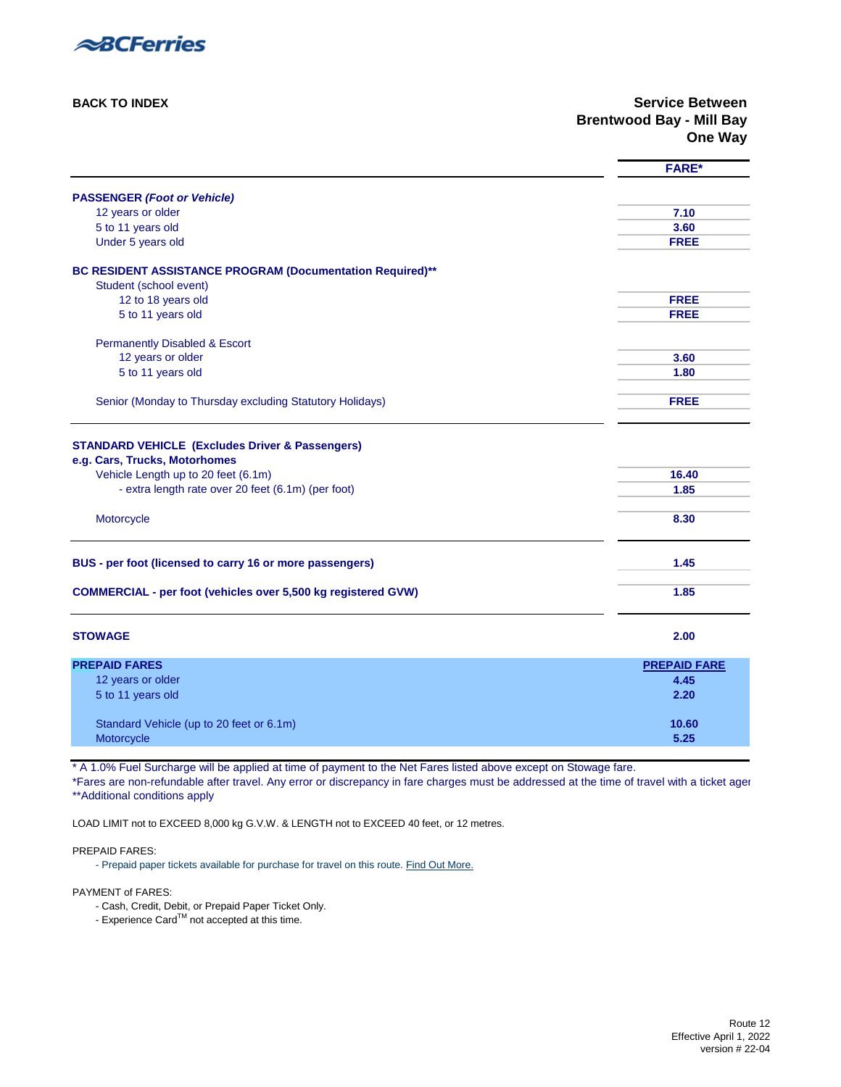

**[BACK TO INDEX](#page-0-1) Service Between Brentwood Bay - Mill Bay One Way**

<span id="page-13-0"></span>

|                                                                                                                                    | <b>FARE*</b>        |
|------------------------------------------------------------------------------------------------------------------------------------|---------------------|
| <b>PASSENGER (Foot or Vehicle)</b>                                                                                                 |                     |
| 12 years or older                                                                                                                  | 7.10                |
| 5 to 11 years old                                                                                                                  | 3.60                |
| Under 5 years old                                                                                                                  | <b>FREE</b>         |
|                                                                                                                                    |                     |
| BC RESIDENT ASSISTANCE PROGRAM (Documentation Required)**                                                                          |                     |
| Student (school event)                                                                                                             |                     |
| 12 to 18 years old                                                                                                                 | <b>FREE</b>         |
| 5 to 11 years old                                                                                                                  | <b>FREE</b>         |
|                                                                                                                                    |                     |
| <b>Permanently Disabled &amp; Escort</b>                                                                                           | 3.60                |
| 12 years or older<br>5 to 11 years old                                                                                             | 1.80                |
|                                                                                                                                    |                     |
| Senior (Monday to Thursday excluding Statutory Holidays)                                                                           | <b>FREE</b>         |
|                                                                                                                                    |                     |
| <b>STANDARD VEHICLE (Excludes Driver &amp; Passengers)</b><br>e.g. Cars, Trucks, Motorhomes<br>Vehicle Length up to 20 feet (6.1m) | 16.40               |
| - extra length rate over 20 feet (6.1m) (per foot)                                                                                 | 1.85                |
| Motorcycle                                                                                                                         | 8.30                |
| BUS - per foot (licensed to carry 16 or more passengers)                                                                           | 1.45                |
| <b>COMMERCIAL - per foot (vehicles over 5,500 kg registered GVW)</b>                                                               | 1.85                |
| <b>STOWAGE</b>                                                                                                                     | 2.00                |
| <b>PREPAID FARES</b>                                                                                                               | <b>PREPAID FARE</b> |
| 12 years or older                                                                                                                  | 4.45                |
| 5 to 11 years old                                                                                                                  | 2.20                |
|                                                                                                                                    |                     |
| Standard Vehicle (up to 20 feet or 6.1m)                                                                                           | 10.60               |
| Motorcycle                                                                                                                         | 5.25                |

\* A 1.0% Fuel Surcharge will be applied at time of payment to the Net Fares listed above except on Stowage fare.

\*Fares are non-refundable after travel. Any error or discrepancy in fare charges must be addressed at the time of travel with a ticket agen [\\*\\*Additional conditions apply](#page-33-3) 

LOAD LIMIT not to EXCEED 8,000 kg G.V.W. & LENGTH not to EXCEED 40 feet, or 12 metres.

PREPAID FARES:

[- Prepaid paper tickets available for purchase for travel on this route. Find Out More.](https://www.bcferries.com/routes-fares/ferry-fares#more-fare-information)

- Cash, Credit, Debit, or Prepaid Paper Ticket Only.
- $-$  Experience Card $^{TM}$  not accepted at this time.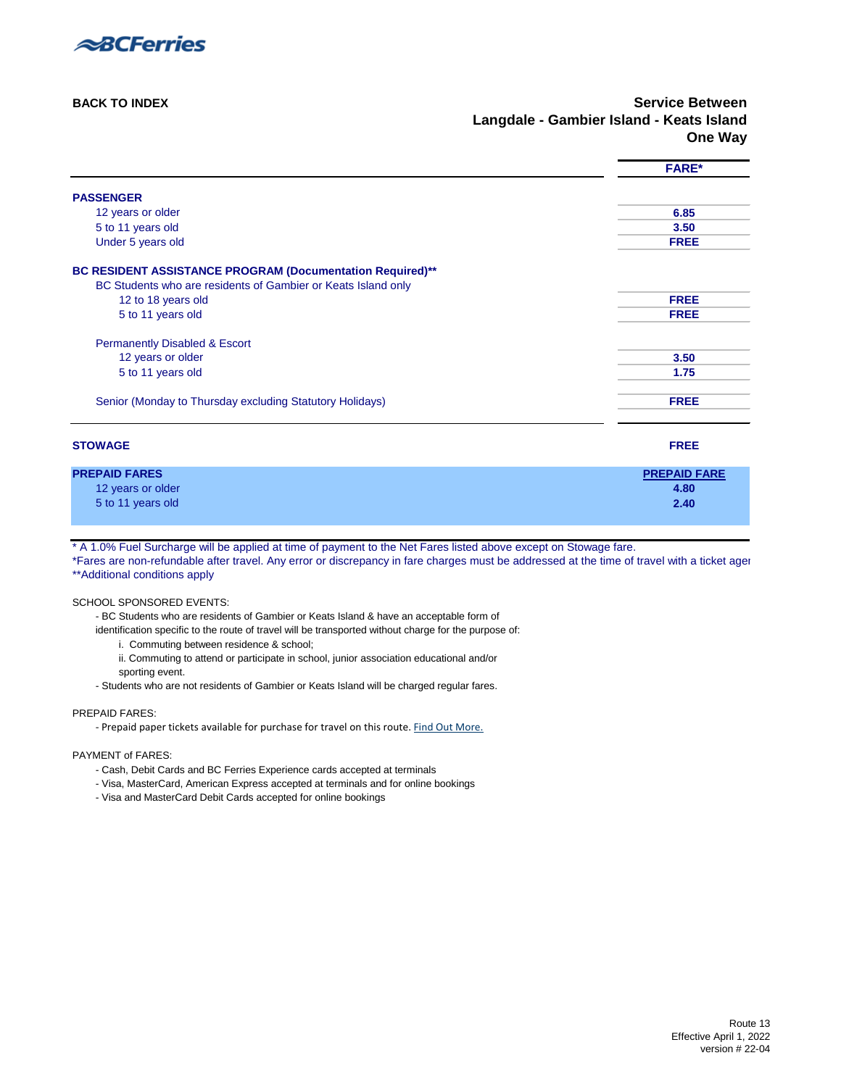

**[BACK TO INDEX](#page-0-1) Service Between Langdale - Gambier Island - Keats Island One Way**

|                                                               | <b>FARE*</b>        |
|---------------------------------------------------------------|---------------------|
| <b>PASSENGER</b>                                              |                     |
| 12 years or older                                             | 6.85                |
| 5 to 11 years old                                             | 3.50                |
| Under 5 years old                                             | <b>FREE</b>         |
| BC RESIDENT ASSISTANCE PROGRAM (Documentation Required)**     |                     |
| BC Students who are residents of Gambier or Keats Island only |                     |
| 12 to 18 years old                                            | <b>FREE</b>         |
| 5 to 11 years old                                             | <b>FREE</b>         |
| <b>Permanently Disabled &amp; Escort</b>                      |                     |
| 12 years or older                                             | 3.50                |
| 5 to 11 years old                                             | 1.75                |
| Senior (Monday to Thursday excluding Statutory Holidays)      | <b>FREE</b>         |
| <b>STOWAGE</b>                                                | <b>FREE</b>         |
| <b>PREPAID FARES</b>                                          | <b>PREPAID FARE</b> |
| 12 years or older                                             | 4.80                |
| 5 to 11 years old                                             | 2.40                |

<span id="page-14-0"></span>\* A 1.0% Fuel Surcharge will be applied at time of payment to the Net Fares listed above except on Stowage fare.

\*Fares are non-refundable after travel. Any error or discrepancy in fare charges must be addressed at the time of travel with a ticket agen [\\*\\*Additional conditions apply](#page-33-3) 

#### SCHOOL SPONSORED EVENTS:

- BC Students who are residents of Gambier or Keats Island & have an acceptable form of

identification specific to the route of travel will be transported without charge for the purpose of:

i. Commuting between residence & school;

- ii. Commuting to attend or participate in school, junior association educational and/or sporting event.
- Students who are not residents of Gambier or Keats Island will be charged regular fares.

#### PREPAID FARES:

[- Prepaid paper tickets available for purchase for travel on this route. Find Out More.](https://www.bcferries.com/routes-fares/ferry-fares#more-fare-information)

- Cash, Debit Cards and BC Ferries Experience cards accepted at terminals
- Visa, MasterCard, American Express accepted at terminals and for online bookings
- Visa and MasterCard Debit Cards accepted for online bookings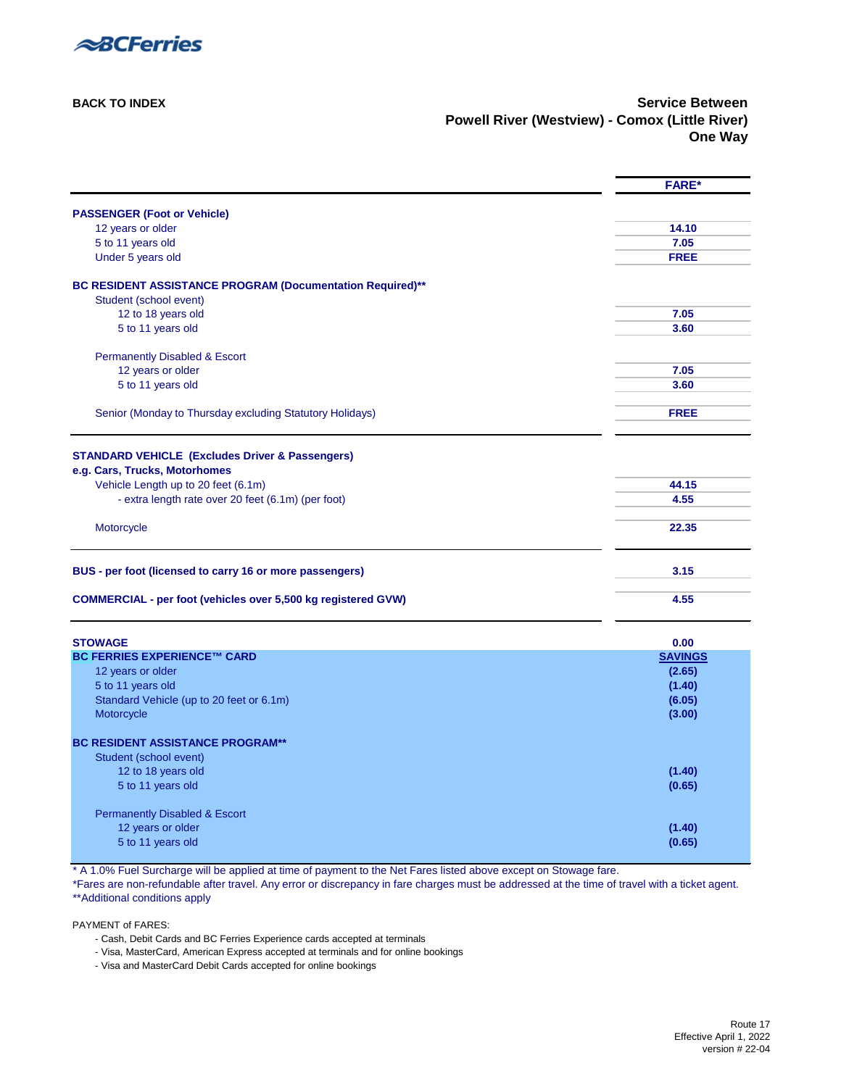

**[BACK TO INDEX](#page-0-0) Service Between Powell River (Westview) - Comox (Little River) One Way**

<span id="page-15-0"></span>

|                                                                                     | <b>FARE*</b>   |
|-------------------------------------------------------------------------------------|----------------|
| <b>PASSENGER (Foot or Vehicle)</b>                                                  |                |
| 12 years or older                                                                   | 14.10          |
| 5 to 11 years old                                                                   | 7.05           |
| Under 5 years old                                                                   | <b>FREE</b>    |
| BC RESIDENT ASSISTANCE PROGRAM (Documentation Required)**<br>Student (school event) |                |
| 12 to 18 years old                                                                  | 7.05           |
| 5 to 11 years old                                                                   | 3.60           |
|                                                                                     |                |
| <b>Permanently Disabled &amp; Escort</b>                                            |                |
| 12 years or older                                                                   | 7.05           |
| 5 to 11 years old                                                                   | 3.60           |
| Senior (Monday to Thursday excluding Statutory Holidays)                            | <b>FREE</b>    |
|                                                                                     |                |
| <b>STANDARD VEHICLE (Excludes Driver &amp; Passengers)</b>                          |                |
| e.g. Cars, Trucks, Motorhomes                                                       |                |
| Vehicle Length up to 20 feet (6.1m)                                                 | 44.15          |
| - extra length rate over 20 feet (6.1m) (per foot)                                  | 4.55           |
| Motorcycle                                                                          | 22.35          |
| BUS - per foot (licensed to carry 16 or more passengers)                            | 3.15           |
| <b>COMMERCIAL - per foot (vehicles over 5,500 kg registered GVW)</b>                | 4.55           |
| <b>STOWAGE</b>                                                                      | 0.00           |
| <b>BC FERRIES EXPERIENCE™ CARD</b>                                                  | <b>SAVINGS</b> |
| 12 years or older                                                                   | (2.65)         |
| 5 to 11 years old                                                                   | (1.40)         |
| Standard Vehicle (up to 20 feet or 6.1m)                                            | (6.05)         |
| Motorcycle                                                                          | (3.00)         |
| <b>BC RESIDENT ASSISTANCE PROGRAM**</b>                                             |                |
| Student (school event)                                                              |                |
| 12 to 18 years old                                                                  | (1.40)         |
| 5 to 11 years old                                                                   | (0.65)         |
| <b>Permanently Disabled &amp; Escort</b>                                            |                |
| 12 years or older                                                                   | (1.40)         |
| 5 to 11 years old                                                                   | (0.65)         |
|                                                                                     |                |

\* A 1.0% Fuel Surcharge will be applied at time of payment to the Net Fares listed above except on Stowage fare.

\*Fares are non-refundable after travel. Any error or discrepancy in fare charges must be addressed at the time of travel with a ticket agent. [\\*\\*Additional conditions apply](#page-33-2) 

- Cash, Debit Cards and BC Ferries Experience cards accepted at terminals
- Visa, MasterCard, American Express accepted at terminals and for online bookings
- Visa and MasterCard Debit Cards accepted for online bookings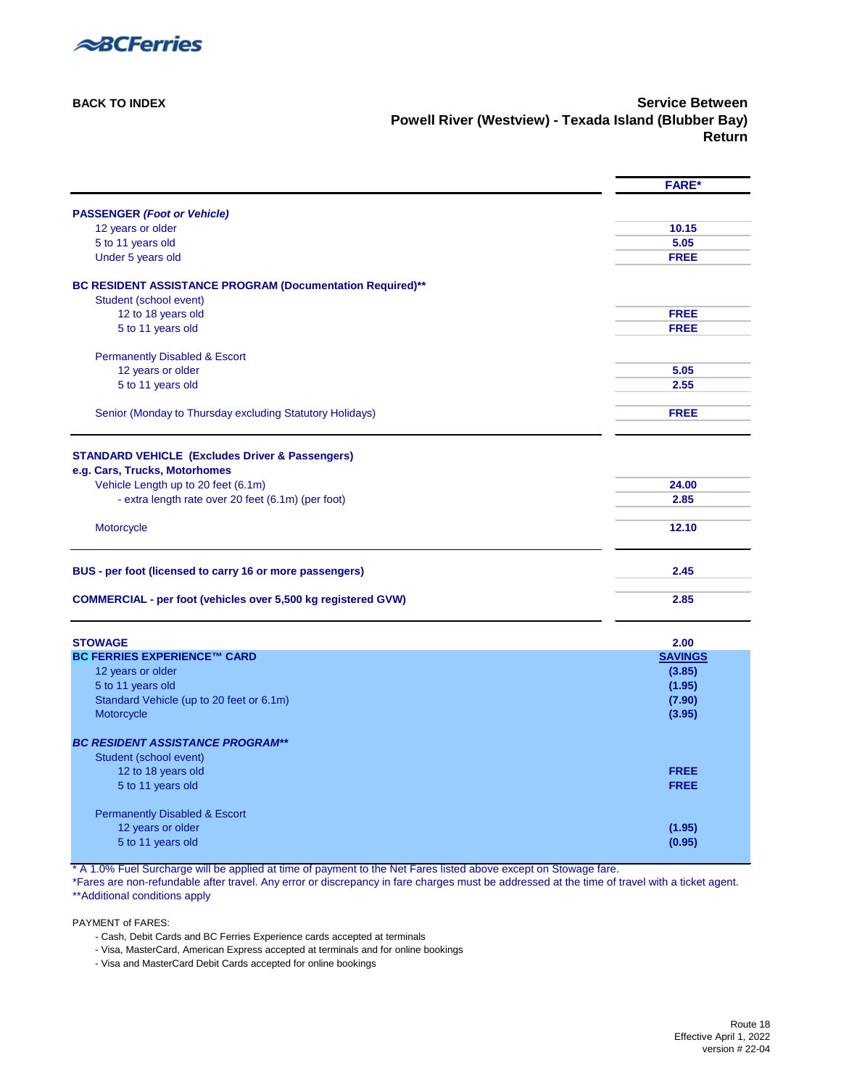

**[BACK TO INDEX](#page-0-0)** Service Between **Powell River (Westview) - Texada Island (Blubber Bay) Return**

<span id="page-16-0"></span>

|                                                                      | <b>FARE*</b>   |
|----------------------------------------------------------------------|----------------|
| <b>PASSENGER (Foot or Vehicle)</b>                                   |                |
| 12 years or older                                                    | 10.15          |
| 5 to 11 years old                                                    | 5.05           |
| Under 5 years old                                                    | <b>FREE</b>    |
| BC RESIDENT ASSISTANCE PROGRAM (Documentation Required)**            |                |
| Student (school event)                                               |                |
| 12 to 18 years old                                                   | <b>FREE</b>    |
| 5 to 11 years old                                                    | <b>FREE</b>    |
| <b>Permanently Disabled &amp; Escort</b>                             |                |
| 12 years or older                                                    | 5.05           |
| 5 to 11 years old                                                    | 2.55           |
| Senior (Monday to Thursday excluding Statutory Holidays)             | <b>FREE</b>    |
| <b>STANDARD VEHICLE (Excludes Driver &amp; Passengers)</b>           |                |
| e.g. Cars, Trucks, Motorhomes                                        |                |
| Vehicle Length up to 20 feet (6.1m)                                  | 24.00          |
| - extra length rate over 20 feet (6.1m) (per foot)                   | 2.85           |
|                                                                      |                |
| Motorcycle                                                           | 12.10          |
| BUS - per foot (licensed to carry 16 or more passengers)             | 2.45           |
| <b>COMMERCIAL - per foot (vehicles over 5,500 kg registered GVW)</b> | 2.85           |
| <b>STOWAGE</b>                                                       | 2.00           |
| <b>BC FERRIES EXPERIENCE™ CARD</b>                                   | <b>SAVINGS</b> |
| 12 years or older                                                    | (3.85)         |
| 5 to 11 years old                                                    | (1.95)         |
| Standard Vehicle (up to 20 feet or 6.1m)                             | (7.90)         |
| Motorcycle                                                           | (3.95)         |
| <b>BC RESIDENT ASSISTANCE PROGRAM**</b>                              |                |
| Student (school event)                                               |                |
| 12 to 18 years old                                                   | <b>FREE</b>    |
| 5 to 11 years old                                                    | <b>FREE</b>    |
| <b>Permanently Disabled &amp; Escort</b>                             |                |
| 12 years or older                                                    | (1.95)         |
| 5 to 11 years old                                                    | (0.95)         |

\* A 1.0% Fuel Surcharge will be applied at time of payment to the Net Fares listed above except on Stowage fare.

\*Fares are non-refundable after travel. Any error or discrepancy in fare charges must be addressed at the time of travel with a ticket agent. [\\*\\*Additional conditions apply](#page-33-2) 

- Cash, Debit Cards and BC Ferries Experience cards accepted at terminals
- Visa, MasterCard, American Express accepted at terminals and for online bookings
- Visa and MasterCard Debit Cards accepted for online bookings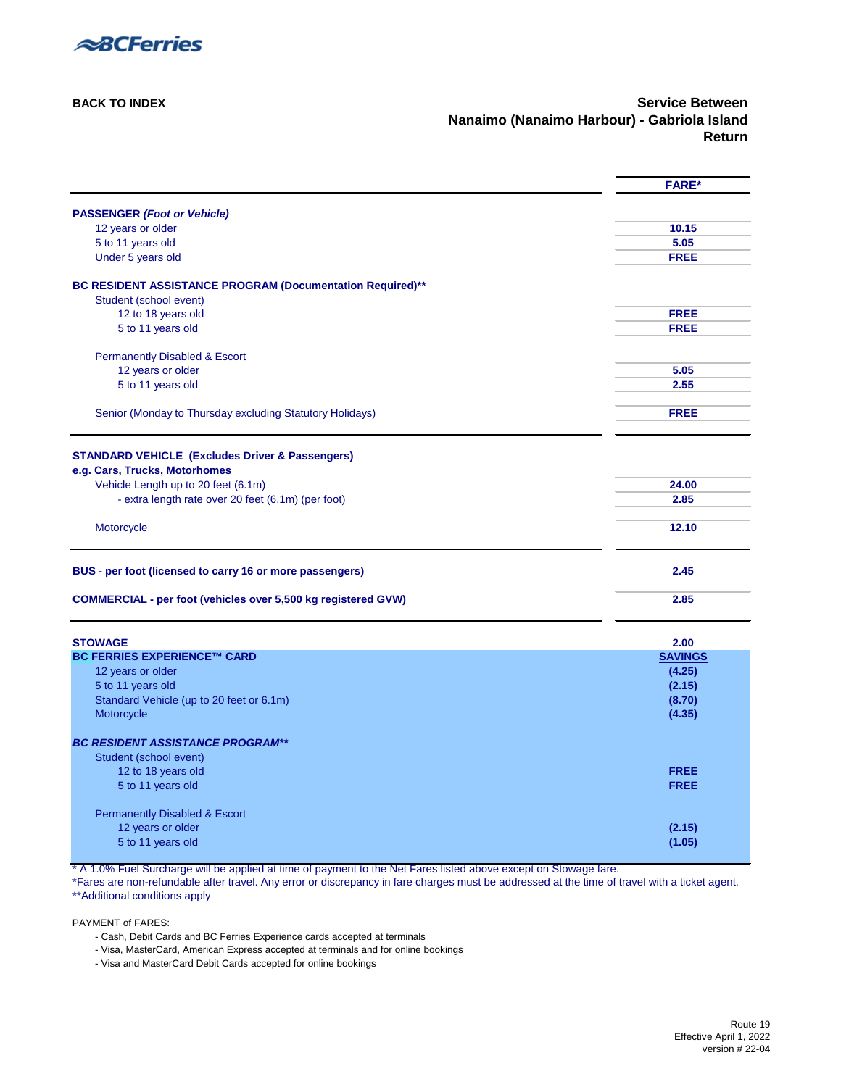

**[BACK TO INDEX](#page-0-0) Service Between Nanaimo (Nanaimo Harbour) - Gabriola Island Return**

<span id="page-17-0"></span>

|                                                                                     | <b>FARE*</b>   |
|-------------------------------------------------------------------------------------|----------------|
| <b>PASSENGER (Foot or Vehicle)</b>                                                  |                |
| 12 years or older                                                                   | 10.15          |
| 5 to 11 years old                                                                   | 5.05           |
| Under 5 years old                                                                   | <b>FREE</b>    |
|                                                                                     |                |
| BC RESIDENT ASSISTANCE PROGRAM (Documentation Required)**<br>Student (school event) |                |
| 12 to 18 years old                                                                  | <b>FREE</b>    |
| 5 to 11 years old                                                                   | <b>FREE</b>    |
|                                                                                     |                |
| <b>Permanently Disabled &amp; Escort</b>                                            |                |
| 12 years or older                                                                   | 5.05           |
| 5 to 11 years old                                                                   | 2.55           |
| Senior (Monday to Thursday excluding Statutory Holidays)                            | <b>FREE</b>    |
|                                                                                     |                |
|                                                                                     |                |
| <b>STANDARD VEHICLE (Excludes Driver &amp; Passengers)</b>                          |                |
| e.g. Cars, Trucks, Motorhomes<br>Vehicle Length up to 20 feet (6.1m)                | 24.00          |
| - extra length rate over 20 feet (6.1m) (per foot)                                  | 2.85           |
|                                                                                     |                |
| Motorcycle                                                                          | 12.10          |
| BUS - per foot (licensed to carry 16 or more passengers)                            | 2.45           |
|                                                                                     |                |
| <b>COMMERCIAL - per foot (vehicles over 5,500 kg registered GVW)</b>                | 2.85           |
| <b>STOWAGE</b>                                                                      | 2.00           |
| <b>BC FERRIES EXPERIENCE™ CARD</b>                                                  | <b>SAVINGS</b> |
| 12 years or older                                                                   | (4.25)         |
| 5 to 11 years old                                                                   | (2.15)         |
| Standard Vehicle (up to 20 feet or 6.1m)                                            | (8.70)         |
| Motorcycle                                                                          | (4.35)         |
| <b>BC RESIDENT ASSISTANCE PROGRAM**</b>                                             |                |
| Student (school event)                                                              |                |
| 12 to 18 years old                                                                  | <b>FREE</b>    |
| 5 to 11 years old                                                                   | <b>FREE</b>    |
|                                                                                     |                |
| <b>Permanently Disabled &amp; Escort</b>                                            |                |
| 12 years or older<br>5 to 11 years old                                              | (2.15)         |
|                                                                                     | (1.05)         |

\* A 1.0% Fuel Surcharge will be applied at time of payment to the Net Fares listed above except on Stowage fare.

\*Fares are non-refundable after travel. Any error or discrepancy in fare charges must be addressed at the time of travel with a ticket agent. [\\*\\*Additional conditions apply](#page-33-2) 

- Cash, Debit Cards and BC Ferries Experience cards accepted at terminals
- Visa, MasterCard, American Express accepted at terminals and for online bookings
- Visa and MasterCard Debit Cards accepted for online bookings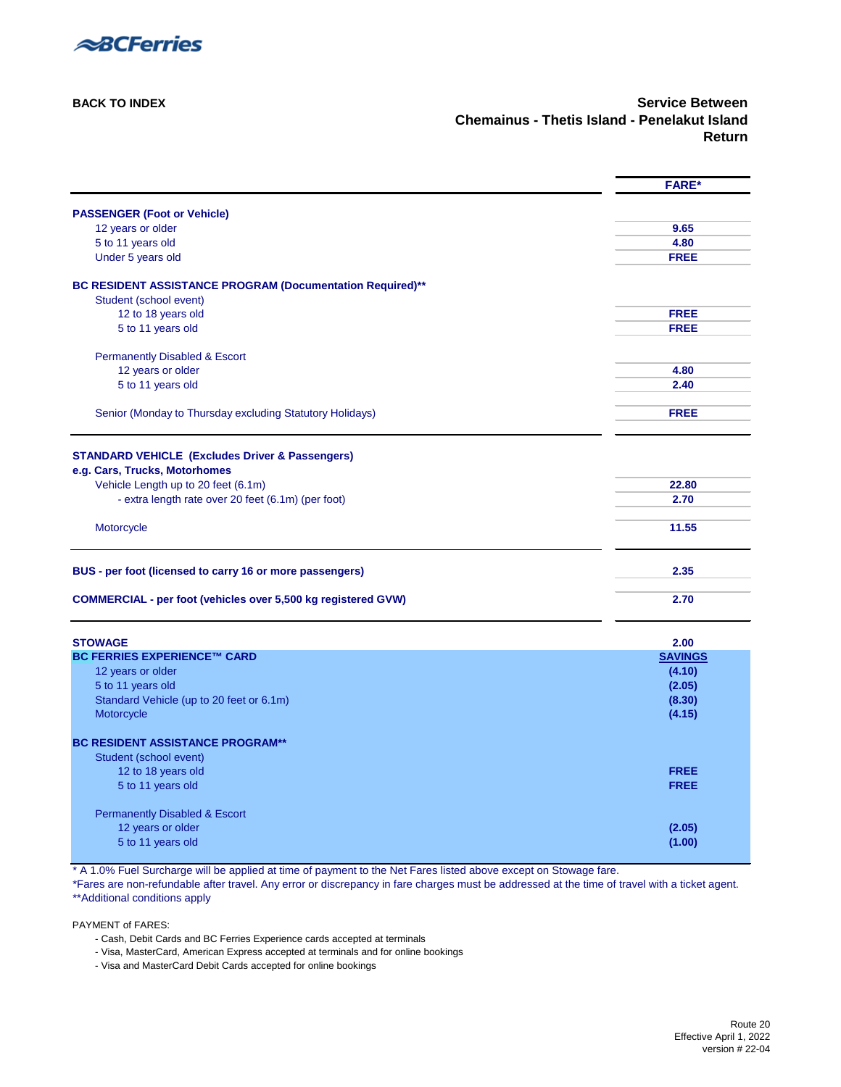

<span id="page-18-0"></span>

|                                                                      | <b>FARE*</b>   |
|----------------------------------------------------------------------|----------------|
| <b>PASSENGER (Foot or Vehicle)</b>                                   |                |
| 12 years or older                                                    | 9.65           |
| 5 to 11 years old                                                    | 4.80           |
| Under 5 years old                                                    | <b>FREE</b>    |
| BC RESIDENT ASSISTANCE PROGRAM (Documentation Required)**            |                |
| Student (school event)                                               |                |
| 12 to 18 years old                                                   | <b>FREE</b>    |
| 5 to 11 years old                                                    | <b>FREE</b>    |
| <b>Permanently Disabled &amp; Escort</b>                             |                |
| 12 years or older                                                    | 4.80           |
| 5 to 11 years old                                                    | 2.40           |
| Senior (Monday to Thursday excluding Statutory Holidays)             | <b>FREE</b>    |
| <b>STANDARD VEHICLE (Excludes Driver &amp; Passengers)</b>           |                |
| e.g. Cars, Trucks, Motorhomes                                        |                |
| Vehicle Length up to 20 feet (6.1m)                                  | 22.80          |
| - extra length rate over 20 feet (6.1m) (per foot)                   | 2.70           |
| Motorcycle                                                           | 11.55          |
| BUS - per foot (licensed to carry 16 or more passengers)             | 2.35           |
| <b>COMMERCIAL - per foot (vehicles over 5,500 kg registered GVW)</b> | 2.70           |
| <b>STOWAGE</b>                                                       | 2.00           |
| <b>BC FERRIES EXPERIENCE™ CARD</b>                                   | <b>SAVINGS</b> |
| 12 years or older                                                    | (4.10)         |
| 5 to 11 years old                                                    | (2.05)         |
| Standard Vehicle (up to 20 feet or 6.1m)                             | (8.30)         |
| Motorcycle                                                           | (4.15)         |
| <b>BC RESIDENT ASSISTANCE PROGRAM**</b>                              |                |
| Student (school event)                                               |                |
| 12 to 18 years old                                                   | <b>FREE</b>    |
| 5 to 11 years old                                                    | <b>FREE</b>    |
| <b>Permanently Disabled &amp; Escort</b>                             |                |
| 12 years or older                                                    | (2.05)         |
| 5 to 11 years old                                                    | (1.00)         |

\* A 1.0% Fuel Surcharge will be applied at time of payment to the Net Fares listed above except on Stowage fare.

\*Fares are non-refundable after travel. Any error or discrepancy in fare charges must be addressed at the time of travel with a ticket agent. [\\*\\*Additional conditions apply](#page-33-2) 

- Cash, Debit Cards and BC Ferries Experience cards accepted at terminals
- Visa, MasterCard, American Express accepted at terminals and for online bookings
- Visa and MasterCard Debit Cards accepted for online bookings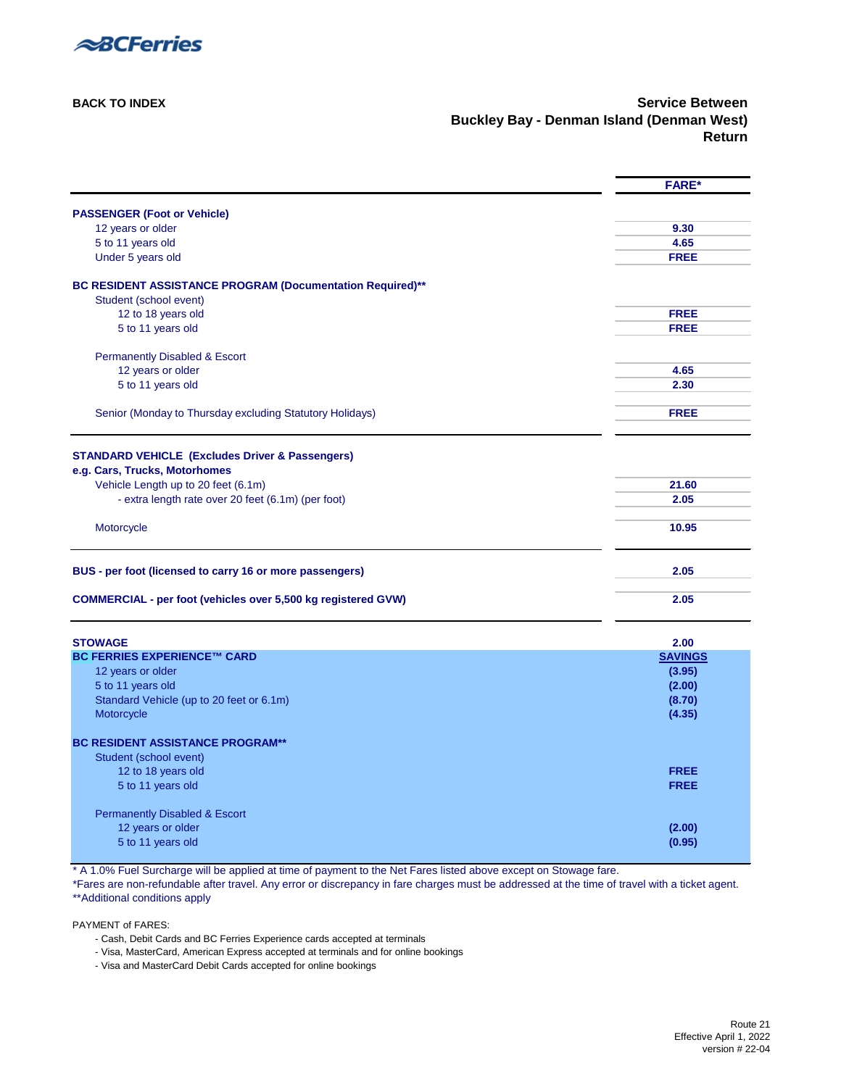

**[BACK TO INDEX](#page-0-0) Service Between Buckley Bay - Denman Island (Denman West) Return**

<span id="page-19-0"></span>

|                                                                      | <b>FARE*</b>   |
|----------------------------------------------------------------------|----------------|
| <b>PASSENGER (Foot or Vehicle)</b>                                   |                |
| 12 years or older                                                    | 9.30           |
| 5 to 11 years old                                                    | 4.65           |
| Under 5 years old                                                    | <b>FREE</b>    |
| BC RESIDENT ASSISTANCE PROGRAM (Documentation Required)**            |                |
| Student (school event)                                               |                |
| 12 to 18 years old                                                   | <b>FREE</b>    |
| 5 to 11 years old                                                    | <b>FREE</b>    |
| <b>Permanently Disabled &amp; Escort</b>                             |                |
| 12 years or older                                                    | 4.65           |
| 5 to 11 years old                                                    | 2.30           |
| Senior (Monday to Thursday excluding Statutory Holidays)             | <b>FREE</b>    |
|                                                                      |                |
| <b>STANDARD VEHICLE (Excludes Driver &amp; Passengers)</b>           |                |
| e.g. Cars, Trucks, Motorhomes                                        |                |
| Vehicle Length up to 20 feet (6.1m)                                  | 21.60          |
| - extra length rate over 20 feet (6.1m) (per foot)                   | 2.05           |
|                                                                      |                |
| Motorcycle                                                           | 10.95          |
| BUS - per foot (licensed to carry 16 or more passengers)             | 2.05           |
| <b>COMMERCIAL - per foot (vehicles over 5,500 kg registered GVW)</b> | 2.05           |
| <b>STOWAGE</b>                                                       | 2.00           |
| <b>BC FERRIES EXPERIENCE™ CARD</b>                                   | <b>SAVINGS</b> |
| 12 years or older                                                    | (3.95)         |
| 5 to 11 years old                                                    | (2.00)         |
| Standard Vehicle (up to 20 feet or 6.1m)                             | (8.70)         |
| Motorcycle                                                           | (4.35)         |
| <b>BC RESIDENT ASSISTANCE PROGRAM**</b>                              |                |
| Student (school event)                                               |                |
| 12 to 18 years old                                                   | <b>FREE</b>    |
| 5 to 11 years old                                                    | <b>FREE</b>    |
| <b>Permanently Disabled &amp; Escort</b>                             |                |
| 12 years or older                                                    | (2.00)         |
| 5 to 11 years old                                                    | (0.95)         |
|                                                                      |                |

\* A 1.0% Fuel Surcharge will be applied at time of payment to the Net Fares listed above except on Stowage fare.

\*Fares are non-refundable after travel. Any error or discrepancy in fare charges must be addressed at the time of travel with a ticket agent. [\\*\\*Additional conditions apply](#page-33-2) 

- Cash, Debit Cards and BC Ferries Experience cards accepted at terminals
- Visa, MasterCard, American Express accepted at terminals and for online bookings
- Visa and MasterCard Debit Cards accepted for online bookings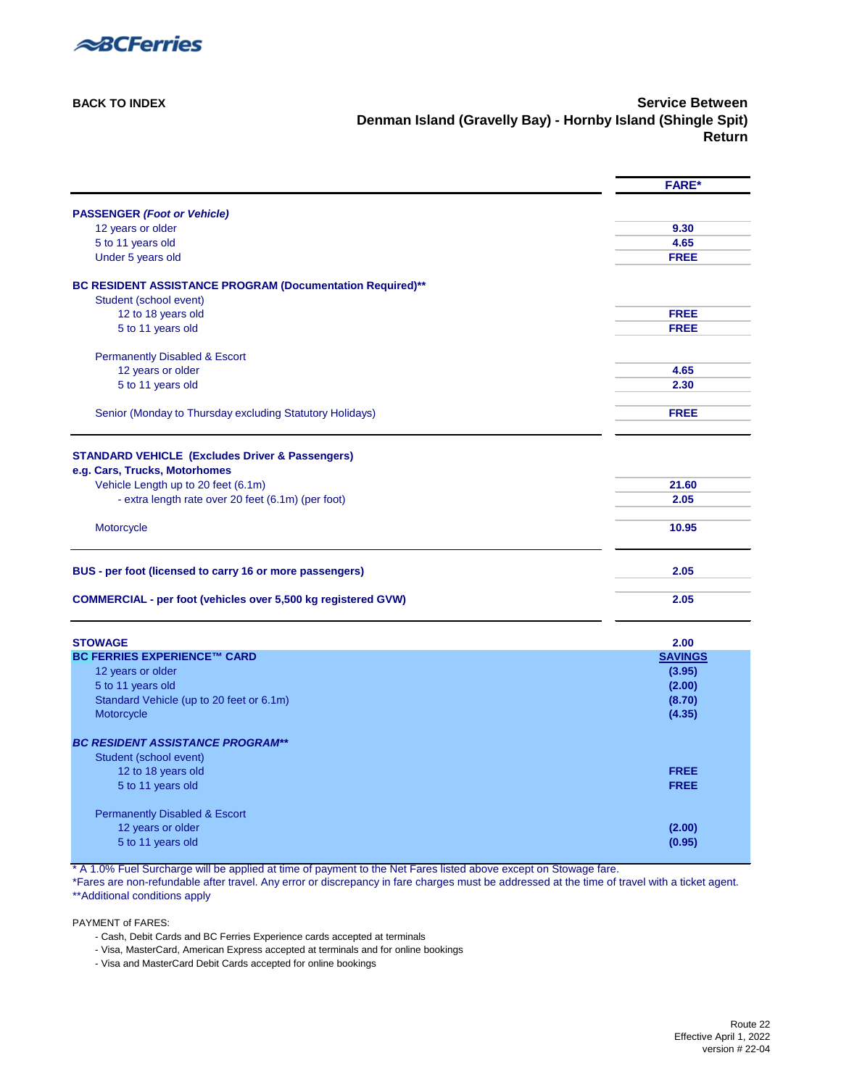

**[BACK TO INDEX](#page-0-0)** Service Between **Denman Island (Gravelly Bay) - Hornby Island (Shingle Spit) Return**

<span id="page-20-0"></span>

|                                                                      | <b>FARE*</b>             |
|----------------------------------------------------------------------|--------------------------|
| <b>PASSENGER (Foot or Vehicle)</b>                                   |                          |
| 12 years or older                                                    | 9.30                     |
| 5 to 11 years old                                                    | 4.65                     |
| Under 5 years old                                                    | <b>FREE</b>              |
| BC RESIDENT ASSISTANCE PROGRAM (Documentation Required)**            |                          |
| Student (school event)                                               |                          |
| 12 to 18 years old                                                   | <b>FREE</b>              |
| 5 to 11 years old                                                    | <b>FREE</b>              |
| <b>Permanently Disabled &amp; Escort</b>                             |                          |
| 12 years or older                                                    | 4.65                     |
| 5 to 11 years old                                                    | 2.30                     |
| Senior (Monday to Thursday excluding Statutory Holidays)             | <b>FREE</b>              |
|                                                                      |                          |
| <b>STANDARD VEHICLE (Excludes Driver &amp; Passengers)</b>           |                          |
| e.g. Cars, Trucks, Motorhomes                                        |                          |
| Vehicle Length up to 20 feet (6.1m)                                  | 21.60                    |
| - extra length rate over 20 feet (6.1m) (per foot)                   | 2.05                     |
|                                                                      |                          |
| Motorcycle                                                           | 10.95                    |
| BUS - per foot (licensed to carry 16 or more passengers)             | 2.05                     |
| <b>COMMERCIAL - per foot (vehicles over 5,500 kg registered GVW)</b> | 2.05                     |
|                                                                      |                          |
| <b>STOWAGE</b><br><b>BC FERRIES EXPERIENCE™ CARD</b>                 | 2.00                     |
| 12 years or older                                                    | <b>SAVINGS</b><br>(3.95) |
| 5 to 11 years old                                                    | (2.00)                   |
| Standard Vehicle (up to 20 feet or 6.1m)                             | (8.70)                   |
| Motorcycle                                                           | (4.35)                   |
|                                                                      |                          |
| <b>BC RESIDENT ASSISTANCE PROGRAM**</b>                              |                          |
| Student (school event)                                               |                          |
| 12 to 18 years old                                                   | <b>FREE</b>              |
| 5 to 11 years old                                                    | <b>FREE</b>              |
| <b>Permanently Disabled &amp; Escort</b>                             |                          |
| 12 years or older                                                    | (2.00)                   |
| 5 to 11 years old                                                    | (0.95)                   |
|                                                                      |                          |

\* A 1.0% Fuel Surcharge will be applied at time of payment to the Net Fares listed above except on Stowage fare.

\*Fares are non-refundable after travel. Any error or discrepancy in fare charges must be addressed at the time of travel with a ticket agent. [\\*\\*Additional conditions apply](#page-33-2) 

- Cash, Debit Cards and BC Ferries Experience cards accepted at terminals
- Visa, MasterCard, American Express accepted at terminals and for online bookings
- Visa and MasterCard Debit Cards accepted for online bookings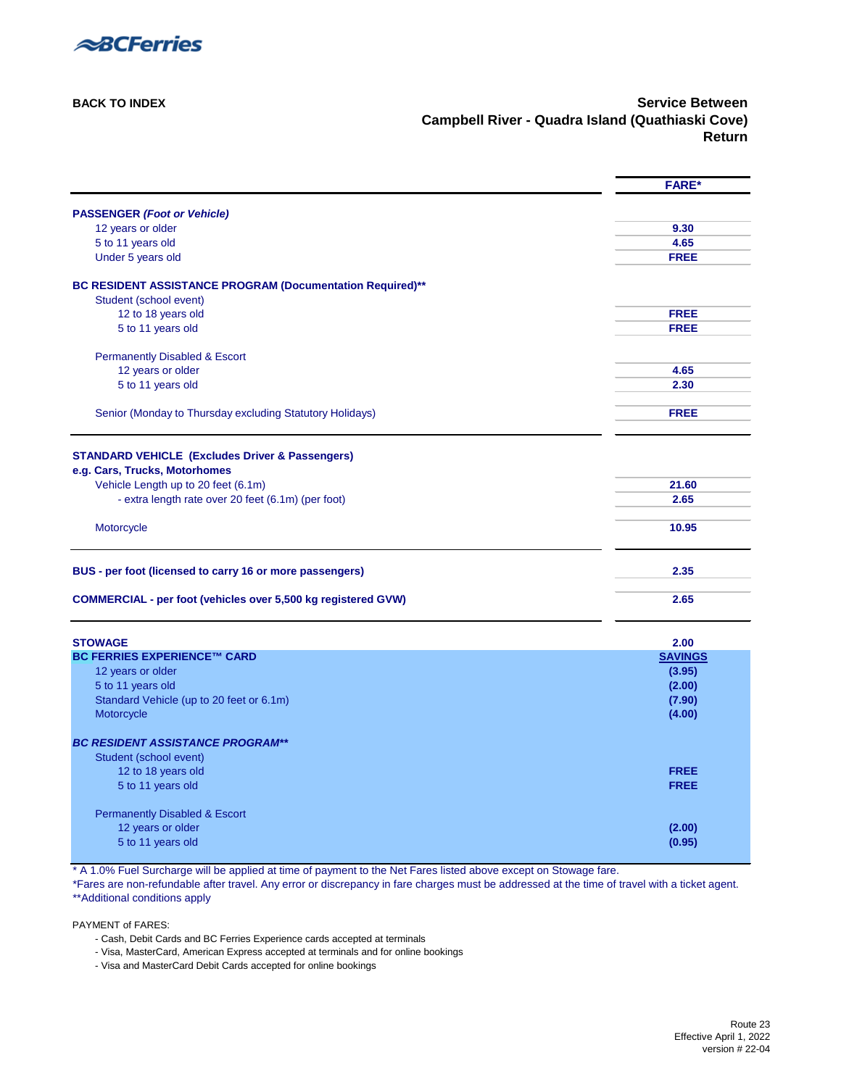

**[BACK TO INDEX](#page-0-0) Service Between Campbell River - Quadra Island (Quathiaski Cove) Return**

<span id="page-21-0"></span>

|                                                                      | <b>FARE*</b>   |
|----------------------------------------------------------------------|----------------|
| <b>PASSENGER (Foot or Vehicle)</b>                                   |                |
| 12 years or older                                                    | 9.30           |
| 5 to 11 years old                                                    | 4.65           |
| Under 5 years old                                                    | <b>FREE</b>    |
|                                                                      |                |
| BC RESIDENT ASSISTANCE PROGRAM (Documentation Required)**            |                |
| Student (school event)<br>12 to 18 years old                         | <b>FREE</b>    |
| 5 to 11 years old                                                    | <b>FREE</b>    |
|                                                                      |                |
| <b>Permanently Disabled &amp; Escort</b>                             |                |
| 12 years or older                                                    | 4.65           |
| 5 to 11 years old                                                    | 2.30           |
|                                                                      | <b>FREE</b>    |
| Senior (Monday to Thursday excluding Statutory Holidays)             |                |
|                                                                      |                |
| <b>STANDARD VEHICLE (Excludes Driver &amp; Passengers)</b>           |                |
| e.g. Cars, Trucks, Motorhomes                                        |                |
| Vehicle Length up to 20 feet (6.1m)                                  | 21.60          |
| - extra length rate over 20 feet (6.1m) (per foot)                   | 2.65           |
| Motorcycle                                                           | 10.95          |
| BUS - per foot (licensed to carry 16 or more passengers)             | 2.35           |
| <b>COMMERCIAL - per foot (vehicles over 5,500 kg registered GVW)</b> | 2.65           |
| <b>STOWAGE</b>                                                       | 2.00           |
| <b>BC FERRIES EXPERIENCE™ CARD</b>                                   | <b>SAVINGS</b> |
| 12 years or older                                                    | (3.95)         |
| 5 to 11 years old                                                    | (2.00)         |
| Standard Vehicle (up to 20 feet or 6.1m)                             | (7.90)         |
| Motorcycle                                                           | (4.00)         |
| <b>BC RESIDENT ASSISTANCE PROGRAM**</b>                              |                |
| Student (school event)                                               |                |
| 12 to 18 years old                                                   | <b>FREE</b>    |
| 5 to 11 years old                                                    | <b>FREE</b>    |
| <b>Permanently Disabled &amp; Escort</b>                             |                |
| 12 years or older                                                    | (2.00)         |
| 5 to 11 years old                                                    | (0.95)         |
|                                                                      |                |

\* A 1.0% Fuel Surcharge will be applied at time of payment to the Net Fares listed above except on Stowage fare.

\*Fares are non-refundable after travel. Any error or discrepancy in fare charges must be addressed at the time of travel with a ticket agent. [\\*\\*Additional conditions apply](#page-33-2) 

- Cash, Debit Cards and BC Ferries Experience cards accepted at terminals
- Visa, MasterCard, American Express accepted at terminals and for online bookings
- Visa and MasterCard Debit Cards accepted for online bookings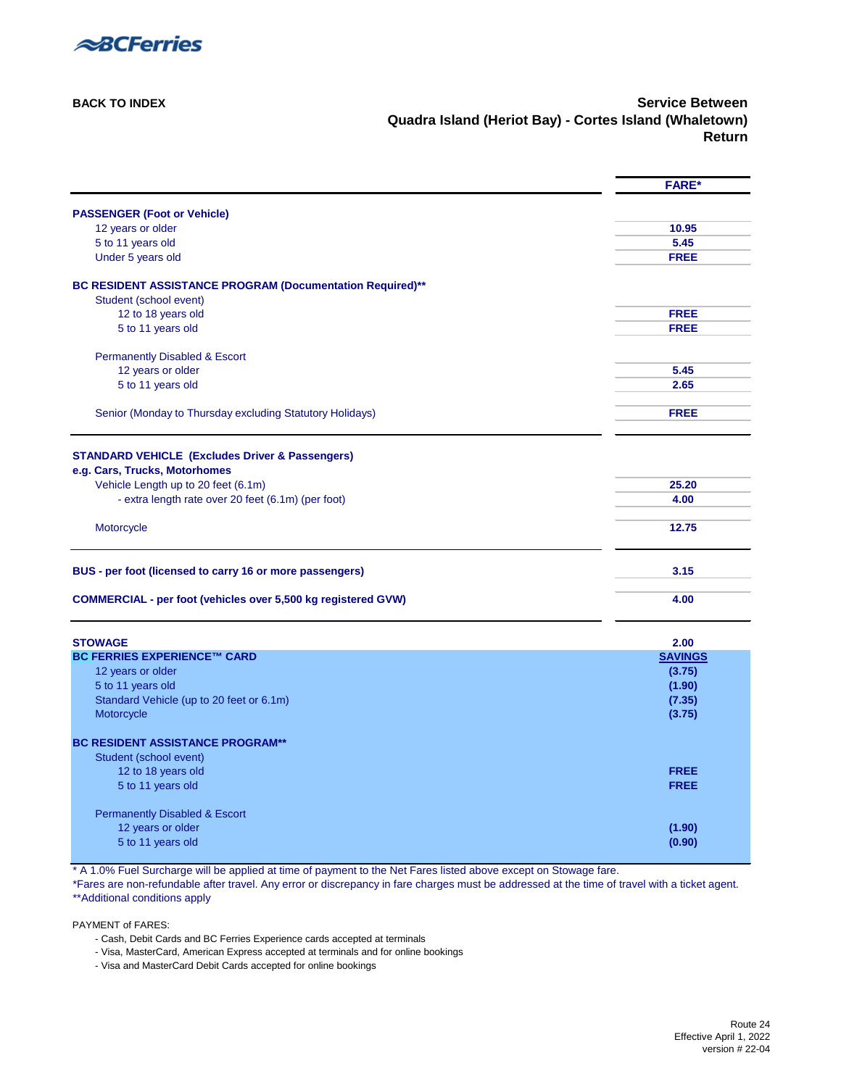

**[BACK TO INDEX](#page-0-0) Service Between Quadra Island (Heriot Bay) - Cortes Island (Whaletown) Return**

<span id="page-22-0"></span>

|                                                                      | <b>FARE*</b>   |
|----------------------------------------------------------------------|----------------|
| <b>PASSENGER (Foot or Vehicle)</b>                                   |                |
| 12 years or older                                                    | 10.95          |
| 5 to 11 years old                                                    | 5.45           |
| Under 5 years old                                                    | <b>FREE</b>    |
| BC RESIDENT ASSISTANCE PROGRAM (Documentation Required)**            |                |
| Student (school event)                                               |                |
| 12 to 18 years old                                                   | <b>FREE</b>    |
| 5 to 11 years old                                                    | <b>FREE</b>    |
| <b>Permanently Disabled &amp; Escort</b>                             |                |
| 12 years or older                                                    | 5.45           |
| 5 to 11 years old                                                    | 2.65           |
| Senior (Monday to Thursday excluding Statutory Holidays)             | <b>FREE</b>    |
|                                                                      |                |
| <b>STANDARD VEHICLE (Excludes Driver &amp; Passengers)</b>           |                |
| e.g. Cars, Trucks, Motorhomes                                        |                |
| Vehicle Length up to 20 feet (6.1m)                                  | 25.20          |
| - extra length rate over 20 feet (6.1m) (per foot)                   | 4.00           |
|                                                                      |                |
| Motorcycle                                                           | 12.75          |
| BUS - per foot (licensed to carry 16 or more passengers)             | 3.15           |
| <b>COMMERCIAL - per foot (vehicles over 5,500 kg registered GVW)</b> | 4.00           |
| <b>STOWAGE</b>                                                       | 2.00           |
| <b>BC FERRIES EXPERIENCE™ CARD</b>                                   | <b>SAVINGS</b> |
| 12 years or older                                                    | (3.75)         |
| 5 to 11 years old                                                    | (1.90)         |
| Standard Vehicle (up to 20 feet or 6.1m)                             | (7.35)         |
| Motorcycle                                                           | (3.75)         |
| <b>BC RESIDENT ASSISTANCE PROGRAM**</b>                              |                |
| Student (school event)                                               |                |
| 12 to 18 years old                                                   | <b>FREE</b>    |
| 5 to 11 years old                                                    | <b>FREE</b>    |
| <b>Permanently Disabled &amp; Escort</b>                             |                |
| 12 years or older                                                    | (1.90)         |
| 5 to 11 years old                                                    | (0.90)         |
|                                                                      |                |

\* A 1.0% Fuel Surcharge will be applied at time of payment to the Net Fares listed above except on Stowage fare.

\*Fares are non-refundable after travel. Any error or discrepancy in fare charges must be addressed at the time of travel with a ticket agent. [\\*\\*Additional conditions apply](#page-33-2) 

- Cash, Debit Cards and BC Ferries Experience cards accepted at terminals
- Visa, MasterCard, American Express accepted at terminals and for online bookings
- Visa and MasterCard Debit Cards accepted for online bookings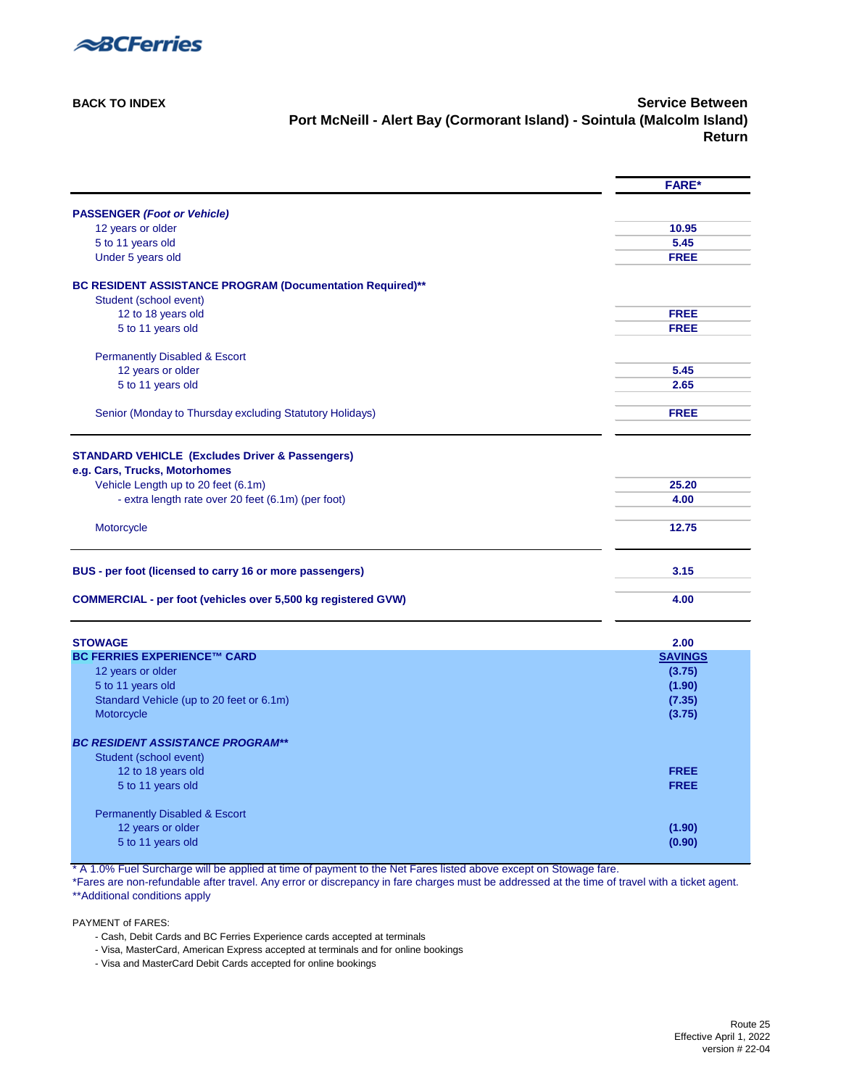

**[BACK TO INDEX](#page-0-0) Service Between Port McNeill - Alert Bay (Cormorant Island) - Sointula (Malcolm Island) Return**

<span id="page-23-0"></span>

|                                                                      | <b>FARE*</b>   |
|----------------------------------------------------------------------|----------------|
| <b>PASSENGER (Foot or Vehicle)</b>                                   |                |
| 12 years or older                                                    | 10.95          |
| 5 to 11 years old                                                    | 5.45           |
| Under 5 years old                                                    | <b>FREE</b>    |
| BC RESIDENT ASSISTANCE PROGRAM (Documentation Required)**            |                |
| Student (school event)                                               |                |
| 12 to 18 years old                                                   | <b>FREE</b>    |
| 5 to 11 years old                                                    | <b>FREE</b>    |
| <b>Permanently Disabled &amp; Escort</b>                             |                |
| 12 years or older                                                    | 5.45           |
| 5 to 11 years old                                                    | 2.65           |
| Senior (Monday to Thursday excluding Statutory Holidays)             | <b>FREE</b>    |
| <b>STANDARD VEHICLE (Excludes Driver &amp; Passengers)</b>           |                |
| e.g. Cars, Trucks, Motorhomes                                        |                |
| Vehicle Length up to 20 feet (6.1m)                                  | 25.20          |
| - extra length rate over 20 feet (6.1m) (per foot)                   | 4.00           |
| Motorcycle                                                           | 12.75          |
| BUS - per foot (licensed to carry 16 or more passengers)             | 3.15           |
| <b>COMMERCIAL - per foot (vehicles over 5,500 kg registered GVW)</b> | 4.00           |
| <b>STOWAGE</b>                                                       | 2.00           |
| <b>BC FERRIES EXPERIENCE™ CARD</b>                                   | <b>SAVINGS</b> |
| 12 years or older                                                    | (3.75)         |
| 5 to 11 years old                                                    | (1.90)         |
| Standard Vehicle (up to 20 feet or 6.1m)                             | (7.35)         |
| Motorcycle                                                           | (3.75)         |
| <b>BC RESIDENT ASSISTANCE PROGRAM**</b>                              |                |
| Student (school event)                                               |                |
| 12 to 18 years old                                                   | <b>FREE</b>    |
| 5 to 11 years old                                                    | <b>FREE</b>    |
| <b>Permanently Disabled &amp; Escort</b>                             |                |
| 12 years or older                                                    | (1.90)         |
| 5 to 11 years old                                                    | (0.90)         |

\* A 1.0% Fuel Surcharge will be applied at time of payment to the Net Fares listed above except on Stowage fare.

\*Fares are non-refundable after travel. Any error or discrepancy in fare charges must be addressed at the time of travel with a ticket agent. [\\*\\*Additional conditions apply](#page-33-2) 

- Cash, Debit Cards and BC Ferries Experience cards accepted at terminals
- Visa, MasterCard, American Express accepted at terminals and for online bookings
- Visa and MasterCard Debit Cards accepted for online bookings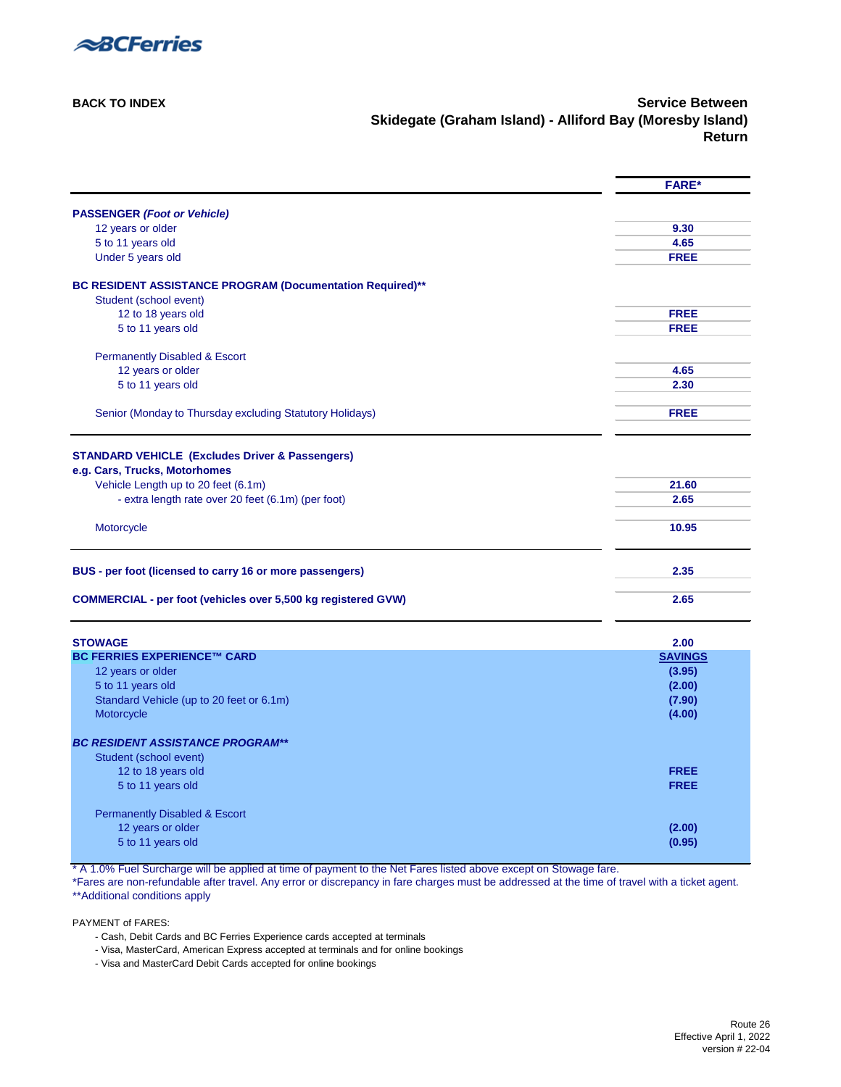

**[BACK TO INDEX](#page-0-0) Service Between Skidegate (Graham Island) - Alliford Bay (Moresby Island) Return**

<span id="page-24-0"></span>

|                                                                                             | <b>FARE*</b>   |
|---------------------------------------------------------------------------------------------|----------------|
| <b>PASSENGER (Foot or Vehicle)</b>                                                          |                |
| 12 years or older                                                                           | 9.30           |
| 5 to 11 years old                                                                           | 4.65           |
| Under 5 years old                                                                           | <b>FREE</b>    |
| BC RESIDENT ASSISTANCE PROGRAM (Documentation Required)**                                   |                |
| Student (school event)                                                                      |                |
| 12 to 18 years old                                                                          | <b>FREE</b>    |
| 5 to 11 years old                                                                           | <b>FREE</b>    |
| <b>Permanently Disabled &amp; Escort</b>                                                    |                |
| 12 years or older                                                                           | 4.65           |
| 5 to 11 years old                                                                           | 2.30           |
| Senior (Monday to Thursday excluding Statutory Holidays)                                    | <b>FREE</b>    |
|                                                                                             |                |
| <b>STANDARD VEHICLE (Excludes Driver &amp; Passengers)</b><br>e.g. Cars, Trucks, Motorhomes |                |
| Vehicle Length up to 20 feet (6.1m)                                                         | 21.60          |
| - extra length rate over 20 feet (6.1m) (per foot)                                          | 2.65           |
|                                                                                             |                |
| Motorcycle                                                                                  | 10.95          |
| BUS - per foot (licensed to carry 16 or more passengers)                                    | 2.35           |
| <b>COMMERCIAL - per foot (vehicles over 5,500 kg registered GVW)</b>                        | 2.65           |
| <b>STOWAGE</b>                                                                              | 2.00           |
| <b>BC FERRIES EXPERIENCE™ CARD</b>                                                          | <b>SAVINGS</b> |
| 12 years or older                                                                           | (3.95)         |
| 5 to 11 years old                                                                           | (2.00)         |
| Standard Vehicle (up to 20 feet or 6.1m)                                                    | (7.90)         |
| Motorcycle                                                                                  | (4.00)         |
| <b>BC RESIDENT ASSISTANCE PROGRAM**</b>                                                     |                |
| Student (school event)                                                                      |                |
| 12 to 18 years old                                                                          | <b>FREE</b>    |
| 5 to 11 years old                                                                           | <b>FREE</b>    |
| <b>Permanently Disabled &amp; Escort</b>                                                    |                |
| 12 years or older                                                                           | (2.00)         |
| 5 to 11 years old                                                                           | (0.95)         |

\* A 1.0% Fuel Surcharge will be applied at time of payment to the Net Fares listed above except on Stowage fare.

\*Fares are non-refundable after travel. Any error or discrepancy in fare charges must be addressed at the time of travel with a ticket agent. [\\*\\*Additional conditions apply](#page-33-2) 

- Cash, Debit Cards and BC Ferries Experience cards accepted at terminals
- Visa, MasterCard, American Express accepted at terminals and for online bookings
- Visa and MasterCard Debit Cards accepted for online bookings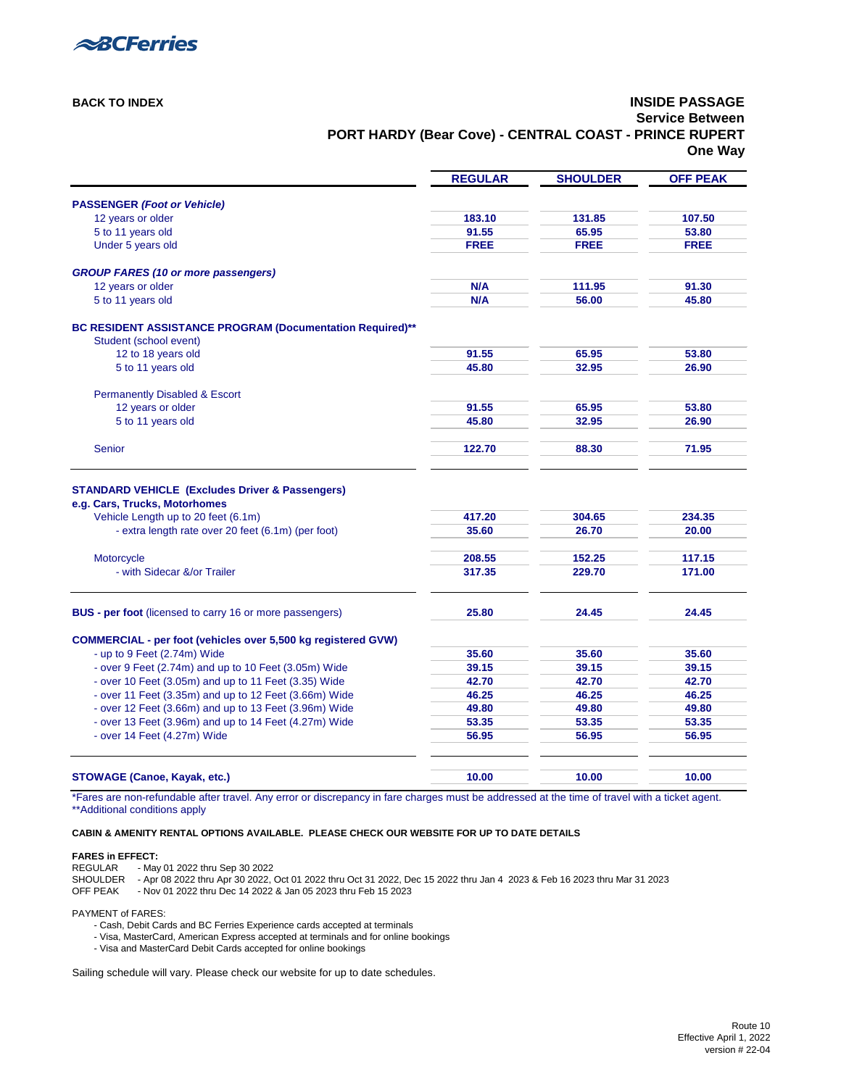Route 10 Effective April 1, 2022 version # 22-04



### **[BACK TO INDEX](#page-0-3) INSIDE PASSAGE Service Between PORT HARDY (Bear Cove) - CENTRAL COAST - PRINCE RUPERT One Way**

<span id="page-25-0"></span>

|                                                                                     | <b>REGULAR</b> | <b>SHOULDER</b> | <b>OFF PEAK</b> |
|-------------------------------------------------------------------------------------|----------------|-----------------|-----------------|
| <b>PASSENGER (Foot or Vehicle)</b>                                                  |                |                 |                 |
| 12 years or older                                                                   | 183.10         | 131.85          | 107.50          |
| 5 to 11 years old                                                                   | 91.55          | 65.95           | 53.80           |
| Under 5 years old                                                                   | <b>FREE</b>    | <b>FREE</b>     | <b>FREE</b>     |
| <b>GROUP FARES (10 or more passengers)</b>                                          |                |                 |                 |
| 12 years or older                                                                   | N/A            | 111.95          | 91.30           |
| 5 to 11 years old                                                                   | N/A            | 56.00           | 45.80           |
| BC RESIDENT ASSISTANCE PROGRAM (Documentation Required)**<br>Student (school event) |                |                 |                 |
| 12 to 18 years old                                                                  | 91.55          | 65.95           | 53.80           |
| 5 to 11 years old                                                                   | 45.80          | 32.95           | 26.90           |
| <b>Permanently Disabled &amp; Escort</b>                                            |                |                 |                 |
| 12 years or older                                                                   | 91.55          | 65.95           | 53.80           |
| 5 to 11 years old                                                                   | 45.80          | 32.95           | 26.90           |
| <b>Senior</b>                                                                       | 122.70         | 88.30           | 71.95           |
| <b>STANDARD VEHICLE (Excludes Driver &amp; Passengers)</b>                          |                |                 |                 |
| e.g. Cars, Trucks, Motorhomes                                                       |                |                 |                 |
| Vehicle Length up to 20 feet (6.1m)                                                 | 417.20         | 304.65          | 234.35          |
| - extra length rate over 20 feet (6.1m) (per foot)                                  | 35.60          | 26.70           | 20.00           |
| Motorcycle                                                                          | 208.55         | 152.25          | 117.15          |
| - with Sidecar &/or Trailer                                                         | 317.35         | 229.70          | 171.00          |
| <b>BUS - per foot</b> (licensed to carry 16 or more passengers)                     | 25.80          | 24.45           | 24.45           |
|                                                                                     |                |                 |                 |
| <b>COMMERCIAL - per foot (vehicles over 5,500 kg registered GVW)</b>                |                |                 |                 |
| - up to 9 Feet (2.74m) Wide                                                         | 35.60          | 35.60           | 35.60           |
| - over 9 Feet (2.74m) and up to 10 Feet (3.05m) Wide                                | 39.15          | 39.15           | 39.15           |
| - over 10 Feet (3.05m) and up to 11 Feet (3.35) Wide                                | 42.70          | 42.70           | 42.70           |
| - over 11 Feet (3.35m) and up to 12 Feet (3.66m) Wide                               | 46.25          | 46.25           | 46.25           |
| - over 12 Feet (3.66m) and up to 13 Feet (3.96m) Wide                               | 49.80          | 49.80           | 49.80           |
| - over 13 Feet (3.96m) and up to 14 Feet (4.27m) Wide                               | 53.35          | 53.35           | 53.35           |
| - over 14 Feet (4.27m) Wide                                                         | 56.95          | 56.95           | 56.95           |
|                                                                                     |                |                 |                 |
| <b>STOWAGE (Canoe, Kayak, etc.)</b>                                                 | 10.00          | 10.00           | 10.00           |

\*Fares are non-refundable after travel. Any error or discrepancy in fare charges must be addressed at the time of travel with a ticket agent. [\\*\\*Additional conditions apply](#page-33-8)

**[CABIN & AMENITY RENTAL OPTIONS AVAILABLE. PLEASE CHECK OUR WEBSITE FOR UP TO DATE DETAILS](https://www.bcferries.com/routes-fares/ferry-fares#cabin-rates)**

#### **FARES in EFFECT:**

REGULAR - May 01 2022 thru Sep 30 2022

- SHOULDER Apr 08 2022 thru Apr 30 2022, Oct 01 2022 thru Oct 31 2022, Dec 15 2022 thru Jan 4 2023 & Feb 16 2023 thru Mar 31 2023
- OFF PEAK Nov 01 2022 thru Dec 14 2022 & Jan 05 2023 thru Feb 15 2023

PAYMENT of FARES:

- Cash, Debit Cards and BC Ferries Experience cards accepted at terminals
- Visa, MasterCard, American Express accepted at terminals and for online bookings
- Visa and MasterCard Debit Cards accepted for online bookings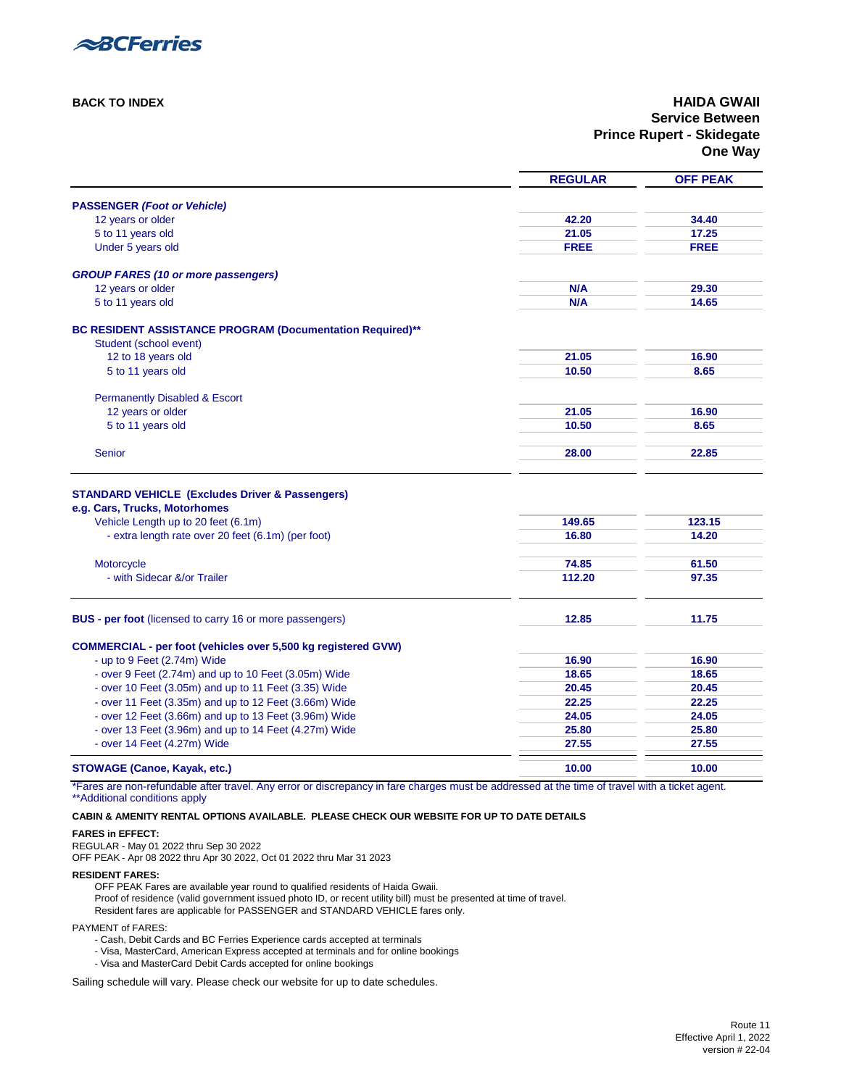

### **[BACK TO INDEX](#page-0-4) HAIDA GWAII Service Between Prince Rupert - Skidegate One Way**

<span id="page-26-0"></span>

|                                                                                                                                              | <b>REGULAR</b> | <b>OFF PEAK</b> |
|----------------------------------------------------------------------------------------------------------------------------------------------|----------------|-----------------|
| <b>PASSENGER (Foot or Vehicle)</b>                                                                                                           |                |                 |
| 12 years or older                                                                                                                            | 42.20          | 34.40           |
| 5 to 11 years old                                                                                                                            | 21.05          | 17.25           |
| Under 5 years old                                                                                                                            | <b>FREE</b>    | <b>FREE</b>     |
|                                                                                                                                              |                |                 |
| <b>GROUP FARES (10 or more passengers)</b>                                                                                                   |                |                 |
| 12 years or older                                                                                                                            | N/A            | 29.30           |
| 5 to 11 years old                                                                                                                            | N/A            | 14.65           |
| BC RESIDENT ASSISTANCE PROGRAM (Documentation Required)**                                                                                    |                |                 |
| Student (school event)                                                                                                                       |                |                 |
| 12 to 18 years old                                                                                                                           | 21.05          | 16.90           |
| 5 to 11 years old                                                                                                                            | 10.50          | 8.65            |
| <b>Permanently Disabled &amp; Escort</b>                                                                                                     |                |                 |
| 12 years or older                                                                                                                            | 21.05          | 16.90           |
| 5 to 11 years old                                                                                                                            | 10.50          | 8.65            |
| Senior                                                                                                                                       | 28.00          | 22.85           |
|                                                                                                                                              |                |                 |
| <b>STANDARD VEHICLE (Excludes Driver &amp; Passengers)</b>                                                                                   |                |                 |
| e.g. Cars, Trucks, Motorhomes                                                                                                                |                |                 |
| Vehicle Length up to 20 feet (6.1m)                                                                                                          | 149.65         | 123.15          |
| - extra length rate over 20 feet (6.1m) (per foot)                                                                                           | 16.80          | 14.20           |
|                                                                                                                                              |                |                 |
| Motorcycle                                                                                                                                   | 74.85          | 61.50           |
| - with Sidecar &/or Trailer                                                                                                                  | 112.20         | 97.35           |
| <b>BUS - per foot</b> (licensed to carry 16 or more passengers)                                                                              | 12.85          | 11.75           |
|                                                                                                                                              |                |                 |
| <b>COMMERCIAL - per foot (vehicles over 5,500 kg registered GVW)</b>                                                                         |                |                 |
| - up to 9 Feet (2.74m) Wide                                                                                                                  | 16.90          | 16.90           |
| - over 9 Feet (2.74m) and up to 10 Feet (3.05m) Wide                                                                                         | 18.65          | 18.65           |
| - over 10 Feet (3.05m) and up to 11 Feet (3.35) Wide                                                                                         | 20.45          | 20.45           |
| - over 11 Feet (3.35m) and up to 12 Feet (3.66m) Wide                                                                                        | 22.25          | 22.25           |
| - over 12 Feet (3.66m) and up to 13 Feet (3.96m) Wide                                                                                        | 24.05          | 24.05           |
| - over 13 Feet (3.96m) and up to 14 Feet (4.27m) Wide                                                                                        | 25.80          | 25.80           |
| - over 14 Feet (4.27m) Wide                                                                                                                  | 27.55          | 27.55           |
| <b>STOWAGE (Canoe, Kayak, etc.)</b>                                                                                                          | 10.00          | 10.00           |
| *Egree are nep refundable after travel. Any error or discrepancy in fare charges must be addressed at the time of travel with a ticket agent |                |                 |

\*Fares are non-refundable after travel. Any error or discrepancy in fare charges must be addressed at the time of travel with a ticket agent. [\\*\\*Additional conditions apply](#page-33-10) 

#### **[CABIN & AMENITY RENTAL OPTIONS AVAILABLE. PLEASE CHECK OUR WEBSITE FOR UP TO DATE DETAILS](https://www.bcferries.com/routes-fares/ferry-fares#cabin-rates)**

### **FARES in EFFECT:**

REGULAR - May 01 2022 thru Sep 30 2022

OFF PEAK - Apr 08 2022 thru Apr 30 2022, Oct 01 2022 thru Mar 31 2023

#### **RESIDENT FARES:**

OFF PEAK Fares are available year round to qualified residents of Haida Gwaii. Proof of residence (valid government issued photo ID, or recent utility bill) must be presented at time of travel. Resident fares are applicable for PASSENGER and STANDARD VEHICLE fares only.

PAYMENT of FARES:

- Cash, Debit Cards and BC Ferries Experience cards accepted at terminals

- Visa, MasterCard, American Express accepted at terminals and for online bookings
- Visa and MasterCard Debit Cards accepted for online bookings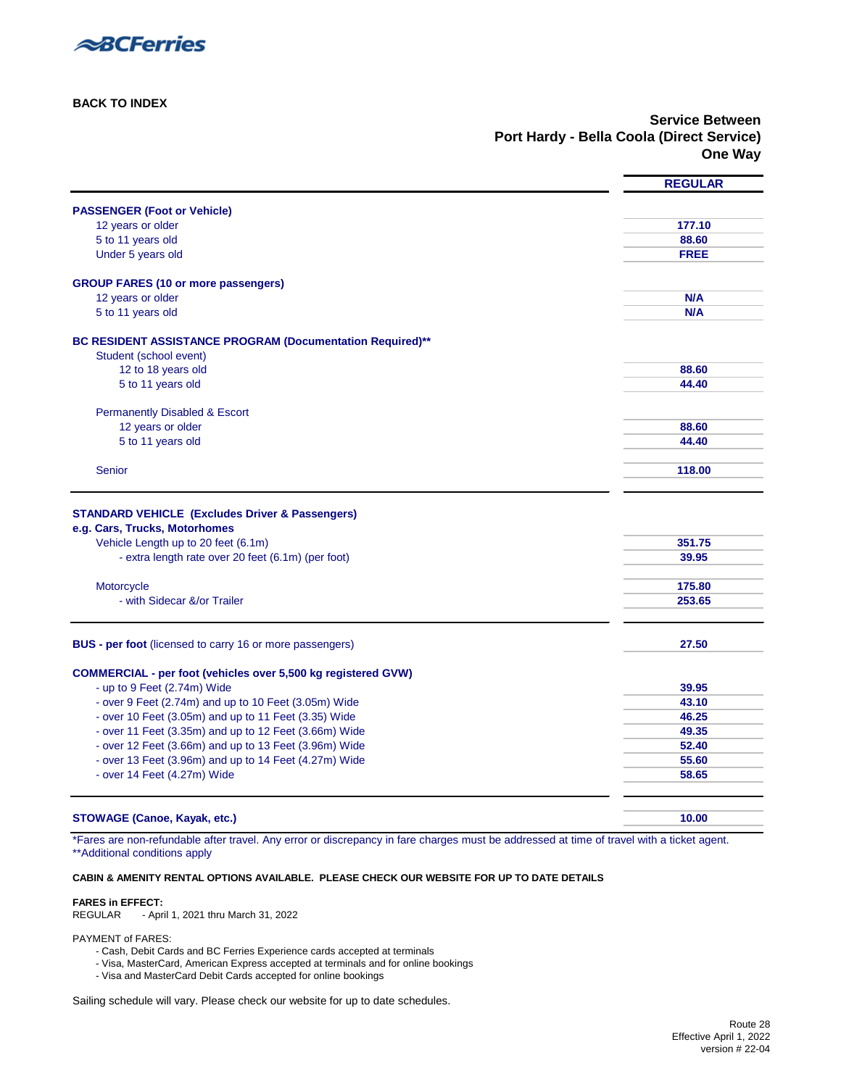

**[BACK TO INDEX](#page-0-2)**

**Service Between Port Hardy - Bella Coola (Direct Service) One Way**

<span id="page-27-0"></span>

|                                                                      | <b>REGULAR</b> |
|----------------------------------------------------------------------|----------------|
| <b>PASSENGER (Foot or Vehicle)</b>                                   |                |
| 12 years or older                                                    | 177.10         |
| 5 to 11 years old                                                    | 88.60          |
| Under 5 years old                                                    | <b>FREE</b>    |
| <b>GROUP FARES (10 or more passengers)</b>                           |                |
| 12 years or older                                                    | N/A            |
| 5 to 11 years old                                                    | N/A            |
| BC RESIDENT ASSISTANCE PROGRAM (Documentation Required)**            |                |
| Student (school event)                                               |                |
| 12 to 18 years old                                                   | 88.60          |
| 5 to 11 years old                                                    | 44.40          |
| <b>Permanently Disabled &amp; Escort</b>                             |                |
| 12 years or older                                                    | 88.60          |
| 5 to 11 years old                                                    | 44.40          |
| <b>Senior</b>                                                        | 118.00         |
|                                                                      |                |
|                                                                      |                |
| <b>STANDARD VEHICLE (Excludes Driver &amp; Passengers)</b>           |                |
| e.g. Cars, Trucks, Motorhomes                                        |                |
| Vehicle Length up to 20 feet (6.1m)                                  | 351.75         |
| - extra length rate over 20 feet (6.1m) (per foot)                   | 39.95          |
|                                                                      |                |
| Motorcycle                                                           | 175.80         |
| - with Sidecar &/or Trailer                                          | 253.65         |
|                                                                      |                |
| <b>BUS - per foot</b> (licensed to carry 16 or more passengers)      | 27.50          |
| <b>COMMERCIAL - per foot (vehicles over 5,500 kg registered GVW)</b> |                |
| - up to 9 Feet (2.74m) Wide                                          | 39.95          |
| - over 9 Feet (2.74m) and up to 10 Feet (3.05m) Wide                 | 43.10          |
| - over 10 Feet (3.05m) and up to 11 Feet (3.35) Wide                 | 46.25          |
| - over 11 Feet (3.35m) and up to 12 Feet (3.66m) Wide                | 49.35          |
| - over 12 Feet (3.66m) and up to 13 Feet (3.96m) Wide                | 52.40          |
| - over 13 Feet (3.96m) and up to 14 Feet (4.27m) Wide                | 55.60          |
| - over 14 Feet (4.27m) Wide                                          | 58.65          |
|                                                                      |                |
| <b>STOWAGE (Canoe, Kayak, etc.)</b>                                  | 10.00          |
|                                                                      |                |

\*Fares are non-refundable after travel. Any error or discrepancy in fare charges must be addressed at time of travel with a ticket agent. [\\*\\*Additional conditions apply](#page-33-5) 

#### **[CABIN & AMENITY RENTAL OPTIONS AVAILABLE. PLEASE CHECK OUR WEBSITE FOR UP TO DATE DETAILS](https://www.bcferries.com/routes-fares/ferry-fares#cabin-rates)**

#### **FARES in EFFECT:**

REGULAR - April 1, 2021 thru March 31, 2022

PAYMENT of FARES:

- Cash, Debit Cards and BC Ferries Experience cards accepted at terminals
- Visa, MasterCard, American Express accepted at terminals and for online bookings
- Visa and MasterCard Debit Cards accepted for online bookings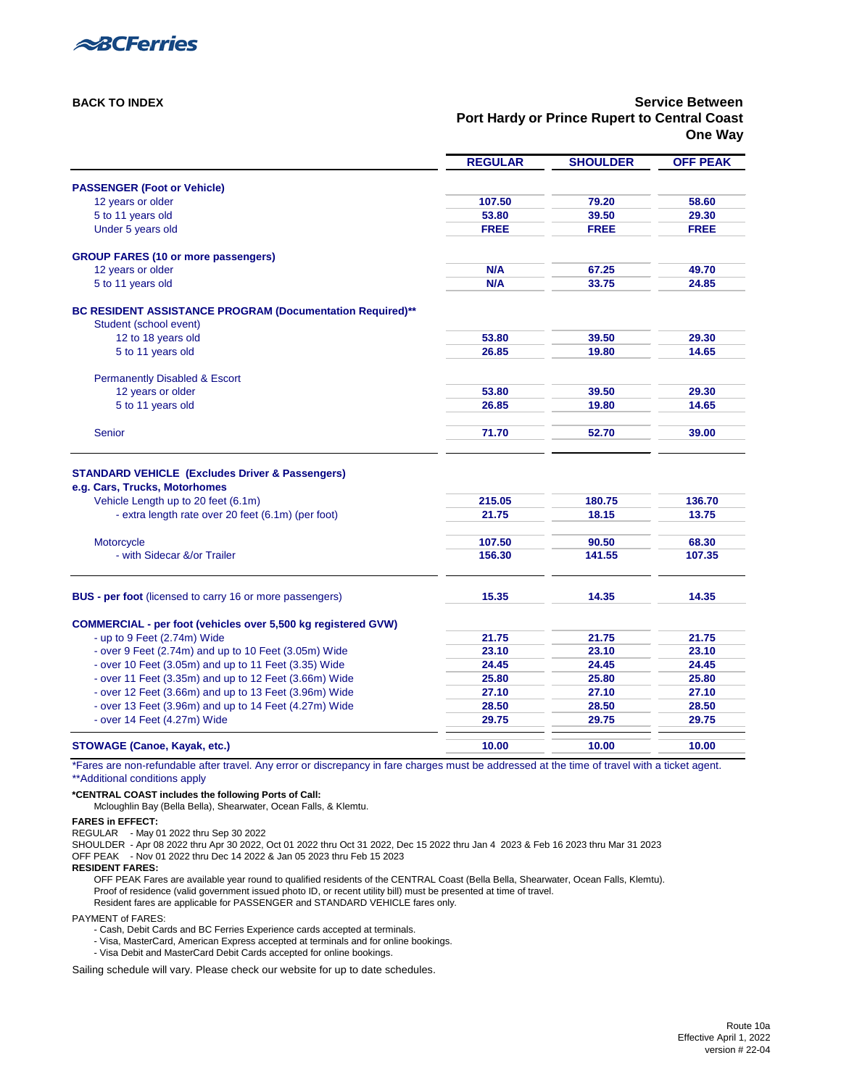Route 10a Effective April 1, 2022 version # 22-04



### **[BACK TO INDEX](#page-0-3) Service Between Port Hardy or Prince Rupert to Central Coast One Way**

<span id="page-28-0"></span>

|                                                                      | <b>REGULAR</b> | <b>SHOULDER</b> | <b>OFF PEAK</b> |
|----------------------------------------------------------------------|----------------|-----------------|-----------------|
| <b>PASSENGER (Foot or Vehicle)</b>                                   |                |                 |                 |
| 12 years or older                                                    | 107.50         | 79.20           | 58.60           |
| 5 to 11 years old                                                    | 53.80          | 39.50           | 29.30           |
| Under 5 years old                                                    | <b>FREE</b>    | <b>FREE</b>     | <b>FREE</b>     |
| <b>GROUP FARES (10 or more passengers)</b>                           |                |                 |                 |
| 12 years or older                                                    | N/A            | 67.25           | 49.70           |
| 5 to 11 years old                                                    | N/A            | 33.75           | 24.85           |
| <b>BC RESIDENT ASSISTANCE PROGRAM (Documentation Required)**</b>     |                |                 |                 |
| Student (school event)                                               |                |                 |                 |
| 12 to 18 years old                                                   | 53.80          | 39.50           | 29.30           |
| 5 to 11 years old                                                    | 26.85          | 19.80           | 14.65           |
| <b>Permanently Disabled &amp; Escort</b>                             |                |                 |                 |
| 12 years or older                                                    | 53.80          | 39.50           | 29.30           |
| 5 to 11 years old                                                    | 26.85          | 19.80           | 14.65           |
| <b>Senior</b>                                                        | 71.70          | 52.70           | 39.00           |
| <b>STANDARD VEHICLE (Excludes Driver &amp; Passengers)</b>           |                |                 |                 |
| e.g. Cars, Trucks, Motorhomes                                        |                |                 |                 |
| Vehicle Length up to 20 feet (6.1m)                                  | 215.05         | 180.75          | 136.70          |
| - extra length rate over 20 feet (6.1m) (per foot)                   | 21.75          | 18.15           | 13.75           |
| Motorcycle                                                           | 107.50         | 90.50           | 68.30           |
| - with Sidecar &/or Trailer                                          | 156.30         | 141.55          | 107.35          |
| <b>BUS - per foot</b> (licensed to carry 16 or more passengers)      | 15.35          | 14.35           | 14.35           |
| <b>COMMERCIAL - per foot (vehicles over 5,500 kg registered GVW)</b> |                |                 |                 |
| - up to 9 Feet (2.74m) Wide                                          | 21.75          | 21.75           | 21.75           |
| - over 9 Feet (2.74m) and up to 10 Feet (3.05m) Wide                 | 23.10          | 23.10           | 23.10           |
| - over 10 Feet (3.05m) and up to 11 Feet (3.35) Wide                 | 24.45          | 24.45           | 24.45           |
| - over 11 Feet (3.35m) and up to 12 Feet (3.66m) Wide                | 25.80          | 25.80           | 25.80           |
| - over 12 Feet (3.66m) and up to 13 Feet (3.96m) Wide                | 27.10          | 27.10           | 27.10           |
| - over 13 Feet (3.96m) and up to 14 Feet (4.27m) Wide                | 28.50          | 28.50           | 28.50           |
| - over 14 Feet (4.27m) Wide                                          | 29.75          | 29.75           | 29.75           |
| <b>STOWAGE (Canoe, Kayak, etc.)</b>                                  | 10.00          | 10.00           | 10.00           |

\*Fares are non-refundable after travel. Any error or discrepancy in fare charges must be addressed at the time of travel with a ticket agent. [\\*\\*Additional conditions apply](#page-33-8) 

**\*CENTRAL COAST includes the following Ports of Call:**

Mcloughlin Bay (Bella Bella), Shearwater, Ocean Falls, & Klemtu.

#### **FARES in EFFECT:**

REGULAR - May 01 2022 thru Sep 30 2022 SHOULDER - Apr 08 2022 thru Apr 30 2022, Oct 01 2022 thru Oct 31 2022, Dec 15 2022 thru Jan 4 2023 & Feb 16 2023 thru Mar 31 2023 OFF PEAK - Nov 01 2022 thru Dec 14 2022 & Jan 05 2023 thru Feb 15 2023

#### **RESIDENT FARES:**

OFF PEAK Fares are available year round to qualified residents of the CENTRAL Coast (Bella Bella, Shearwater, Ocean Falls, Klemtu). Proof of residence (valid government issued photo ID, or recent utility bill) must be presented at time of travel. Resident fares are applicable for PASSENGER and STANDARD VEHICLE fares only.

PAYMENT of FARES:

- Cash, Debit Cards and BC Ferries Experience cards accepted at terminals.
- Visa, MasterCard, American Express accepted at terminals and for online bookings.
- Visa Debit and MasterCard Debit Cards accepted for online bookings.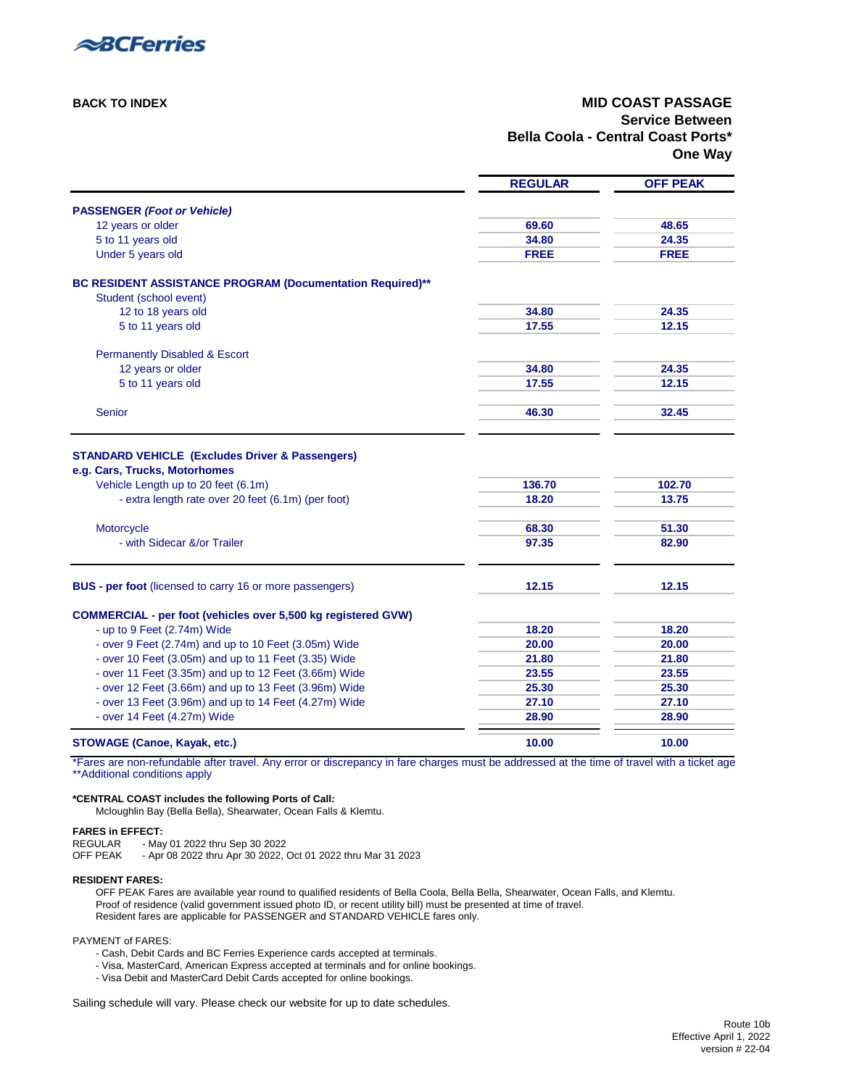

### **[BACK TO INDEX](#page-0-2) MID COAST PASSAGE Service Between Bella Coola - Central Coast Ports\* One Way**

<span id="page-29-0"></span>

|                                                                                           | <b>REGULAR</b>  | <b>OFF PEAK</b> |
|-------------------------------------------------------------------------------------------|-----------------|-----------------|
| <b>PASSENGER (Foot or Vehicle)</b>                                                        |                 |                 |
| 12 years or older                                                                         | 69.60           | 48.65           |
| 5 to 11 years old                                                                         | 34.80           | 24.35           |
| Under 5 years old                                                                         | <b>FREE</b>     | <b>FREE</b>     |
| BC RESIDENT ASSISTANCE PROGRAM (Documentation Required)**                                 |                 |                 |
| Student (school event)                                                                    |                 |                 |
| 12 to 18 years old                                                                        | 34.80           | 24.35           |
| 5 to 11 years old                                                                         | 17.55           | 12.15           |
| <b>Permanently Disabled &amp; Escort</b>                                                  |                 |                 |
| 12 years or older                                                                         | 34.80           | 24.35           |
| 5 to 11 years old                                                                         | 17.55           | 12.15           |
| Senior                                                                                    | 46.30           | 32.45           |
| Vehicle Length up to 20 feet (6.1m)<br>- extra length rate over 20 feet (6.1m) (per foot) | 136.70<br>18.20 | 102.70<br>13.75 |
| Motorcycle                                                                                | 68.30           | 51.30           |
| - with Sidecar &/or Trailer                                                               | 97.35           | 82.90           |
| <b>BUS - per foot</b> (licensed to carry 16 or more passengers)                           | 12.15           | 12.15           |
| <b>COMMERCIAL - per foot (vehicles over 5,500 kg registered GVW)</b>                      |                 |                 |
| - up to 9 Feet (2.74m) Wide                                                               | 18.20           | 18.20           |
| - over 9 Feet (2.74m) and up to 10 Feet (3.05m) Wide                                      | 20.00           | 20.00           |
| - over 10 Feet (3.05m) and up to 11 Feet (3.35) Wide                                      | 21.80           | 21.80           |
| - over 11 Feet (3.35m) and up to 12 Feet (3.66m) Wide                                     | 23.55           | 23.55           |
| - over 12 Feet (3.66m) and up to 13 Feet (3.96m) Wide                                     | 25.30           | 25.30           |
| - over 13 Feet (3.96m) and up to 14 Feet (4.27m) Wide                                     | 27.10           | 27.10           |
| - over 14 Feet (4.27m) Wide                                                               | 28.90           | 28.90           |
| <b>STOWAGE (Canoe, Kayak, etc.)</b>                                                       | 10.00           | 10.00           |

\*Fares are non-refundable after travel. Any error or discrepancy in fare charges must be addressed at the time of travel with a ticket age [\\*\\*Additional conditions apply](#page-33-5)

#### **\*CENTRAL COAST includes the following Ports of Call:**

Mcloughlin Bay (Bella Bella), Shearwater, Ocean Falls & Klemtu.

### **FARES in EFFECT:**

REGULAR - May 01 2022 thru Sep 30 2022

OFF PEAK - Apr 08 2022 thru Apr 30 2022, Oct 01 2022 thru Mar 31 2023

#### **RESIDENT FARES:**

OFF PEAK Fares are available year round to qualified residents of Bella Coola, Bella Bella, Shearwater, Ocean Falls, and Klemtu. Proof of residence (valid government issued photo ID, or recent utility bill) must be presented at time of travel. Resident fares are applicable for PASSENGER and STANDARD VEHICLE fares only.

#### PAYMENT of FARES:

- Cash, Debit Cards and BC Ferries Experience cards accepted at terminals.

- Visa, MasterCard, American Express accepted at terminals and for online bookings.
- Visa Debit and MasterCard Debit Cards accepted for online bookings.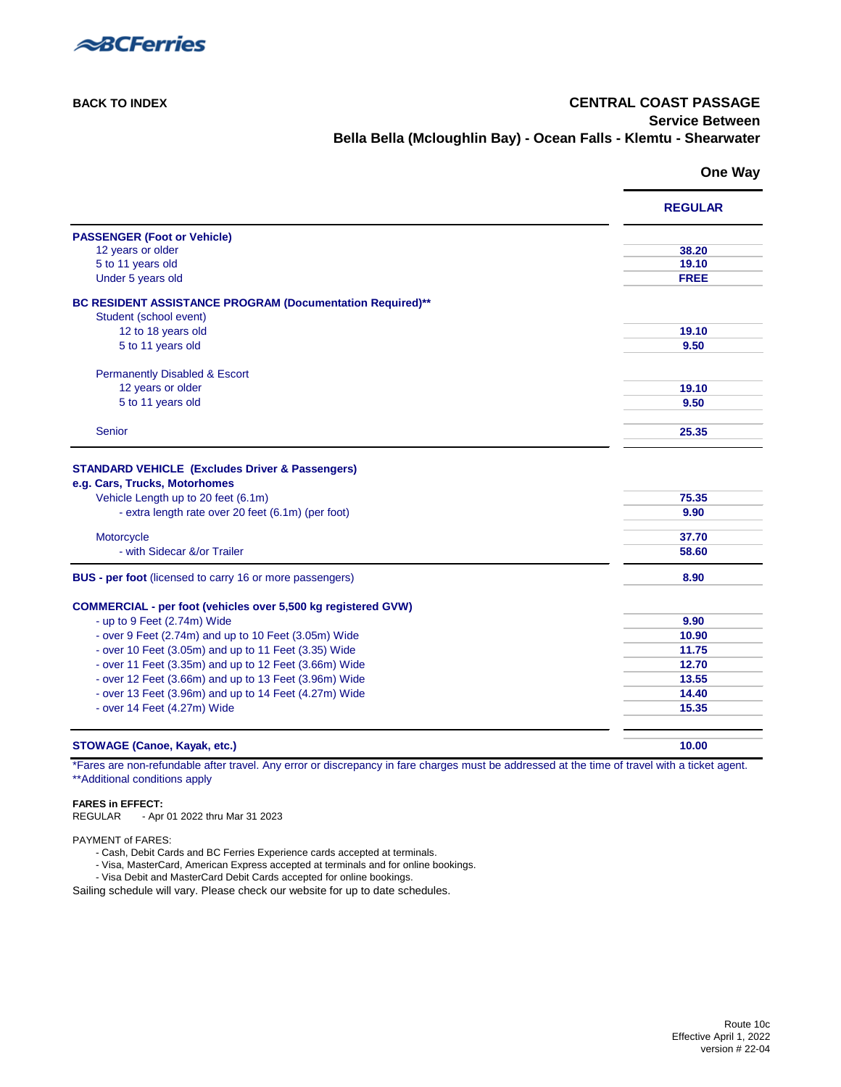

### **[BACK TO INDEX](#page-0-2) CENTRAL COAST PASSAGE Service Between Bella Bella (Mcloughlin Bay) - Ocean Falls - Klemtu - Shearwater**

### **One Way**

<span id="page-30-0"></span>

|                                                                                                                            | <b>REGULAR</b> |
|----------------------------------------------------------------------------------------------------------------------------|----------------|
| <b>PASSENGER (Foot or Vehicle)</b>                                                                                         |                |
| 12 years or older                                                                                                          | 38.20          |
| 5 to 11 years old                                                                                                          | 19.10          |
| Under 5 years old                                                                                                          | <b>FREE</b>    |
| BC RESIDENT ASSISTANCE PROGRAM (Documentation Required)**                                                                  |                |
| Student (school event)                                                                                                     |                |
| 12 to 18 years old                                                                                                         | 19.10          |
| 5 to 11 years old                                                                                                          | 9.50           |
| <b>Permanently Disabled &amp; Escort</b>                                                                                   |                |
| 12 years or older                                                                                                          | 19.10          |
| 5 to 11 years old                                                                                                          | 9.50           |
|                                                                                                                            |                |
| Senior                                                                                                                     | 25.35          |
| e.g. Cars, Trucks, Motorhomes<br>Vehicle Length up to 20 feet (6.1m)<br>- extra length rate over 20 feet (6.1m) (per foot) | 75.35<br>9.90  |
| Motorcycle                                                                                                                 | 37.70          |
| - with Sidecar &/or Trailer                                                                                                | 58.60          |
| <b>BUS - per foot</b> (licensed to carry 16 or more passengers)                                                            | 8.90           |
| <b>COMMERCIAL - per foot (vehicles over 5,500 kg registered GVW)</b>                                                       |                |
| - up to 9 Feet (2.74m) Wide                                                                                                | 9.90           |
| - over 9 Feet (2.74m) and up to 10 Feet (3.05m) Wide                                                                       | 10.90          |
| - over 10 Feet (3.05m) and up to 11 Feet (3.35) Wide                                                                       | 11.75          |
| - over 11 Feet (3.35m) and up to 12 Feet (3.66m) Wide                                                                      | 12.70          |
| - over 12 Feet (3.66m) and up to 13 Feet (3.96m) Wide                                                                      | 13.55          |
| - over 13 Feet (3.96m) and up to 14 Feet (4.27m) Wide                                                                      | 14.40          |
| - over 14 Feet (4.27m) Wide                                                                                                | 15.35          |
|                                                                                                                            |                |
| <b>STOWAGE (Canoe, Kayak, etc.)</b>                                                                                        | 10.00          |

\*Fares are non-refundable after travel. Any error or discrepancy in fare charges must be addressed at the time of travel with a ticket agent. [\\*\\*Additional conditions apply](#page-33-5) 

### **FARES in EFFECT:**

REGULAR - Apr 01 2022 thru Mar 31 2023

### PAYMENT of FARES:

- Cash, Debit Cards and BC Ferries Experience cards accepted at terminals.

- Visa, MasterCard, American Express accepted at terminals and for online bookings.

- Visa Debit and MasterCard Debit Cards accepted for online bookings.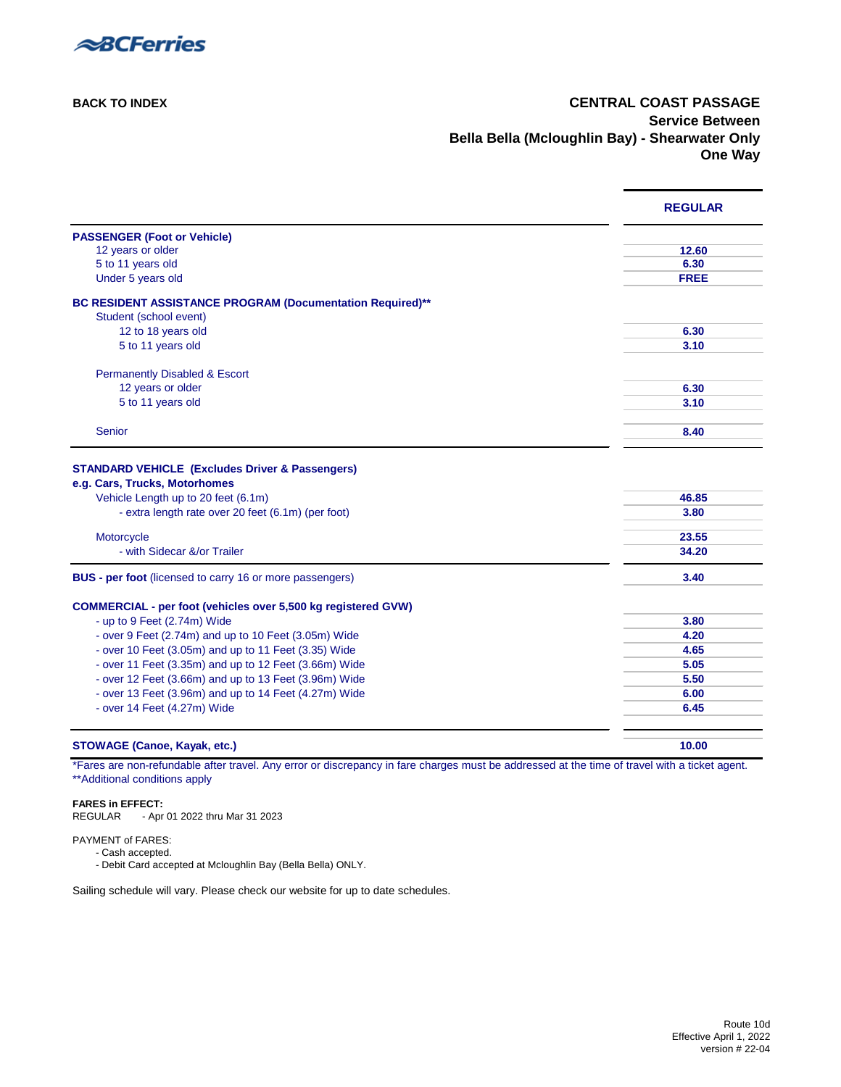

### **[BACK TO INDEX](#page-0-2) CENTRAL COAST PASSAGE Service Between Bella Bella (Mcloughlin Bay) - Shearwater Only One Way**

<span id="page-31-0"></span>

|                                                                                                                                                                                          | <b>REGULAR</b> |
|------------------------------------------------------------------------------------------------------------------------------------------------------------------------------------------|----------------|
| <b>PASSENGER (Foot or Vehicle)</b>                                                                                                                                                       |                |
| 12 years or older                                                                                                                                                                        | 12.60          |
| 5 to 11 years old                                                                                                                                                                        | 6.30           |
| Under 5 years old                                                                                                                                                                        | <b>FREE</b>    |
| BC RESIDENT ASSISTANCE PROGRAM (Documentation Required)**                                                                                                                                |                |
| Student (school event)                                                                                                                                                                   |                |
| 12 to 18 years old                                                                                                                                                                       | 6.30           |
| 5 to 11 years old                                                                                                                                                                        | 3.10           |
| <b>Permanently Disabled &amp; Escort</b>                                                                                                                                                 |                |
| 12 years or older                                                                                                                                                                        | 6.30           |
| 5 to 11 years old                                                                                                                                                                        | 3.10           |
|                                                                                                                                                                                          |                |
| <b>Senior</b>                                                                                                                                                                            | 8.40           |
| <b>STANDARD VEHICLE (Excludes Driver &amp; Passengers)</b><br>e.g. Cars, Trucks, Motorhomes<br>Vehicle Length up to 20 feet (6.1m)<br>- extra length rate over 20 feet (6.1m) (per foot) | 46.85<br>3.80  |
| Motorcycle                                                                                                                                                                               | 23.55          |
| - with Sidecar &/or Trailer                                                                                                                                                              | 34.20          |
| <b>BUS - per foot</b> (licensed to carry 16 or more passengers)                                                                                                                          | 3.40           |
| <b>COMMERCIAL - per foot (vehicles over 5,500 kg registered GVW)</b>                                                                                                                     |                |
| - up to 9 Feet (2.74m) Wide                                                                                                                                                              | 3.80           |
| - over 9 Feet (2.74m) and up to 10 Feet (3.05m) Wide                                                                                                                                     | 4.20           |
| - over 10 Feet (3.05m) and up to 11 Feet (3.35) Wide                                                                                                                                     | 4.65           |
| - over 11 Feet (3.35m) and up to 12 Feet (3.66m) Wide                                                                                                                                    | 5.05           |
| - over 12 Feet (3.66m) and up to 13 Feet (3.96m) Wide                                                                                                                                    | 5.50           |
| - over 13 Feet (3.96m) and up to 14 Feet (4.27m) Wide                                                                                                                                    | 6.00           |
| - over 14 Feet (4.27m) Wide                                                                                                                                                              | 6.45           |
| <b>STOWAGE (Canoe, Kayak, etc.)</b>                                                                                                                                                      | 10.00          |

\*Fares are non-refundable after travel. Any error or discrepancy in fare charges must be addressed at the time of travel with a ticket agent. [\\*\\*Additional conditions apply](#page-33-5) 

#### **FARES in EFFECT:**

REGULAR - Apr 01 2022 thru Mar 31 2023

### PAYMENT of FARES:

- Cash accepted.
- Debit Card accepted at Mcloughlin Bay (Bella Bella) ONLY.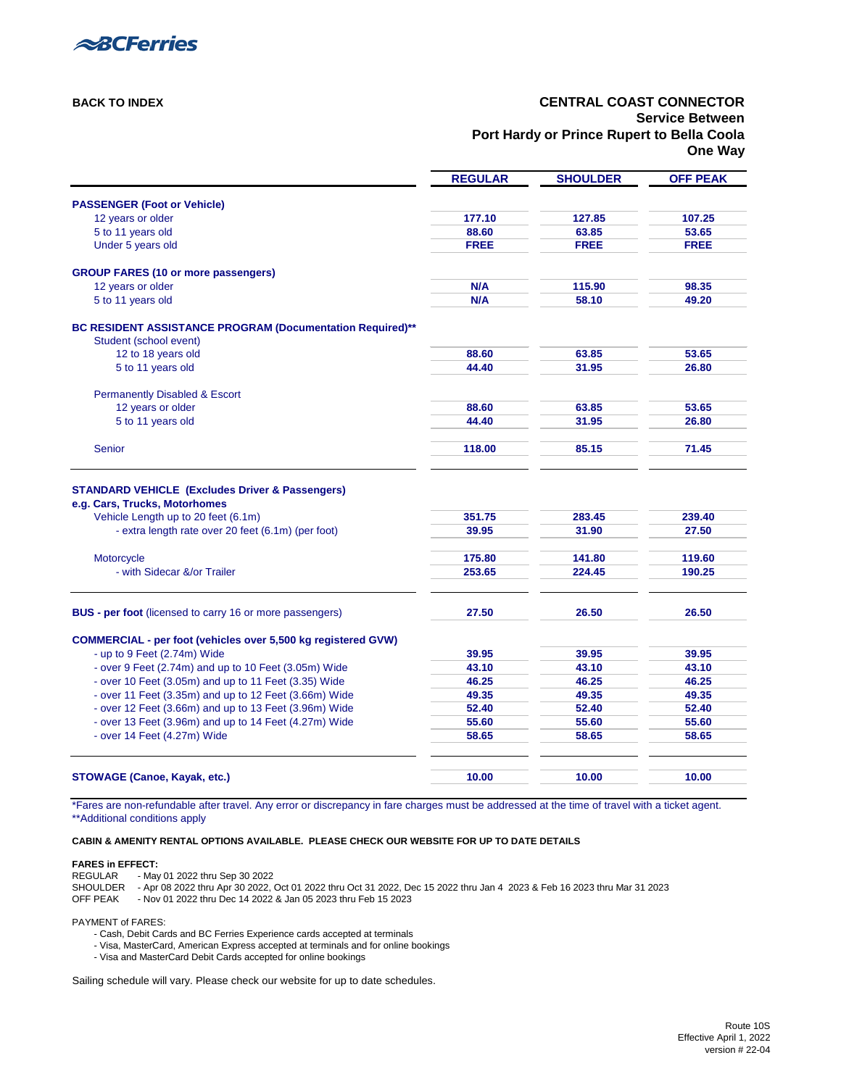Route 10S Effective April 1, 2022 version # 22-04



### **[BACK TO INDEX](#page-0-3) CENTRAL COAST CONNECTOR Service Between Port Hardy or Prince Rupert to Bella Coola One Way**

<span id="page-32-0"></span>

|                                                                                     | <b>REGULAR</b> | <b>SHOULDER</b> | <b>OFF PEAK</b> |
|-------------------------------------------------------------------------------------|----------------|-----------------|-----------------|
| <b>PASSENGER (Foot or Vehicle)</b>                                                  |                |                 |                 |
| 12 years or older                                                                   | 177.10         | 127.85          | 107.25          |
| 5 to 11 years old                                                                   | 88.60          | 63.85           | 53.65           |
| Under 5 years old                                                                   | <b>FREE</b>    | <b>FREE</b>     | <b>FREE</b>     |
| <b>GROUP FARES (10 or more passengers)</b>                                          |                |                 |                 |
| 12 years or older                                                                   | N/A            | 115.90          | 98.35           |
| 5 to 11 years old                                                                   | N/A            | 58.10           | 49.20           |
| BC RESIDENT ASSISTANCE PROGRAM (Documentation Required)**<br>Student (school event) |                |                 |                 |
| 12 to 18 years old                                                                  | 88.60          | 63.85           | 53.65           |
| 5 to 11 years old                                                                   | 44.40          | 31.95           | 26.80           |
| <b>Permanently Disabled &amp; Escort</b>                                            |                |                 |                 |
| 12 years or older                                                                   | 88.60          | 63.85           | 53.65           |
| 5 to 11 years old                                                                   | 44.40          | 31.95           | 26.80           |
| <b>Senior</b>                                                                       | 118.00         | 85.15           | 71.45           |
| <b>STANDARD VEHICLE (Excludes Driver &amp; Passengers)</b>                          |                |                 |                 |
| e.g. Cars, Trucks, Motorhomes                                                       |                |                 |                 |
| Vehicle Length up to 20 feet (6.1m)                                                 | 351.75         | 283.45          | 239.40          |
| - extra length rate over 20 feet (6.1m) (per foot)                                  | 39.95          | 31.90           | 27.50           |
| Motorcycle                                                                          | 175.80         | 141.80          | 119.60          |
| - with Sidecar &/or Trailer                                                         | 253.65         | 224.45          | 190.25          |
| <b>BUS - per foot</b> (licensed to carry 16 or more passengers)                     | 27.50          | 26.50           | 26.50           |
|                                                                                     |                |                 |                 |
| <b>COMMERCIAL - per foot (vehicles over 5,500 kg registered GVW)</b>                |                |                 |                 |
| - up to $9$ Feet (2.74m) Wide                                                       | 39.95          | 39.95           | 39.95           |
| - over 9 Feet (2.74m) and up to 10 Feet (3.05m) Wide                                | 43.10          | 43.10           | 43.10           |
| - over 10 Feet (3.05m) and up to 11 Feet (3.35) Wide                                | 46.25          | 46.25           | 46.25           |
| - over 11 Feet (3.35m) and up to 12 Feet (3.66m) Wide                               | 49.35          | 49.35           | 49.35           |
| - over 12 Feet (3.66m) and up to 13 Feet (3.96m) Wide                               | 52.40          | 52.40           | 52.40           |
| - over 13 Feet (3.96m) and up to 14 Feet (4.27m) Wide                               | 55.60          | 55.60           | 55.60           |
| - over 14 Feet (4.27m) Wide                                                         | 58.65          | 58.65           | 58.65           |
|                                                                                     |                |                 |                 |
| <b>STOWAGE (Canoe, Kayak, etc.)</b>                                                 | 10.00          | 10.00           | 10.00           |

\*Fares are non-refundable after travel. Any error or discrepancy in fare charges must be addressed at the time of travel with a ticket agent. [\\*\\*Additional conditions apply](#page-33-8) 

**[CABIN & AMENITY RENTAL OPTIONS AVAILABLE. PLEASE CHECK OUR WEBSITE FOR UP TO DATE DETAILS](https://www.bcferries.com/routes-fares/ferry-fares#cabin-rates)**

#### **FARES in EFFECT:**

- REGULAR May 01 2022 thru Sep 30 2022
- SHOULDER Apr 08 2022 thru Apr 30 2022, Oct 01 2022 thru Oct 31 2022, Dec 15 2022 thru Jan 4 2023 & Feb 16 2023 thru Mar 31 2023
- OFF PEAK Nov 01 2022 thru Dec 14 2022 & Jan 05 2023 thru Feb 15 2023

PAYMENT of FARES:

- Cash, Debit Cards and BC Ferries Experience cards accepted at terminals
- Visa, MasterCard, American Express accepted at terminals and for online bookings
- Visa and MasterCard Debit Cards accepted for online bookings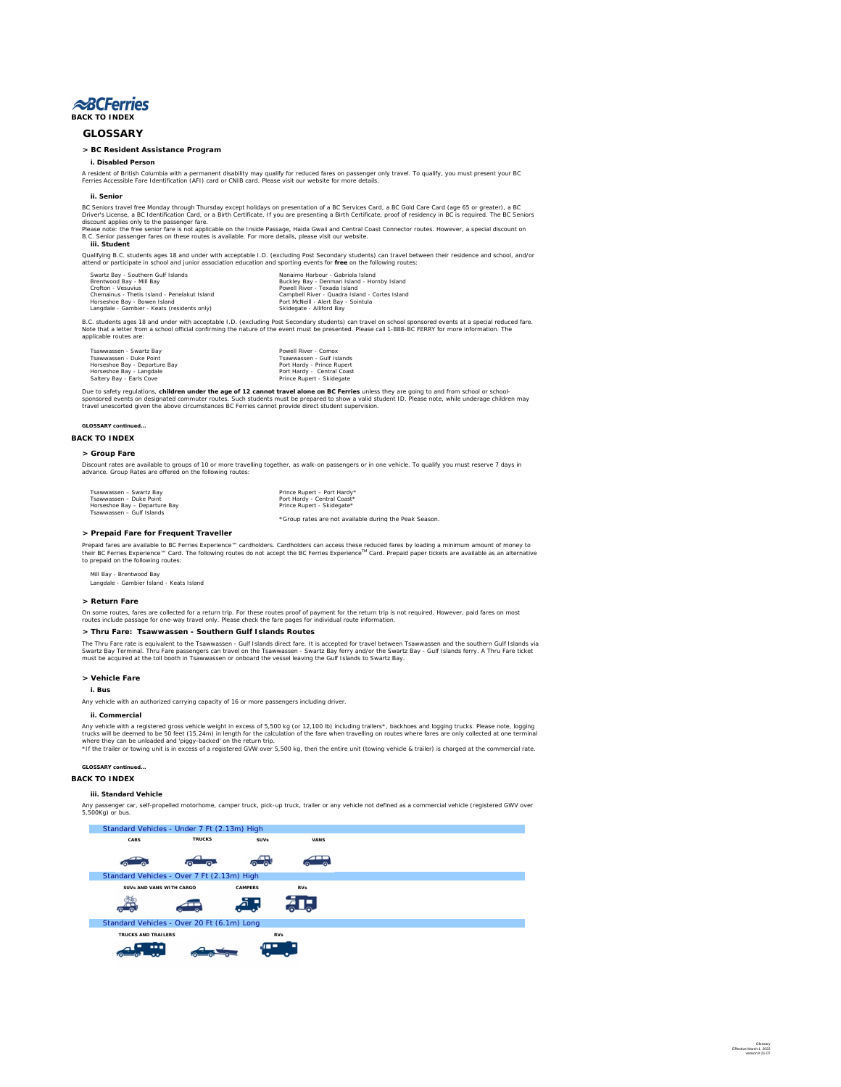Glossary Effective March 1, 2022 version # 21-07

<span id="page-33-10"></span><span id="page-33-9"></span><span id="page-33-8"></span><span id="page-33-7"></span><span id="page-33-6"></span><span id="page-33-5"></span><span id="page-33-4"></span><span id="page-33-3"></span><span id="page-33-2"></span><span id="page-33-1"></span><span id="page-33-0"></span>

# **GLOSSARY**

### **> BC Resident Assistance Program**

**i. Disabled Person**

## **ii. Senior**

### **iii. Student**

| Swartz Bay - Southern Gulf Islands           | Nanaimo Harbour - Gabriola Island              |
|----------------------------------------------|------------------------------------------------|
| Brentwood Bay - Mill Bay                     | Buckley Bay - Denman Island - Hornby Island    |
| <b>Crofton - Vesuvius</b>                    | Powell River - Texada Island                   |
| Chemainus - Thetis Island - Penelakut Island | Campbell River - Quadra Island - Cortes Island |
| Horseshoe Bay - Bowen Island                 | Port McNeill - Alert Bay - Sointula            |
| Langdale - Gambier - Keats (residents only)  | Skidegate - Alliford Bay                       |

| Tsawwassen - Swartz Bay       | Powell River - Comox       |
|-------------------------------|----------------------------|
| Tsawwassen - Duke Point       | Tsawwassen - Gulf Islands  |
| Horseshoe Bay - Departure Bay | Port Hardy - Prince Rupert |
| Horseshoe Bay - Langdale      | Port Hardy - Central Coast |
| Saltery Bay - Earls Cove      | Prince Rupert - Skidegate  |

**GLOSSARY continued...**

### **[BACK TO INDEX](#page-0-5)**

## **> Group Fare**

| Tsawwassen - Swartz Bay       |
|-------------------------------|
| Tsawwassen - Duke Point       |
| Horseshoe Bay - Departure Bay |
| Tsawwassen - Gulf Islands     |

Prince Rupert – Port Hardy\* Port Hardy - Central Coast\* Prince Rupert - Skidegate\*

\*Group rates are not available during the Peak Season.

## **> Prepaid Fare for Frequent Traveller**

Mill Bay - Brentwood Bay Langdale - Gambier Island - Keats Island

## **> Return Fare**

## **> Thru Fare: Tsawwassen - Southern Gulf Islands Routes**

**> Vehicle Fare**

**i. Bus**

## **ii. Commercial**

**GLOSSARY continued...**

## **[BACK TO INDEX](#page-0-5)**

## **iii. Standard Vehicle**

Discount rates are available to groups of 10 or more travelling together, as walk-on passengers or in one vehicle. To qualify you must reserve 7 days in advance. Group Rates are offered on the following routes:

A resident of British Columbia with a permanent disability may qualify for reduced fares on passenger only travel. To qualify, you must present your BC Ferries Accessible Fare Identification (AFI) card or CNIB card. Please visit our website for more details.

Prepaid fares are available to BC Ferries Experience™ cardholders. Cardholders can access these reduced fares by loading a minimum amount of money to their BC Ferries Experience™ Card. The following routes do not accept the BC Ferries Experience™ Card. Prepaid paper tickets are available as an alternative to prepaid on the following routes:

BC Seniors travel free Monday through Thursday except holidays on presentation of a BC Services Card, a BC Gold Care Card (age 65 or greater), a BC Driver's License, a BC Identification Card, or a Birth Certificate. If you are presenting a Birth Certificate, proof of residency in BC is required. The BC Seniors discount applies only to the passenger fare.

Please note: the free senior fare is not applicable on the Inside Passage, Haida Gwaii and Central Coast Connector routes. However, a special discount on B.C. Senior passenger fares on these routes is available. For more details, please visit our website.

Qualifying B.C. students ages 18 and under with acceptable I.D. (excluding Post Secondary students) can travel between their residence and school, and/or attend or participate in school and junior association education and sporting events for **free** on the following routes:

B.C. students ages 18 and under with acceptable I.D. (excluding Post Secondary students) can travel on school sponsored events at a special reduced fare. Note that a letter from a school official confirming the nature of the event must be presented. Please call 1-888-BC FERRY for more information. The applicable routes are:

Due to safety regulations, **children under the age of 12 cannot travel alone on BC Ferries** unless they are going to and from school or schoolsponsored events on designated commuter routes. Such students must be prepared to show a valid student ID. Please note, while underage children may travel unescorted given the above circumstances BC Ferries cannot provide direct student supervision.



Any passenger car, self-propelled motorhome, camper truck, pick-up truck, trailer or any vehicle not defined as a commercial vehicle (registered GWV over 5,500Kg) or bus.

On some routes, fares are collected for a return trip. For these routes proof of payment for the return trip is not required. However, paid fares on most routes include passage for one-way travel only. Please check the fare pages for individual route information.

The Thru Fare rate is equivalent to the Tsawwassen - Gulf Islands direct fare. It is accepted for travel between Tsawwassen and the southern Gulf Islands via Swartz Bay Terminal. Thru Fare passengers can travel on the Tsawwassen - Swartz Bay ferry and/or the Swartz Bay - Gulf Islands ferry. A Thru Fare ticket must be acquired at the toll booth in Tsawwassen or onboard the vessel leaving the Gulf Islands to Swartz Bay.

Any vehicle with an authorized carrying capacity of 16 or more passengers including driver.

Any vehicle with a registered gross vehicle weight in excess of 5,500 kg (or 12,100 lb) including trailers\*, backhoes and logging trucks. Please note, logging trucks will be deemed to be 50 feet (15.24m) in length for the calculation of the fare when travelling on routes where fares are only collected at one terminal where they can be unloaded and 'piggy-backed' on the return trip.

\*If the trailer or towing unit is in excess of a registered GVW over 5,500 kg, then the entire unit (towing vehicle & trailer) is charged at the commercial rate.